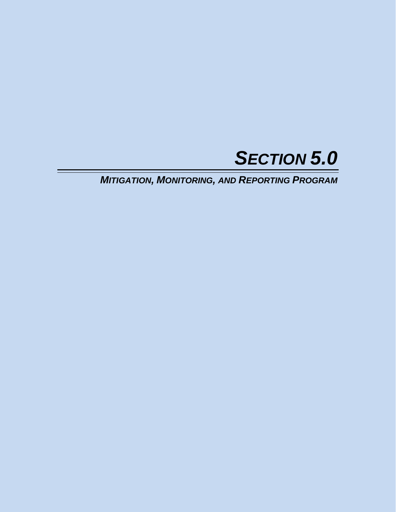

*MITIGATION, MONITORING, AND REPORTING PROGRAM*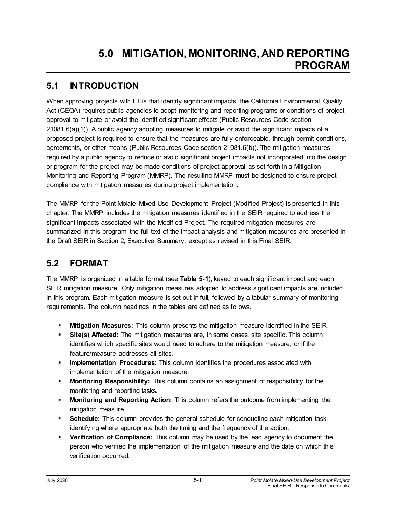## **5.1 INTRODUCTION**

When approving projects with EIRs that identify significant impacts, the California Environmental Quality Act (CEQA) requires public agencies to adopt monitoring and reporting programs or conditions of project approval to mitigate or avoid the identified significant effects (Public Resources Code section 21081.6(a)(1)). A public agency adopting measures to mitigate or avoid the significant impacts of a proposed project is required to ensure that the measures are fully enforceable, through permit conditions, agreements, or other means (Public Resources Code section 21081.6(b)). The mitigation measures required by a public agency to reduce or avoid significant project impacts not incorporated into the design or program for the project may be made conditions of project approval as set forth in a Mitigation Monitoring and Reporting Program (MMRP). The resulting MMRP must be designed to ensure project compliance with mitigation measures during project implementation.

The MMRP for the Point Molate Mixed-Use Development Project (Modified Project) is presented in this chapter. The MMRP includes the mitigation measures identified in the SEIR required to address the significant impacts associated with the Modified Project. The required mitigation measures are summarized in this program; the full text of the impact analysis and mitigation measures are presented in the Draft SEIR in Section 2, Executive Summary, except as revised in this Final SEIR.

## **5.2 FORMAT**

The MMRP is organized in a table format (see **Table 5-1**), keyed to each significant impact and each SEIR mitigation measure. Only mitigation measures adopted to address significant impacts are included in this program. Each mitigation measure is set out in full, followed by a tabular summary of monitoring requirements. The column headings in the tables are defined as follows.

- **Mitigation Measures:** This column presents the mitigation measure identified in the SEIR.
- **Site(s) Affected:** The mitigation measures are, in some cases, site specific. This column identifies which specific sites would need to adhere to the mitigation measure, or if the feature/measure addresses all sites.
- **Implementation Procedures:** This column identifies the procedures associated with implementation of the mitigation measure.
- **Monitoring Responsibility:** This column contains an assignment of responsibility for the monitoring and reporting tasks.
- **Monitoring and Reporting Action:** This column refers the outcome from implementing the mitigation measure.
- **Schedule:** This column provides the general schedule for conducting each mitigation task, identifying where appropriate both the timing and the frequency of the action.
- **Verification of Compliance:** This column may be used by the lead agency to document the person who verified the implementation of the mitigation measure and the date on which this verification occurred.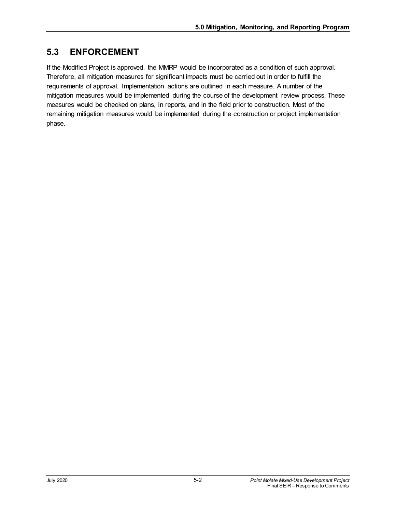## **5.3 ENFORCEMENT**

If the Modified Project is approved, the MMRP would be incorporated as a condition of such approval. Therefore, all mitigation measures for significant impacts must be carried out in order to fulfill the requirements of approval. Implementation actions are outlined in each measure. A number of the mitigation measures would be implemented during the course of the development review process. These measures would be checked on plans, in reports, and in the field prior to construction. Most of the remaining mitigation measures would be implemented during the construction or project implementation phase.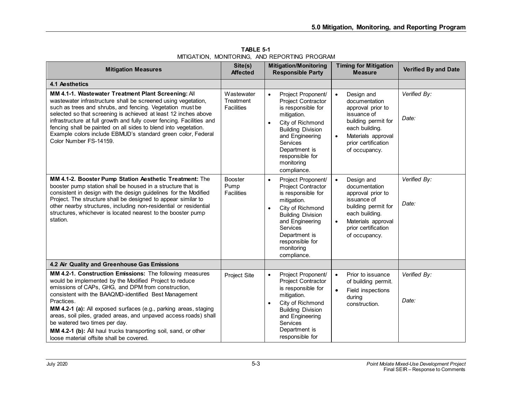| <b>Mitigation Measures</b>                                                                                                                                                                                                                                                                                                                                                                                                                                                                                                              | Site(s)<br><b>Affected</b>                   | <b>Mitigation/Monitoring</b><br><b>Responsible Party</b>                                                                                                                                                                                                | <b>Timing for Mitigation</b><br><b>Measure</b>                                                                                                                                      | <b>Verified By and Date</b> |
|-----------------------------------------------------------------------------------------------------------------------------------------------------------------------------------------------------------------------------------------------------------------------------------------------------------------------------------------------------------------------------------------------------------------------------------------------------------------------------------------------------------------------------------------|----------------------------------------------|---------------------------------------------------------------------------------------------------------------------------------------------------------------------------------------------------------------------------------------------------------|-------------------------------------------------------------------------------------------------------------------------------------------------------------------------------------|-----------------------------|
| 4.1 Aesthetics                                                                                                                                                                                                                                                                                                                                                                                                                                                                                                                          |                                              |                                                                                                                                                                                                                                                         |                                                                                                                                                                                     |                             |
| MM 4.1-1. Wastewater Treatment Plant Screening: All<br>wastewater infrastructure shall be screened using vegetation,<br>such as trees and shrubs, and fencing. Vegetation must be<br>selected so that screening is achieved at least 12 inches above<br>infrastructure at full growth and fully cover fencing. Facilities and<br>fencing shall be painted on all sides to blend into vegetation.<br>Example colors include EBMUD's standard green color, Federal<br>Color Number FS-14159.                                              | Wastewater<br>Treatment<br><b>Facilities</b> | Project Proponent/<br>$\bullet$<br>Project Contractor<br>is responsible for<br>mitigation.<br>City of Richmond<br>$\bullet$<br><b>Building Division</b><br>and Engineering<br>Services<br>Department is<br>responsible for<br>monitoring<br>compliance. | Design and<br>documentation<br>approval prior to<br>issuance of<br>building permit for<br>each building.<br>Materials approval<br>prior certification<br>of occupancy.              | Verified By:<br>Date:       |
| MM 4.1-2. Booster Pump Station Aesthetic Treatment: The<br>booster pump station shall be housed in a structure that is<br>consistent in design with the design guidelines for the Modified<br>Project. The structure shall be designed to appear similar to<br>other nearby structures, including non-residential or residential<br>structures, whichever is located nearest to the booster pump<br>station.                                                                                                                            | <b>Booster</b><br>Pump<br><b>Facilities</b>  | Project Proponent/<br>$\bullet$<br>Project Contractor<br>is responsible for<br>mitigation.<br>City of Richmond<br>$\bullet$<br><b>Building Division</b><br>and Engineering<br>Services<br>Department is<br>responsible for<br>monitoring<br>compliance. | Design and<br>$\bullet$<br>documentation<br>approval prior to<br>issuance of<br>building permit for<br>each building.<br>Materials approval<br>prior certification<br>of occupancy. | Verified By:<br>Date:       |
| 4.2 Air Quality and Greenhouse Gas Emissions                                                                                                                                                                                                                                                                                                                                                                                                                                                                                            |                                              |                                                                                                                                                                                                                                                         |                                                                                                                                                                                     |                             |
| MM 4.2-1. Construction Emissions: The following measures<br>would be implemented by the Modified Project to reduce<br>emissions of CAPs, GHG, and DPM from construction,<br>consistent with the BAAQMD-identified Best Management<br>Practices.<br>MM 4.2-1 (a): All exposed surfaces (e.g., parking areas, staging<br>areas, soil piles, graded areas, and unpaved access roads) shall<br>be watered two times per day.<br>MM 4.2-1 (b): All haul trucks transporting soil, sand, or other<br>loose material offsite shall be covered. | Project Site                                 | Project Proponent/<br>$\bullet$<br>Project Contractor<br>is responsible for<br>mitigation.<br>City of Richmond<br>$\bullet$<br><b>Building Division</b><br>and Engineering<br><b>Services</b><br>Department is<br>responsible for                       | Prior to issuance<br>of building permit.<br>Field inspections<br>$\bullet$<br>during<br>construction.                                                                               | Verified By:<br>Date:       |

**TABLE 5-1** MITIGATION, MONITORING, AND REPORTING PROGRAM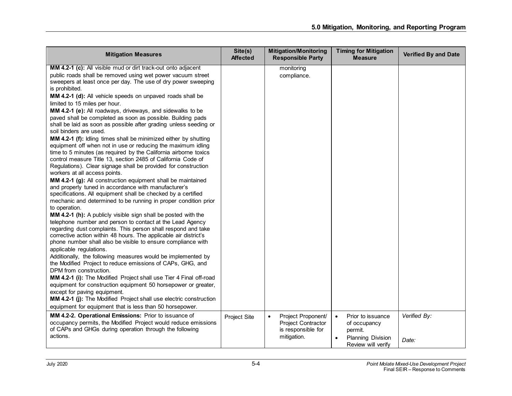| <b>Mitigation Measures</b>                                                                                                                                                                                                                                                                                                                                                                                                                                                                                                                                                                                                                                                                                                                                                                                                                                                                                                                                                                                                                                                                                                                                                                                                                                                                                                                                                                                                                                                                                                                                                                                                                                                                                                                                                                                                                                                                                                                                                                                                          | Site(s)<br><b>Affected</b> | <b>Mitigation/Monitoring</b><br><b>Responsible Party</b>                                   | <b>Timing for Mitigation</b><br><b>Measure</b>                                                       | <b>Verified By and Date</b> |
|-------------------------------------------------------------------------------------------------------------------------------------------------------------------------------------------------------------------------------------------------------------------------------------------------------------------------------------------------------------------------------------------------------------------------------------------------------------------------------------------------------------------------------------------------------------------------------------------------------------------------------------------------------------------------------------------------------------------------------------------------------------------------------------------------------------------------------------------------------------------------------------------------------------------------------------------------------------------------------------------------------------------------------------------------------------------------------------------------------------------------------------------------------------------------------------------------------------------------------------------------------------------------------------------------------------------------------------------------------------------------------------------------------------------------------------------------------------------------------------------------------------------------------------------------------------------------------------------------------------------------------------------------------------------------------------------------------------------------------------------------------------------------------------------------------------------------------------------------------------------------------------------------------------------------------------------------------------------------------------------------------------------------------------|----------------------------|--------------------------------------------------------------------------------------------|------------------------------------------------------------------------------------------------------|-----------------------------|
| MM 4.2-1 (c): All visible mud or dirt track-out onto adjacent<br>public roads shall be removed using wet power vacuum street<br>sweepers at least once per day. The use of dry power sweeping<br>is prohibited.<br>MM 4.2-1 (d): All vehicle speeds on unpaved roads shall be<br>limited to 15 miles per hour.<br>MM 4.2-1 (e): All roadways, driveways, and sidewalks to be<br>paved shall be completed as soon as possible. Building pads<br>shall be laid as soon as possible after grading unless seeding or<br>soil binders are used.<br>MM 4.2-1 (f): Idling times shall be minimized either by shutting<br>equipment off when not in use or reducing the maximum idling<br>time to 5 minutes (as required by the California airborne toxics<br>control measure Title 13, section 2485 of California Code of<br>Regulations). Clear signage shall be provided for construction<br>workers at all access points.<br>MM 4.2-1 (g): All construction equipment shall be maintained<br>and properly tuned in accordance with manufacturer's<br>specifications. All equipment shall be checked by a certified<br>mechanic and determined to be running in proper condition prior<br>to operation.<br>MM 4.2-1 (h): A publicly visible sign shall be posted with the<br>telephone number and person to contact at the Lead Agency<br>regarding dust complaints. This person shall respond and take<br>corrective action within 48 hours. The applicable air district's<br>phone number shall also be visible to ensure compliance with<br>applicable regulations.<br>Additionally, the following measures would be implemented by<br>the Modified Project to reduce emissions of CAPs, GHG, and<br>DPM from construction.<br>MM 4.2-1 (i): The Modified Project shall use Tier 4 Final off-road<br>equipment for construction equipment 50 horsepower or greater,<br>except for paving equipment.<br>MM 4.2-1 (j): The Modified Project shall use electric construction<br>equipment for equipment that is less than 50 horsepower. |                            | monitoring<br>compliance.                                                                  |                                                                                                      |                             |
| MM 4.2-2. Operational Emissions: Prior to issuance of<br>occupancy permits, the Modified Project would reduce emissions<br>of CAPs and GHGs during operation through the following<br>actions.                                                                                                                                                                                                                                                                                                                                                                                                                                                                                                                                                                                                                                                                                                                                                                                                                                                                                                                                                                                                                                                                                                                                                                                                                                                                                                                                                                                                                                                                                                                                                                                                                                                                                                                                                                                                                                      | Project Site               | Project Proponent/<br>$\bullet$<br>Project Contractor<br>is responsible for<br>mitigation. | Prior to issuance<br>$\bullet$<br>of occupancy<br>permit.<br>Planning Division<br>Review will verify | Verified By:<br>Date:       |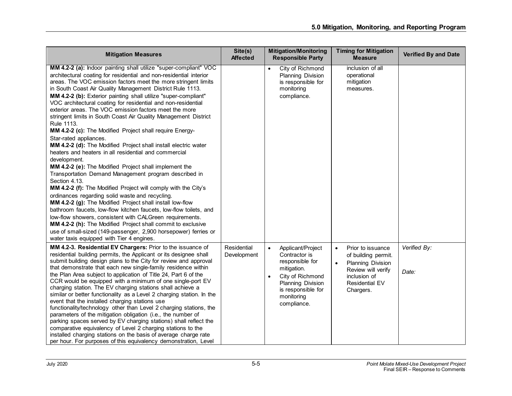| <b>Mitigation Measures</b>                                                                                                                                                                                                                                                                                                                                                                                                                                                                                                                                                                                                                                                                                                                                                                                                                                                                                                                                                                                                                                                                                                                                                                                                                                                                                                                                                                                                     | Site(s)<br><b>Affected</b> | <b>Mitigation/Monitoring</b><br><b>Responsible Party</b>                                                                                                                                          | <b>Timing for Mitigation</b><br><b>Measure</b>                                                                                                                      | <b>Verified By and Date</b> |
|--------------------------------------------------------------------------------------------------------------------------------------------------------------------------------------------------------------------------------------------------------------------------------------------------------------------------------------------------------------------------------------------------------------------------------------------------------------------------------------------------------------------------------------------------------------------------------------------------------------------------------------------------------------------------------------------------------------------------------------------------------------------------------------------------------------------------------------------------------------------------------------------------------------------------------------------------------------------------------------------------------------------------------------------------------------------------------------------------------------------------------------------------------------------------------------------------------------------------------------------------------------------------------------------------------------------------------------------------------------------------------------------------------------------------------|----------------------------|---------------------------------------------------------------------------------------------------------------------------------------------------------------------------------------------------|---------------------------------------------------------------------------------------------------------------------------------------------------------------------|-----------------------------|
| MM 4.2-2 (a): Indoor painting shall utilize "super-compliant" VOC<br>architectural coating for residential and non-residential interior<br>areas. The VOC emission factors meet the more stringent limits<br>in South Coast Air Quality Management District Rule 1113.<br>MM 4.2-2 (b): Exterior painting shall utilize "super-compliant"<br>VOC architectural coating for residential and non-residential<br>exterior areas. The VOC emission factors meet the more<br>stringent limits in South Coast Air Quality Management District<br>Rule 1113.<br>MM 4.2-2 (c): The Modified Project shall require Energy-<br>Star-rated appliances.<br>MM 4.2-2 (d): The Modified Project shall install electric water<br>heaters and heaters in all residential and commercial<br>development.<br>MM 4.2-2 (e): The Modified Project shall implement the<br>Transportation Demand Management program described in<br>Section 4.13.<br>MM 4.2-2 (f): The Modified Project will comply with the City's<br>ordinances regarding solid waste and recycling.<br>MM 4.2-2 (g): The Modified Project shall install low-flow<br>bathroom faucets, low-flow kitchen faucets, low-flow toilets, and<br>low-flow showers, consistent with CALGreen requirements.<br>MM 4.2-2 (h): The Modified Project shall commit to exclusive<br>use of small-sized (149-passenger, 2,900 horsepower) ferries or<br>water taxis equipped with Tier 4 engines. |                            | City of Richmond<br>$\bullet$<br><b>Planning Division</b><br>is responsible for<br>monitoring<br>compliance.                                                                                      | inclusion of all<br>operational<br>mitigation<br>measures.                                                                                                          |                             |
| MM 4.2-3. Residential EV Chargers: Prior to the issuance of<br>residential building permits, the Applicant or its designee shall<br>submit building design plans to the City for review and approval<br>that demonstrate that each new single-family residence within<br>the Plan Area subject to application of Title 24, Part 6 of the<br>CCR would be equipped with a minimum of one single-port EV<br>charging station. The EV charging stations shall achieve a<br>similar or better functionality as a Level 2 charging station. In the<br>event that the installed charging stations use<br>functionality/technology other than Level 2 charging stations, the<br>parameters of the mitigation obligation (i.e., the number of<br>parking spaces served by EV charging stations) shall reflect the<br>comparative equivalency of Level 2 charging stations to the<br>installed charging stations on the basis of average charge rate<br>per hour. For purposes of this equivalency demonstration, Level                                                                                                                                                                                                                                                                                                                                                                                                                 | Residential<br>Development | $\bullet$<br>Applicant/Project<br>Contractor is<br>responsible for<br>mitigation.<br>City of Richmond<br>$\bullet$<br><b>Planning Division</b><br>is responsible for<br>monitoring<br>compliance. | Prior to issuance<br>$\bullet$<br>of building permit.<br>Planning Division<br>$\bullet$<br>Review will verify<br>inclusion of<br><b>Residential EV</b><br>Chargers. | Verified By:<br>Date:       |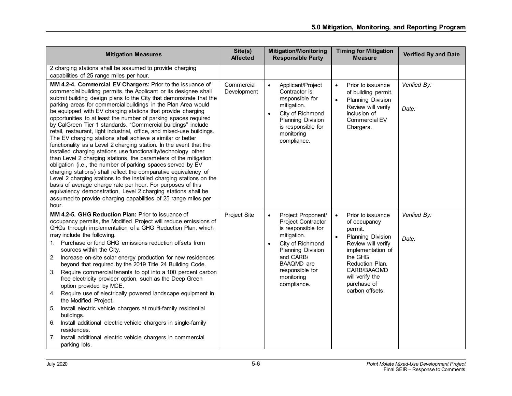| <b>Mitigation Measures</b>                                                                                                                                                                                                                                                                                                                                                                                                                                                                                                                                                                                                                                                                                                                                                                                                                                                                                                                                                                                                                                                                                                                                                                                                                      | Site(s)<br><b>Affected</b> | <b>Mitigation/Monitoring</b><br><b>Responsible Party</b>                                                                                                                                                                           | <b>Timing for Mitigation</b><br><b>Measure</b>                                                                                                                                                                              | <b>Verified By and Date</b> |
|-------------------------------------------------------------------------------------------------------------------------------------------------------------------------------------------------------------------------------------------------------------------------------------------------------------------------------------------------------------------------------------------------------------------------------------------------------------------------------------------------------------------------------------------------------------------------------------------------------------------------------------------------------------------------------------------------------------------------------------------------------------------------------------------------------------------------------------------------------------------------------------------------------------------------------------------------------------------------------------------------------------------------------------------------------------------------------------------------------------------------------------------------------------------------------------------------------------------------------------------------|----------------------------|------------------------------------------------------------------------------------------------------------------------------------------------------------------------------------------------------------------------------------|-----------------------------------------------------------------------------------------------------------------------------------------------------------------------------------------------------------------------------|-----------------------------|
| 2 charging stations shall be assumed to provide charging<br>capabilities of 25 range miles per hour.                                                                                                                                                                                                                                                                                                                                                                                                                                                                                                                                                                                                                                                                                                                                                                                                                                                                                                                                                                                                                                                                                                                                            |                            |                                                                                                                                                                                                                                    |                                                                                                                                                                                                                             |                             |
| MM 4.2-4. Commercial EV Chargers: Prior to the issuance of<br>commercial building permits, the Applicant or its designee shall<br>submit building design plans to the City that demonstrate that the<br>parking areas for commercial buildings in the Plan Area would<br>be equipped with EV charging stations that provide charging<br>opportunities to at least the number of parking spaces required<br>by CalGreen Tier 1 standards. "Commercial buildings" include<br>retail, restaurant, light industrial, office, and mixed-use buildings.<br>The EV charging stations shall achieve a similar or better<br>functionality as a Level 2 charging station. In the event that the<br>installed charging stations use functionality/technology other<br>than Level 2 charging stations, the parameters of the mitigation<br>obligation (i.e., the number of parking spaces served by EV<br>charging stations) shall reflect the comparative equivalency of<br>Level 2 charging stations to the installed charging stations on the<br>basis of average charge rate per hour. For purposes of this<br>equivalency demonstration, Level 2 charging stations shall be<br>assumed to provide charging capabilities of 25 range miles per<br>hour. | Commercial<br>Development  | $\bullet$<br>Applicant/Project<br>Contractor is<br>responsible for<br>mitigation.<br>City of Richmond<br>$\bullet$<br>Planning Division<br>is responsible for<br>monitoring<br>compliance.                                         | Prior to issuance<br>$\bullet$<br>of building permit.<br>Planning Division<br>$\bullet$<br>Review will verify<br>inclusion of<br>Commercial EV<br>Chargers.                                                                 | Verified By:<br>Date:       |
| MM 4.2-5. GHG Reduction Plan: Prior to issuance of<br>occupancy permits, the Modified Project will reduce emissions of<br>GHGs through implementation of a GHG Reduction Plan, which<br>may include the following.<br>1. Purchase or fund GHG emissions reduction offsets from<br>sources within the City.<br>2.<br>Increase on-site solar energy production for new residences<br>beyond that required by the 2019 Title 24 Building Code.<br>Require commercial tenants to opt into a 100 percent carbon<br>3.<br>free electricity provider option, such as the Deep Green<br>option provided by MCE.<br>Require use of electrically powered landscape equipment in<br>4.<br>the Modified Project.<br>Install electric vehicle chargers at multi-family residential<br>5.<br>buildings.<br>Install additional electric vehicle chargers in single-family<br>6.<br>residences.<br>Install additional electric vehicle chargers in commercial<br>7.<br>parking lots.                                                                                                                                                                                                                                                                            | Project Site               | Project Proponent/<br>$\bullet$<br><b>Project Contractor</b><br>is responsible for<br>mitigation.<br>City of Richmond<br>$\bullet$<br>Planning Division<br>and CARB/<br>BAAQMD are<br>responsible for<br>monitoring<br>compliance. | Prior to issuance<br>$\bullet$<br>of occupancy<br>permit.<br>Planning Division<br>Review will verify<br>implementation of<br>the GHG<br>Reduction Plan.<br>CARB/BAAQMD<br>will verify the<br>purchase of<br>carbon offsets. | Verified By:<br>Date:       |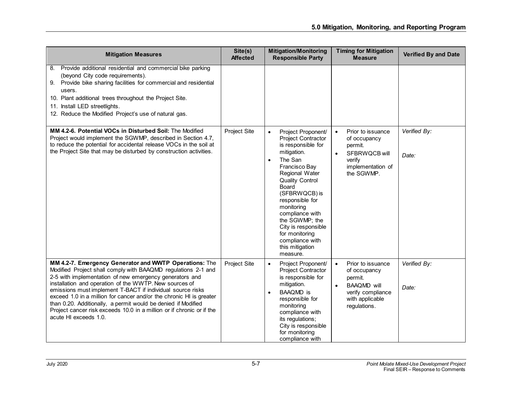| <b>Mitigation Measures</b>                                                                                                                                                                                                                                                                                                                                                                                                                                                                                                                           | Site(s)<br><b>Affected</b> | <b>Mitigation/Monitoring</b><br><b>Responsible Party</b>                                                                                                                                                                                                                                                                                                             | <b>Timing for Mitigation</b><br><b>Measure</b>                                                                                                       | Verified By and Date  |
|------------------------------------------------------------------------------------------------------------------------------------------------------------------------------------------------------------------------------------------------------------------------------------------------------------------------------------------------------------------------------------------------------------------------------------------------------------------------------------------------------------------------------------------------------|----------------------------|----------------------------------------------------------------------------------------------------------------------------------------------------------------------------------------------------------------------------------------------------------------------------------------------------------------------------------------------------------------------|------------------------------------------------------------------------------------------------------------------------------------------------------|-----------------------|
| Provide additional residential and commercial bike parking<br>8.<br>(beyond City code requirements).<br>9. Provide bike sharing facilities for commercial and residential<br>users.<br>10. Plant additional trees throughout the Project Site.<br>11. Install LED streetlights.<br>12. Reduce the Modified Project's use of natural gas.                                                                                                                                                                                                             |                            |                                                                                                                                                                                                                                                                                                                                                                      |                                                                                                                                                      |                       |
| MM 4.2-6. Potential VOCs in Disturbed Soil: The Modified<br>Project would implement the SGWMP, described in Section 4.7,<br>to reduce the potential for accidental release VOCs in the soil at<br>the Project Site that may be disturbed by construction activities.                                                                                                                                                                                                                                                                                 | Project Site               | Project Proponent/<br>$\bullet$<br><b>Project Contractor</b><br>is responsible for<br>mitigation.<br>The San<br>Francisco Bay<br>Regional Water<br><b>Quality Control</b><br>Board<br>(SFBRWQCB) is<br>responsible for<br>monitoring<br>compliance with<br>the SGWMP; the<br>City is responsible<br>for monitoring<br>compliance with<br>this mitigation<br>measure. | Prior to issuance<br>$\bullet$<br>of occupancy<br>permit.<br>SFBRWQCB will<br>verify<br>implementation of<br>the SGWMP.                              | Verified By:<br>Date: |
| MM 4.2-7. Emergency Generator and WWTP Operations: The<br>Modified Project shall comply with BAAQMD regulations 2-1 and<br>2-5 with implementation of new emergency generators and<br>installation and operation of the WWTP. New sources of<br>emissions must implement T-BACT if individual source risks<br>exceed 1.0 in a million for cancer and/or the chronic HI is greater<br>than 0.20. Additionally, a permit would be denied if Modified<br>Project cancer risk exceeds 10.0 in a million or if chronic or if the<br>acute HI exceeds 1.0. | Project Site               | Project Proponent/<br>$\bullet$<br>Project Contractor<br>is responsible for<br>mitigation.<br><b>BAAQMD</b> is<br>$\bullet$<br>responsible for<br>monitoring<br>compliance with<br>its regulations;<br>City is responsible<br>for monitoring<br>compliance with                                                                                                      | Prior to issuance<br>$\bullet$<br>of occupancy<br>permit.<br><b>BAAQMD</b> will<br>$\bullet$<br>verify compliance<br>with applicable<br>regulations. | Verified By:<br>Date: |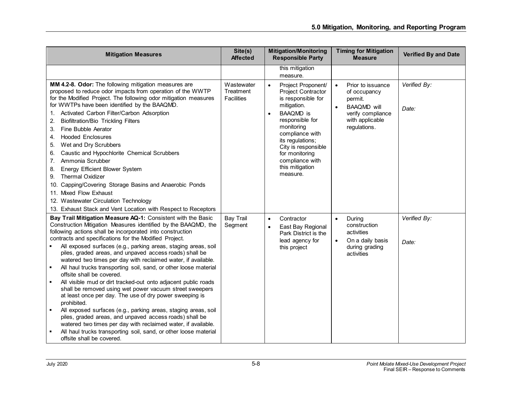| <b>Mitigation Measures</b>                                                                                                                                                                                                                                                                                                                                                                                                                                                                                                                                                                                                                                                                                                                                                                                                                                                                                                                                                                                                                                                   | Site(s)<br><b>Affected</b>                   | <b>Mitigation/Monitoring</b><br><b>Responsible Party</b>                                                                                                                                                                                                                                              | <b>Timing for Mitigation</b><br><b>Measure</b>                                                                                                       | <b>Verified By and Date</b> |
|------------------------------------------------------------------------------------------------------------------------------------------------------------------------------------------------------------------------------------------------------------------------------------------------------------------------------------------------------------------------------------------------------------------------------------------------------------------------------------------------------------------------------------------------------------------------------------------------------------------------------------------------------------------------------------------------------------------------------------------------------------------------------------------------------------------------------------------------------------------------------------------------------------------------------------------------------------------------------------------------------------------------------------------------------------------------------|----------------------------------------------|-------------------------------------------------------------------------------------------------------------------------------------------------------------------------------------------------------------------------------------------------------------------------------------------------------|------------------------------------------------------------------------------------------------------------------------------------------------------|-----------------------------|
|                                                                                                                                                                                                                                                                                                                                                                                                                                                                                                                                                                                                                                                                                                                                                                                                                                                                                                                                                                                                                                                                              |                                              | this mitigation<br>measure.                                                                                                                                                                                                                                                                           |                                                                                                                                                      |                             |
| MM 4.2-8. Odor: The following mitigation measures are<br>proposed to reduce odor impacts from operation of the WWTP<br>for the Modified Project. The following odor mitigation measures<br>for WWTPs have been identified by the BAAQMD.<br>Activated Carbon Filter/Carbon Adsorption<br>1.<br><b>Biofiltration/Bio Trickling Filters</b><br>2.<br>Fine Bubble Aerator<br>3.<br><b>Hooded Enclosures</b><br>4.<br>Wet and Dry Scrubbers<br>5.<br>Caustic and Hypochlorite Chemical Scrubbers<br>6.<br>Ammonia Scrubber<br>7.<br>Energy Efficient Blower System<br>8.<br><b>Thermal Oxidizer</b><br>9.<br>10. Capping/Covering Storage Basins and Anaerobic Ponds<br>11. Mixed Flow Exhaust<br>12. Wastewater Circulation Technology<br>13. Exhaust Stack and Vent Location with Respect to Receptors                                                                                                                                                                                                                                                                         | Wastewater<br>Treatment<br><b>Facilities</b> | Project Proponent/<br>$\bullet$<br><b>Project Contractor</b><br>is responsible for<br>mitigation.<br><b>BAAQMD</b> is<br>$\bullet$<br>responsible for<br>monitoring<br>compliance with<br>its regulations;<br>City is responsible<br>for monitoring<br>compliance with<br>this mitigation<br>measure. | Prior to issuance<br>$\bullet$<br>of occupancy<br>permit.<br><b>BAAQMD</b> will<br>$\bullet$<br>verify compliance<br>with applicable<br>regulations. | Verified By:<br>Date:       |
| Bay Trail Mitigation Measure AQ-1: Consistent with the Basic<br>Construction Mitigation Measures identified by the BAAQMD, the<br>following actions shall be incorporated into construction<br>contracts and specifications for the Modified Project.<br>All exposed surfaces (e.g., parking areas, staging areas, soil<br>piles, graded areas, and unpaved access roads) shall be<br>watered two times per day with reclaimed water, if available.<br>All haul trucks transporting soil, sand, or other loose material<br>offsite shall be covered.<br>All visible mud or dirt tracked-out onto adjacent public roads<br>shall be removed using wet power vacuum street sweepers<br>at least once per day. The use of dry power sweeping is<br>prohibited.<br>All exposed surfaces (e.g., parking areas, staging areas, soil<br>$\blacksquare$<br>piles, graded areas, and unpaved access roads) shall be<br>watered two times per day with reclaimed water, if available.<br>All haul trucks transporting soil, sand, or other loose material<br>offsite shall be covered. | <b>Bay Trail</b><br>Segment                  | Contractor<br>$\bullet$<br>East Bay Regional<br>$\bullet$<br>Park District is the<br>lead agency for<br>this project                                                                                                                                                                                  | During<br>$\bullet$<br>construction<br>activities<br>On a daily basis<br>$\bullet$<br>during grading<br>activities                                   | Verified By:<br>Date:       |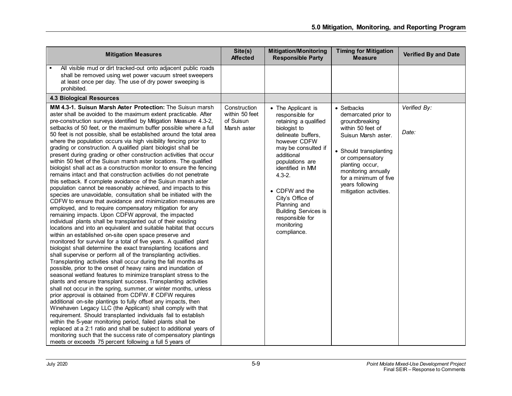| <b>Mitigation Measures</b>                                                                                                                                                                                                                                                                                                                                                                                                                                                                                                                                                                                                                                                                                                                                                                                                                                                                                                                                                                                                                                                                                                                                                                                                                                                                                                                                                                                                                                                                                                                                                                                                                                                                                                                                                                                                                                                                                                                                                                                                                                                                                                                                                                                                                                                                                                                                                                                                                             | Site(s)<br><b>Affected</b>                                 | <b>Mitigation/Monitoring</b><br><b>Responsible Party</b>                                                                                                                                                                                                                                                                                            | <b>Timing for Mitigation</b><br><b>Measure</b>                                                                                                                                                                                                               | <b>Verified By and Date</b> |
|--------------------------------------------------------------------------------------------------------------------------------------------------------------------------------------------------------------------------------------------------------------------------------------------------------------------------------------------------------------------------------------------------------------------------------------------------------------------------------------------------------------------------------------------------------------------------------------------------------------------------------------------------------------------------------------------------------------------------------------------------------------------------------------------------------------------------------------------------------------------------------------------------------------------------------------------------------------------------------------------------------------------------------------------------------------------------------------------------------------------------------------------------------------------------------------------------------------------------------------------------------------------------------------------------------------------------------------------------------------------------------------------------------------------------------------------------------------------------------------------------------------------------------------------------------------------------------------------------------------------------------------------------------------------------------------------------------------------------------------------------------------------------------------------------------------------------------------------------------------------------------------------------------------------------------------------------------------------------------------------------------------------------------------------------------------------------------------------------------------------------------------------------------------------------------------------------------------------------------------------------------------------------------------------------------------------------------------------------------------------------------------------------------------------------------------------------------|------------------------------------------------------------|-----------------------------------------------------------------------------------------------------------------------------------------------------------------------------------------------------------------------------------------------------------------------------------------------------------------------------------------------------|--------------------------------------------------------------------------------------------------------------------------------------------------------------------------------------------------------------------------------------------------------------|-----------------------------|
| All visible mud or dirt tracked-out onto adjacent public roads<br>shall be removed using wet power vacuum street sweepers<br>at least once per day. The use of dry power sweeping is<br>prohibited.                                                                                                                                                                                                                                                                                                                                                                                                                                                                                                                                                                                                                                                                                                                                                                                                                                                                                                                                                                                                                                                                                                                                                                                                                                                                                                                                                                                                                                                                                                                                                                                                                                                                                                                                                                                                                                                                                                                                                                                                                                                                                                                                                                                                                                                    |                                                            |                                                                                                                                                                                                                                                                                                                                                     |                                                                                                                                                                                                                                                              |                             |
| <b>4.3 Biological Resources</b>                                                                                                                                                                                                                                                                                                                                                                                                                                                                                                                                                                                                                                                                                                                                                                                                                                                                                                                                                                                                                                                                                                                                                                                                                                                                                                                                                                                                                                                                                                                                                                                                                                                                                                                                                                                                                                                                                                                                                                                                                                                                                                                                                                                                                                                                                                                                                                                                                        |                                                            |                                                                                                                                                                                                                                                                                                                                                     |                                                                                                                                                                                                                                                              |                             |
| MM 4.3-1. Suisun Marsh Aster Protection: The Suisun marsh<br>aster shall be avoided to the maximum extent practicable. After<br>pre-construction surveys identified by Mitigation Measure 4.3-2,<br>setbacks of 50 feet, or the maximum buffer possible where a full<br>50 feet is not possible, shall be established around the total area<br>where the population occurs via high visibility fencing prior to<br>grading or construction. A qualified plant biologist shall be<br>present during grading or other construction activities that occur<br>within 50 feet of the Suisun marsh aster locations. The qualified<br>biologist shall act as a construction monitor to ensure the fencing<br>remains intact and that construction activities do not penetrate<br>this setback. If complete avoidance of the Suisun marsh aster<br>population cannot be reasonably achieved, and impacts to this<br>species are unavoidable, consultation shall be initiated with the<br>CDFW to ensure that avoidance and minimization measures are<br>employed, and to require compensatory mitigation for any<br>remaining impacts. Upon CDFW approval, the impacted<br>individual plants shall be transplanted out of their existing<br>locations and into an equivalent and suitable habitat that occurs<br>within an established on-site open space preserve and<br>monitored for survival for a total of five years. A qualified plant<br>biologist shall determine the exact transplanting locations and<br>shall supervise or perform all of the transplanting activities.<br>Transplanting activities shall occur during the fall months as<br>possible, prior to the onset of heavy rains and inundation of<br>seasonal wetland features to minimize transplant stress to the<br>plants and ensure transplant success. Transplanting activities<br>shall not occur in the spring, summer, or winter months, unless<br>prior approval is obtained from CDFW. If CDFW requires<br>additional on-site plantings to fully offset any impacts, then<br>Winehaven Legacy LLC (the Applicant) shall comply with that<br>requirement. Should transplanted individuals fail to establish<br>within the 5-year monitoring period, failed plants shall be<br>replaced at a 2:1 ratio and shall be subject to additional years of<br>monitoring such that the success rate of compensatory plantings<br>meets or exceeds 75 percent following a full 5 years of | Construction<br>within 50 feet<br>of Suisun<br>Marsh aster | • The Applicant is<br>responsible for<br>retaining a qualified<br>biologist to<br>delineate buffers,<br>however CDFW<br>may be consulted if<br>additional<br>populations are<br>identified in MM<br>$4.3 - 2.$<br>• CDFW and the<br>City's Office of<br>Planning and<br><b>Building Services is</b><br>responsible for<br>monitoring<br>compliance. | • Setbacks<br>demarcated prior to<br>groundbreaking<br>within 50 feet of<br>Suisun Marsh aster.<br>• Should transplanting<br>or compensatory<br>planting occur,<br>monitoring annually<br>for a minimum of five<br>years following<br>mitigation activities. | Verified By:<br>Date:       |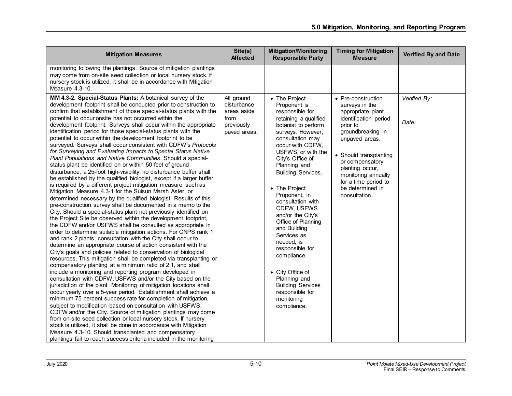| <b>Mitigation Measures</b>                                                                                                                                                                                                                                                                                                                                                                                                                                                                                                                                                                                                                                                                                                                                                                                                                                                                                                                                                                                                                                                                                                                                                                                                                                                                                                                                                                                                                                                                                                                                                                                                                                                                                                                                                                                                                                                                                                                                                                                                                                                                                                                                                                                                                                                                                                                                                                                                                                                                                | Site(s)<br><b>Affected</b>                                                     | <b>Mitigation/Monitoring</b><br><b>Responsible Party</b>                                                                                                                                                                                                                                                                                                                                                                                                                                                                                                             | <b>Timing for Mitigation</b><br><b>Measure</b>                                                                                                                                                                                                                                            | <b>Verified By and Date</b> |
|-----------------------------------------------------------------------------------------------------------------------------------------------------------------------------------------------------------------------------------------------------------------------------------------------------------------------------------------------------------------------------------------------------------------------------------------------------------------------------------------------------------------------------------------------------------------------------------------------------------------------------------------------------------------------------------------------------------------------------------------------------------------------------------------------------------------------------------------------------------------------------------------------------------------------------------------------------------------------------------------------------------------------------------------------------------------------------------------------------------------------------------------------------------------------------------------------------------------------------------------------------------------------------------------------------------------------------------------------------------------------------------------------------------------------------------------------------------------------------------------------------------------------------------------------------------------------------------------------------------------------------------------------------------------------------------------------------------------------------------------------------------------------------------------------------------------------------------------------------------------------------------------------------------------------------------------------------------------------------------------------------------------------------------------------------------------------------------------------------------------------------------------------------------------------------------------------------------------------------------------------------------------------------------------------------------------------------------------------------------------------------------------------------------------------------------------------------------------------------------------------------------|--------------------------------------------------------------------------------|----------------------------------------------------------------------------------------------------------------------------------------------------------------------------------------------------------------------------------------------------------------------------------------------------------------------------------------------------------------------------------------------------------------------------------------------------------------------------------------------------------------------------------------------------------------------|-------------------------------------------------------------------------------------------------------------------------------------------------------------------------------------------------------------------------------------------------------------------------------------------|-----------------------------|
| monitoring following the plantings. Source of mitigation plantings<br>may come from on-site seed collection or local nursery stock. If<br>nursery stock is utilized, it shall be in accordance with Mitigation<br>Measure 4.3-10.                                                                                                                                                                                                                                                                                                                                                                                                                                                                                                                                                                                                                                                                                                                                                                                                                                                                                                                                                                                                                                                                                                                                                                                                                                                                                                                                                                                                                                                                                                                                                                                                                                                                                                                                                                                                                                                                                                                                                                                                                                                                                                                                                                                                                                                                         |                                                                                |                                                                                                                                                                                                                                                                                                                                                                                                                                                                                                                                                                      |                                                                                                                                                                                                                                                                                           |                             |
| MM 4.3-2. Special-Status Plants: A botanical survey of the<br>development footprint shall be conducted prior to construction to<br>confirm that establishment of those special-status plants with the<br>potential to occur onsite has not occurred within the<br>development footprint. Surveys shall occur within the appropriate<br>identification period for those special-status plants with the<br>potential to occur within the development footprint to be<br>surveyed. Surveys shall occur consistent with CDFW's Protocols<br>for Surveying and Evaluating Impacts to Special Status Native<br>Plant Populations and Native Communities. Should a special-<br>status plant be identified on or within 50 feet of ground<br>disturbance, a 25-foot high-visibility no disturbance buffer shall<br>be established by the qualified biologist, except if a larger buffer<br>is required by a different project mitigation measure, such as<br>Mitigation Measure 4.3-1 for the Suisun Marsh Aster, or<br>determined necessary by the qualified biologist. Results of this<br>pre-construction survey shall be documented in a memo to the<br>City. Should a special-status plant not previously identified on<br>the Project Site be observed within the development footprint,<br>the CDFW and/or USFWS shall be consulted as appropriate in<br>order to determine suitable mitigation actions. For CNPS rank 1<br>and rank 2 plants, consultation with the City shall occur to<br>determine an appropriate course of action consistent with the<br>City's goals and policies related to conservation of biological<br>resources. This mitigation shall be completed via transplanting or<br>compensatory planting at a minimum ratio of 2:1, and shall<br>include a monitoring and reporting program developed in<br>consultation with CDFW, USFWS and/or the City based on the<br>jurisdiction of the plant. Monitoring of mitigation locations shall<br>occur yearly over a 5-year period. Establishment shall achieve a<br>minimum 75 percent success rate for completion of mitigation,<br>subject to modification based on consultation with USFWS,<br>CDFW and/or the City. Source of mitigation plantings may come<br>from on-site seed collection or local nursery stock. If nursery<br>stock is utilized, it shall be done in accordance with Mitigation<br>Measure 4.3-10. Should transplanted and compensatory<br>plantings fail to reach success criteria included in the monitoring | All ground<br>disturbance<br>areas aside<br>from<br>previously<br>paved areas. | • The Project<br>Proponent is<br>responsible for<br>retaining a qualified<br>botanist to perform<br>surveys. However,<br>consultation may<br>occur with CDFW.<br>USFWS, or with the<br>City's Office of<br>Planning and<br><b>Building Services.</b><br>• The Project<br>Proponent, in<br>consultation with<br>CDFW, USFWS<br>and/or the City's<br>Office of Planning<br>and Building<br>Services as<br>needed, is<br>responsible for<br>compliance.<br>• City Office of<br>Planning and<br><b>Building Services</b><br>responsible for<br>monitoring<br>compliance. | • Pre-construction<br>surveys in the<br>appropriate plant<br>identification period<br>prior to<br>groundbreaking in<br>unpaved areas.<br>• Should transplanting<br>or compensatory<br>planting occur,<br>monitoring annually<br>for a time period to<br>be determined in<br>consultation. | Verified By:<br>Date:       |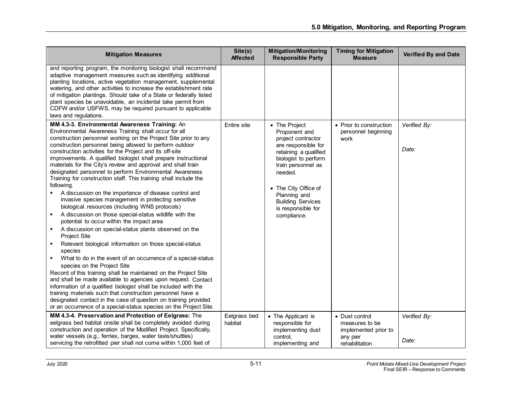| <b>Mitigation Measures</b>                                                                                                                                                                                                                                                                                                                                                                                                                                                                                                                                                                                                                                                                                                                                                                                                                                                                                                                                                                                                                                                                                                                                                                                                                                                                                                                                                                                                                                                                                                                               | Site(s)<br><b>Affected</b> | <b>Mitigation/Monitoring</b><br><b>Responsible Party</b>                                                                                                                                                                                                               | <b>Timing for Mitigation</b><br><b>Measure</b>                                         | <b>Verified By and Date</b> |
|----------------------------------------------------------------------------------------------------------------------------------------------------------------------------------------------------------------------------------------------------------------------------------------------------------------------------------------------------------------------------------------------------------------------------------------------------------------------------------------------------------------------------------------------------------------------------------------------------------------------------------------------------------------------------------------------------------------------------------------------------------------------------------------------------------------------------------------------------------------------------------------------------------------------------------------------------------------------------------------------------------------------------------------------------------------------------------------------------------------------------------------------------------------------------------------------------------------------------------------------------------------------------------------------------------------------------------------------------------------------------------------------------------------------------------------------------------------------------------------------------------------------------------------------------------|----------------------------|------------------------------------------------------------------------------------------------------------------------------------------------------------------------------------------------------------------------------------------------------------------------|----------------------------------------------------------------------------------------|-----------------------------|
| and reporting program, the monitoring biologist shall recommend<br>adaptive management measures such as identifying additional<br>planting locations, active vegetation management, supplemental<br>watering, and other activities to increase the establishment rate<br>of mitigation plantings. Should take of a State or federally listed<br>plant species be unavoidable, an incidental take permit from<br>CDFW and/or USFWS, may be required pursuant to applicable<br>laws and regulations.                                                                                                                                                                                                                                                                                                                                                                                                                                                                                                                                                                                                                                                                                                                                                                                                                                                                                                                                                                                                                                                       |                            |                                                                                                                                                                                                                                                                        |                                                                                        |                             |
| MM 4.3-3. Environmental Awareness Training: An<br>Environmental Awareness Training shall occur for all<br>construction personnel working on the Project Site prior to any<br>construction personnel being allowed to perform outdoor<br>construction activities for the Project and its off-site<br>improvements. A qualified biologist shall prepare instructional<br>materials for the City's review and approval and shall train<br>designated personnel to perform Environmental Awareness<br>Training for construction staff. This training shall include the<br>following.<br>A discussion on the importance of disease control and<br>invasive species management in protecting sensitive<br>biological resources (including WNS protocols)<br>A discussion on those special-status wildlife with the<br>$\blacksquare$<br>potential to occur within the impact area<br>A discussion on special-status plants observed on the<br>$\blacksquare$<br>Project Site<br>Relevant biological information on those special-status<br>species<br>What to do in the event of an occurrence of a special-status<br>species on the Project Site<br>Record of this training shall be maintained on the Project Site<br>and shall be made available to agencies upon request. Contact<br>information of a qualified biologist shall be included with the<br>training materials such that construction personnel have a<br>designated contact in the case of question on training provided<br>or an occurrence of a special-status species on the Project Site. | Entire site                | • The Project<br>Proponent and<br>project contractor<br>are responsible for<br>retaining a qualified<br>biologist to perform<br>train personnel as<br>needed.<br>• The City Office of<br>Planning and<br><b>Building Services</b><br>is responsible for<br>compliance. | • Prior to construction<br>personnel beginning<br>work                                 | Verified By:<br>Date:       |
| MM 4.3-4. Preservation and Protection of Eelgrass: The<br>eelgrass bed habitat onsite shall be completely avoided during<br>construction and operation of the Modified Project. Specifically,<br>water vessels (e.g., ferries, barges, water taxis/shuttles)<br>servicing the retrofitted pier shall not come within 1,000 feet of                                                                                                                                                                                                                                                                                                                                                                                                                                                                                                                                                                                                                                                                                                                                                                                                                                                                                                                                                                                                                                                                                                                                                                                                                       | Eelgrass bed<br>habitat    | • The Applicant is<br>responsible for<br>implementing dust<br>control.<br>implementing and                                                                                                                                                                             | • Dust control<br>measures to be<br>implemented prior to<br>any pier<br>rehabilitation | Verified By:<br>Date:       |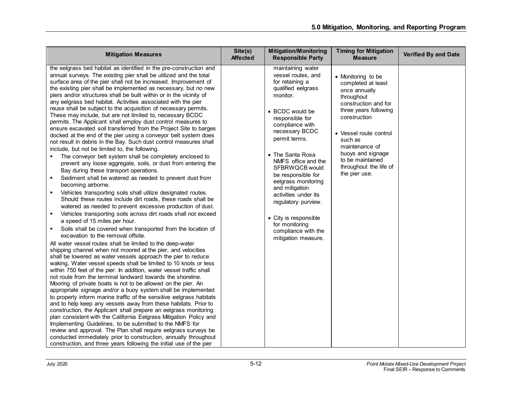| <b>Mitigation Measures</b>                                                                                                                                                                                                                                                                                                                                                                                                                                                                                                                                                                                                                                                                                                                                                                                                                                                                                                                                                                                                                                                                                                                                                                                                                                                                                                                                                                                                                                                                                                                                                                                                                                                                                                                                                                                                                                                                                                                                                                                                                                                                                                                                                                                                                                                                                                                                                                                                                                                                                                                                                                                                                                                               | Site(s)<br><b>Affected</b> | <b>Mitigation/Monitoring</b><br><b>Responsible Party</b>                                                                                                                                                                                                                                                                                                                                                                                                     | <b>Timing for Mitigation</b><br><b>Measure</b>                                                                                                                                                                                                                                      | <b>Verified By and Date</b> |
|------------------------------------------------------------------------------------------------------------------------------------------------------------------------------------------------------------------------------------------------------------------------------------------------------------------------------------------------------------------------------------------------------------------------------------------------------------------------------------------------------------------------------------------------------------------------------------------------------------------------------------------------------------------------------------------------------------------------------------------------------------------------------------------------------------------------------------------------------------------------------------------------------------------------------------------------------------------------------------------------------------------------------------------------------------------------------------------------------------------------------------------------------------------------------------------------------------------------------------------------------------------------------------------------------------------------------------------------------------------------------------------------------------------------------------------------------------------------------------------------------------------------------------------------------------------------------------------------------------------------------------------------------------------------------------------------------------------------------------------------------------------------------------------------------------------------------------------------------------------------------------------------------------------------------------------------------------------------------------------------------------------------------------------------------------------------------------------------------------------------------------------------------------------------------------------------------------------------------------------------------------------------------------------------------------------------------------------------------------------------------------------------------------------------------------------------------------------------------------------------------------------------------------------------------------------------------------------------------------------------------------------------------------------------------------------|----------------------------|--------------------------------------------------------------------------------------------------------------------------------------------------------------------------------------------------------------------------------------------------------------------------------------------------------------------------------------------------------------------------------------------------------------------------------------------------------------|-------------------------------------------------------------------------------------------------------------------------------------------------------------------------------------------------------------------------------------------------------------------------------------|-----------------------------|
| the eelgrass bed habitat as identified in the pre-construction and<br>annual surveys. The existing pier shall be utilized and the total<br>surface area of the pier shall not be increased. Improvement of<br>the existing pier shall be implemented as necessary, but no new<br>piers and/or structures shall be built within or in the vicinity of<br>any eelgrass bed habitat. Activities associated with the pier<br>reuse shall be subject to the acquisition of necessary permits.<br>These may include, but are not limited to, necessary BCDC<br>permits. The Applicant shall employ dust control measures to<br>ensure excavated soil transferred from the Project Site to barges<br>docked at the end of the pier using a conveyor belt system does<br>not result in debris in the Bay. Such dust control measures shall<br>include, but not be limited to, the following.<br>The conveyor belt system shall be completely enclosed to<br>٠<br>prevent any loose aggregate, soils, or dust from entering the<br>Bay during these transport operations.<br>Sediment shall be watered as needed to prevent dust from<br>٠<br>becoming airborne.<br>Vehicles transporting soils shall utilize designated routes.<br>٠<br>Should these routes include dirt roads, these roads shall be<br>watered as needed to prevent excessive production of dust.<br>Vehicles transporting soils across dirt roads shall not exceed<br>٠<br>a speed of 15 miles per hour.<br>Soils shall be covered when transported from the location of<br>٠<br>excavation to the removal offsite.<br>All water vessel routes shall be limited to the deep-water<br>shipping channel when not moored at the pier, and velocities<br>shall be lowered as water vessels approach the pier to reduce<br>waking. Water vessel speeds shall be limited to 10 knots or less<br>within 750 feet of the pier. In addition, water vessel traffic shall<br>not route from the terminal landward towards the shoreline.<br>Mooring of private boats is not to be allowed on the pier. An<br>appropriate signage and/or a buoy system shall be implemented<br>to properly inform marine traffic of the sensitive eelgrass habitats<br>and to help keep any vessels away from these habitats. Prior to<br>construction, the Applicant shall prepare an eelgrass monitoring<br>plan consistent with the California Eelgrass Mitigation Policy and<br>Implementing Guidelines, to be submitted to the NMFS for<br>review and approval. The Plan shall require eelgrass surveys be<br>conducted immediately prior to construction, annually throughout<br>construction, and three years following the initial use of the pier |                            | maintaining water<br>vessel routes, and<br>for retaining a<br>qualified eelgrass<br>monitor.<br>• BCDC would be<br>responsible for<br>compliance with<br>necessary BCDC<br>permit terms.<br>• The Santa Rosa<br>NMFS office and the<br>SFBRWQCB would<br>be responsible for<br>eelgrass monitoring<br>and mitigation<br>activities under its<br>regulatory purview.<br>• City is responsible<br>for monitoring<br>compliance with the<br>mitigation measure. | • Monitoring to be<br>completed at least<br>once annually<br>throughout<br>construction and for<br>three years following<br>construction<br>• Vessel route control<br>such as<br>maintenance of<br>buoys and signage<br>to be maintained<br>throughout the life of<br>the pier use. |                             |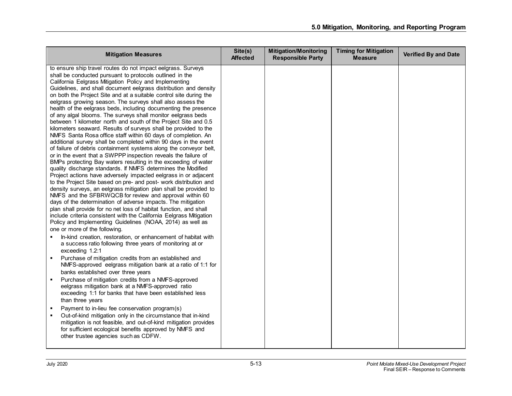| <b>Mitigation Measures</b>                                                                                                                                                                                                                                                                                                                                                                                                                                                                                                                                                                                                                                                                                                                                                                                                                                                                                                                                                                                                                                                                                                                                                                                                                                                                                                                                                                                                                                                                                                                                                                                                                                                                                                            | Site(s)<br><b>Affected</b> | <b>Mitigation/Monitoring</b><br><b>Responsible Party</b> | <b>Timing for Mitigation</b><br><b>Measure</b> | <b>Verified By and Date</b> |
|---------------------------------------------------------------------------------------------------------------------------------------------------------------------------------------------------------------------------------------------------------------------------------------------------------------------------------------------------------------------------------------------------------------------------------------------------------------------------------------------------------------------------------------------------------------------------------------------------------------------------------------------------------------------------------------------------------------------------------------------------------------------------------------------------------------------------------------------------------------------------------------------------------------------------------------------------------------------------------------------------------------------------------------------------------------------------------------------------------------------------------------------------------------------------------------------------------------------------------------------------------------------------------------------------------------------------------------------------------------------------------------------------------------------------------------------------------------------------------------------------------------------------------------------------------------------------------------------------------------------------------------------------------------------------------------------------------------------------------------|----------------------------|----------------------------------------------------------|------------------------------------------------|-----------------------------|
| to ensure ship travel routes do not impact eelgrass. Surveys<br>shall be conducted pursuant to protocols outlined in the<br>California Eelgrass Mitigation Policy and Implementing<br>Guidelines, and shall document eelgrass distribution and density<br>on both the Project Site and at a suitable control site during the<br>eelgrass growing season. The surveys shall also assess the<br>health of the eelgrass beds, including documenting the presence<br>of any algal blooms. The surveys shall monitor eelgrass beds<br>between 1 kilometer north and south of the Project Site and 0.5<br>kilometers seaward. Results of surveys shall be provided to the<br>NMFS Santa Rosa office staff within 60 days of completion. An<br>additional survey shall be completed within 90 days in the event<br>of failure of debris containment systems along the conveyor belt,<br>or in the event that a SWPPP inspection reveals the failure of<br>BMPs protecting Bay waters resulting in the exceeding of water<br>quality discharge standards. If NMFS determines the Modified<br>Project actions have adversely impacted eelgrass in or adjacent<br>to the Project Site based on pre- and post- work distribution and<br>density surveys, an eelgrass mitigation plan shall be provided to<br>NMFS and the SFBRWQCB for review and approval within 60<br>days of the determination of adverse impacts. The mitigation<br>plan shall provide for no net loss of habitat function, and shall<br>include criteria consistent with the California Eelgrass Mitigation<br>Policy and Implementing Guidelines (NOAA, 2014) as well as<br>one or more of the following.<br>In-kind creation, restoration, or enhancement of habitat with |                            |                                                          |                                                |                             |
| a success ratio following three years of monitoring at or<br>exceeding 1.2:1<br>Purchase of mitigation credits from an established and<br>$\blacksquare$<br>NMFS-approved eelgrass mitigation bank at a ratio of 1:1 for<br>banks established over three years                                                                                                                                                                                                                                                                                                                                                                                                                                                                                                                                                                                                                                                                                                                                                                                                                                                                                                                                                                                                                                                                                                                                                                                                                                                                                                                                                                                                                                                                        |                            |                                                          |                                                |                             |
| Purchase of mitigation credits from a NMFS-approved<br>$\blacksquare$<br>eelgrass mitigation bank at a NMFS-approved ratio<br>exceeding 1:1 for banks that have been established less<br>than three years                                                                                                                                                                                                                                                                                                                                                                                                                                                                                                                                                                                                                                                                                                                                                                                                                                                                                                                                                                                                                                                                                                                                                                                                                                                                                                                                                                                                                                                                                                                             |                            |                                                          |                                                |                             |
| Payment to in-lieu fee conservation program(s)<br>Out-of-kind mitigation only in the circumstance that in-kind<br>mitigation is not feasible, and out-of-kind mitigation provides<br>for sufficient ecological benefits approved by NMFS and<br>other trustee agencies such as CDFW.                                                                                                                                                                                                                                                                                                                                                                                                                                                                                                                                                                                                                                                                                                                                                                                                                                                                                                                                                                                                                                                                                                                                                                                                                                                                                                                                                                                                                                                  |                            |                                                          |                                                |                             |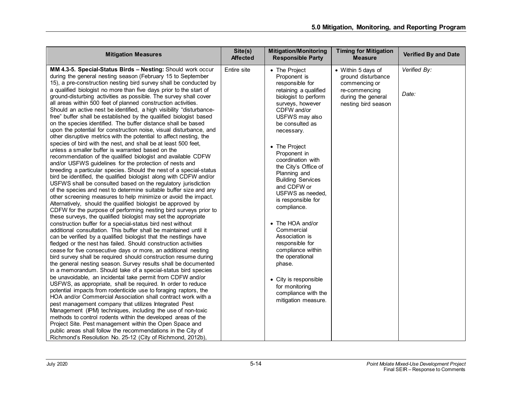| <b>Mitigation Measures</b>                                                                                                                                                                                                                                                                                                                                                                                                                                                                                                                                                                                                                                                                                                                                                                                                                                                                                                                                                                                                                                                                                                                                                                                                                                                                                                                                                                                                                                                                                                                                                                                                                                                                                                                                                                                                                                                                                                                                                                                                                                                                                                                                                                                                                                                                                                                                                                                                                                                                                                                                                                                                                                                                                             | Site(s)<br><b>Affected</b> | <b>Mitigation/Monitoring</b><br><b>Responsible Party</b>                                                                                                                                                                                                                                                                                                                                                                                                                                                                                                                                                    | <b>Timing for Mitigation</b><br><b>Measure</b>                                                                          | <b>Verified By and Date</b> |
|------------------------------------------------------------------------------------------------------------------------------------------------------------------------------------------------------------------------------------------------------------------------------------------------------------------------------------------------------------------------------------------------------------------------------------------------------------------------------------------------------------------------------------------------------------------------------------------------------------------------------------------------------------------------------------------------------------------------------------------------------------------------------------------------------------------------------------------------------------------------------------------------------------------------------------------------------------------------------------------------------------------------------------------------------------------------------------------------------------------------------------------------------------------------------------------------------------------------------------------------------------------------------------------------------------------------------------------------------------------------------------------------------------------------------------------------------------------------------------------------------------------------------------------------------------------------------------------------------------------------------------------------------------------------------------------------------------------------------------------------------------------------------------------------------------------------------------------------------------------------------------------------------------------------------------------------------------------------------------------------------------------------------------------------------------------------------------------------------------------------------------------------------------------------------------------------------------------------------------------------------------------------------------------------------------------------------------------------------------------------------------------------------------------------------------------------------------------------------------------------------------------------------------------------------------------------------------------------------------------------------------------------------------------------------------------------------------------------|----------------------------|-------------------------------------------------------------------------------------------------------------------------------------------------------------------------------------------------------------------------------------------------------------------------------------------------------------------------------------------------------------------------------------------------------------------------------------------------------------------------------------------------------------------------------------------------------------------------------------------------------------|-------------------------------------------------------------------------------------------------------------------------|-----------------------------|
| MM 4.3-5. Special-Status Birds - Nesting: Should work occur<br>during the general nesting season (February 15 to September<br>15), a pre-construction nesting bird survey shall be conducted by<br>a qualified biologist no more than five days prior to the start of<br>ground-disturbing activities as possible. The survey shall cover<br>all areas within 500 feet of planned construction activities.<br>Should an active nest be identified, a high visibility "disturbance-<br>free" buffer shall be established by the qualified biologist based<br>on the species identified. The buffer distance shall be based<br>upon the potential for construction noise, visual disturbance, and<br>other disruptive metrics with the potential to affect nesting, the<br>species of bird with the nest, and shall be at least 500 feet,<br>unless a smaller buffer is warranted based on the<br>recommendation of the qualified biologist and available CDFW<br>and/or USFWS guidelines for the protection of nests and<br>breeding a particular species. Should the nest of a special-status<br>bird be identified, the qualified biologist along with CDFW and/or<br>USFWS shall be consulted based on the regulatory jurisdiction<br>of the species and nest to determine suitable buffer size and any<br>other screening measures to help minimize or avoid the impact.<br>Alternatively, should the qualified biologist be approved by<br>CDFW for the purpose of performing nesting bird surveys prior to<br>these surveys, the qualified biologist may set the appropriate<br>construction buffer for a special-status bird nest without<br>additional consultation. This buffer shall be maintained until it<br>can be verified by a qualified biologist that the nestlings have<br>fledged or the nest has failed. Should construction activities<br>cease for five consecutive days or more, an additional nesting<br>bird survey shall be required should construction resume during<br>the general nesting season. Survey results shall be documented<br>in a memorandum. Should take of a special-status bird species<br>be unavoidable, an incidental take permit from CDFW and/or<br>USFWS, as appropriate, shall be required. In order to reduce<br>potential impacts from rodenticide use to foraging raptors, the<br>HOA and/or Commercial Association shall contract work with a<br>pest management company that utilizes Integrated Pest<br>Management (IPM) techniques, including the use of non-toxic<br>methods to control rodents within the developed areas of the<br>Project Site. Pest management within the Open Space and<br>public areas shall follow the recommendations in the City of | Entire site                | • The Project<br>Proponent is<br>responsible for<br>retaining a qualified<br>biologist to perform<br>surveys, however<br>CDFW and/or<br>USFWS may also<br>be consulted as<br>necessary.<br>• The Project<br>Proponent in<br>coordination with<br>the City's Office of<br>Planning and<br><b>Building Services</b><br>and CDFW or<br>USFWS as needed,<br>is responsible for<br>compliance.<br>• The HOA and/or<br>Commercial<br>Association is<br>responsible for<br>compliance within<br>the operational<br>phase.<br>• City is responsible<br>for monitoring<br>compliance with the<br>mitigation measure. | • Within 5 days of<br>ground disturbance<br>commencing or<br>re-commencing<br>during the general<br>nesting bird season | Verified By:<br>Date:       |
| Richmond's Resolution No. 25-12 (City of Richmond, 2012b),                                                                                                                                                                                                                                                                                                                                                                                                                                                                                                                                                                                                                                                                                                                                                                                                                                                                                                                                                                                                                                                                                                                                                                                                                                                                                                                                                                                                                                                                                                                                                                                                                                                                                                                                                                                                                                                                                                                                                                                                                                                                                                                                                                                                                                                                                                                                                                                                                                                                                                                                                                                                                                                             |                            |                                                                                                                                                                                                                                                                                                                                                                                                                                                                                                                                                                                                             |                                                                                                                         |                             |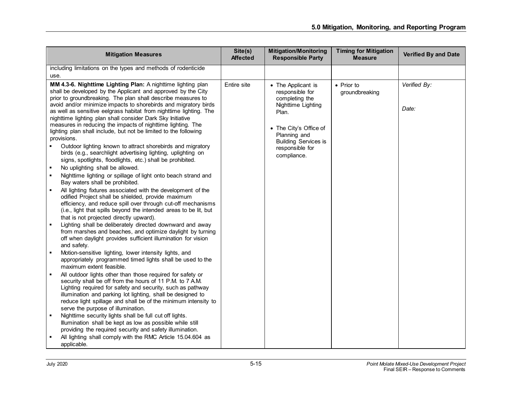|      | <b>Mitigation Measures</b>                                                                                                                                                                                                                                                                                                                                                                                                                                                                                                                                                                                                                                                                                                                                                                                                                                                               | Site(s)<br><b>Affected</b> | <b>Mitigation/Monitoring</b><br><b>Responsible Party</b>                                                                                                                                          | <b>Timing for Mitigation</b><br><b>Measure</b> | <b>Verified By and Date</b> |
|------|------------------------------------------------------------------------------------------------------------------------------------------------------------------------------------------------------------------------------------------------------------------------------------------------------------------------------------------------------------------------------------------------------------------------------------------------------------------------------------------------------------------------------------------------------------------------------------------------------------------------------------------------------------------------------------------------------------------------------------------------------------------------------------------------------------------------------------------------------------------------------------------|----------------------------|---------------------------------------------------------------------------------------------------------------------------------------------------------------------------------------------------|------------------------------------------------|-----------------------------|
|      | including limitations on the types and methods of rodenticide                                                                                                                                                                                                                                                                                                                                                                                                                                                                                                                                                                                                                                                                                                                                                                                                                            |                            |                                                                                                                                                                                                   |                                                |                             |
| use. |                                                                                                                                                                                                                                                                                                                                                                                                                                                                                                                                                                                                                                                                                                                                                                                                                                                                                          |                            |                                                                                                                                                                                                   |                                                |                             |
|      | MM 4.3-6. Nighttime Lighting Plan: A nighttime lighting plan<br>shall be developed by the Applicant and approved by the City<br>prior to groundbreaking. The plan shall describe measures to<br>avoid and/or minimize impacts to shorebirds and migratory birds<br>as well as sensitive eelgrass habitat from nighttime lighting. The<br>nighttime lighting plan shall consider Dark Sky Initiative<br>measures in reducing the impacts of nighttime lighting. The<br>lighting plan shall include, but not be limited to the following<br>provisions.<br>Outdoor lighting known to attract shorebirds and migratory<br>birds (e.g., searchlight advertising lighting, uplighting on<br>signs, spotlights, floodlights, etc.) shall be prohibited.<br>No uplighting shall be allowed.<br>Nighttime lighting or spillage of light onto beach strand and<br>Bay waters shall be prohibited. | Entire site                | • The Applicant is<br>responsible for<br>completing the<br>Nighttime Lighting<br>Plan.<br>• The City's Office of<br>Planning and<br><b>Building Services is</b><br>responsible for<br>compliance. | • Prior to<br>groundbreaking                   | Verified By:<br>Date:       |
| ٠    | All lighting fixtures associated with the development of the<br>odified Project shall be shielded, provide maximum<br>efficiency, and reduce spill over through cut-off mechanisms<br>(i.e., light that spills beyond the intended areas to be lit, but<br>that is not projected directly upward).<br>Lighting shall be deliberately directed downward and away<br>from marshes and beaches, and optimize daylight by turning<br>off when daylight provides sufficient illumination for vision<br>and safety.<br>Motion-sensitive lighting, lower intensity lights, and                                                                                                                                                                                                                                                                                                                  |                            |                                                                                                                                                                                                   |                                                |                             |
|      | appropriately programmed timed lights shall be used to the<br>maximum extent feasible.<br>All outdoor lights other than those required for safety or<br>security shall be off from the hours of 11 P.M. to 7 A.M.<br>Lighting required for safety and security, such as pathway<br>illumination and parking lot lighting, shall be designed to<br>reduce light spillage and shall be of the minimum intensity to<br>serve the purpose of illumination.<br>Nighttime security lights shall be full cut off lights.<br>Illumination shall be kept as low as possible while still<br>providing the required security and safety illumination.<br>All lighting shall comply with the RMC Article 15.04.604 as                                                                                                                                                                                |                            |                                                                                                                                                                                                   |                                                |                             |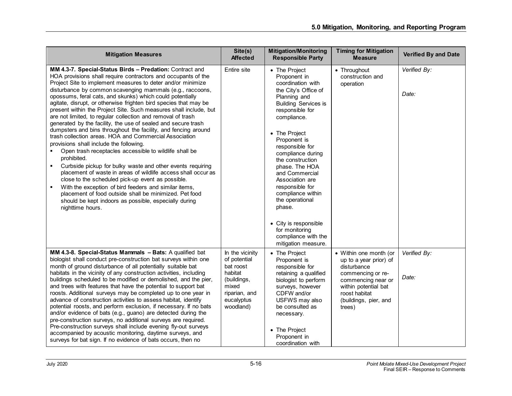| <b>Mitigation Measures</b>                                                                                                                                                                                                                                                                                                                                                                                                                                                                                                                                                                                                                                                                                                                                                                                                                                                                                                                                                                                                                                                                                                                                                                                                      | Site(s)<br><b>Affected</b>                                                                                                  | <b>Mitigation/Monitoring</b><br><b>Responsible Party</b>                                                                                                                                                                                                                                                                                                                                                                        | <b>Timing for Mitigation</b><br><b>Measure</b>                                                                                                                                         | <b>Verified By and Date</b> |
|---------------------------------------------------------------------------------------------------------------------------------------------------------------------------------------------------------------------------------------------------------------------------------------------------------------------------------------------------------------------------------------------------------------------------------------------------------------------------------------------------------------------------------------------------------------------------------------------------------------------------------------------------------------------------------------------------------------------------------------------------------------------------------------------------------------------------------------------------------------------------------------------------------------------------------------------------------------------------------------------------------------------------------------------------------------------------------------------------------------------------------------------------------------------------------------------------------------------------------|-----------------------------------------------------------------------------------------------------------------------------|---------------------------------------------------------------------------------------------------------------------------------------------------------------------------------------------------------------------------------------------------------------------------------------------------------------------------------------------------------------------------------------------------------------------------------|----------------------------------------------------------------------------------------------------------------------------------------------------------------------------------------|-----------------------------|
| MM 4.3-7. Special-Status Birds - Predation: Contract and<br>HOA provisions shall require contractors and occupants of the<br>Project Site to implement measures to deter and/or minimize<br>disturbance by common scavenging mammals (e.g., raccoons,<br>opossums, feral cats, and skunks) which could potentially<br>agitate, disrupt, or otherwise frighten bird species that may be<br>present within the Project Site. Such measures shall include, but<br>are not limited, to regular collection and removal of trash<br>generated by the facility, the use of sealed and secure trash<br>dumpsters and bins throughout the facility, and fencing around<br>trash collection areas. HOA and Commercial Association<br>provisions shall include the following.<br>Open trash receptacles accessible to wildlife shall be<br>prohibited.<br>Curbside pickup for bulky waste and other events requiring<br>placement of waste in areas of wildlife access shall occur as<br>close to the scheduled pick-up event as possible.<br>With the exception of bird feeders and similar items,<br>placement of food outside shall be minimized. Pet food<br>should be kept indoors as possible, especially during<br>nighttime hours. | Entire site                                                                                                                 | • The Project<br>Proponent in<br>coordination with<br>the City's Office of<br>Planning and<br><b>Building Services is</b><br>responsible for<br>compliance.<br>• The Project<br>Proponent is<br>responsible for<br>compliance during<br>the construction<br>phase. The HOA<br>and Commercial<br>Association are<br>responsible for<br>compliance within<br>the operational<br>phase.<br>• City is responsible<br>for monitoring | • Throughout<br>construction and<br>operation                                                                                                                                          | Verified By:<br>Date:       |
|                                                                                                                                                                                                                                                                                                                                                                                                                                                                                                                                                                                                                                                                                                                                                                                                                                                                                                                                                                                                                                                                                                                                                                                                                                 |                                                                                                                             | compliance with the<br>mitigation measure.                                                                                                                                                                                                                                                                                                                                                                                      |                                                                                                                                                                                        |                             |
| MM 4.3-8. Special-Status Mammals - Bats: A qualified bat<br>biologist shall conduct pre-construction bat surveys within one<br>month of ground disturbance of all potentially suitable bat<br>habitats in the vicinity of any construction activities, including<br>buildings scheduled to be modified or demolished, and the pier,<br>and trees with features that have the potential to support bat<br>roosts. Additional surveys may be completed up to one year in<br>advance of construction activities to assess habitat, identify<br>potential roosts, and perform exclusion, if necessary. If no bats<br>and/or evidence of bats (e.g., guano) are detected during the<br>pre-construction surveys, no additional surveys are required.<br>Pre-construction surveys shall include evening fly-out surveys<br>accompanied by acoustic monitoring, daytime surveys, and<br>surveys for bat sign. If no evidence of bats occurs, then no                                                                                                                                                                                                                                                                                   | In the vicinity<br>of potential<br>bat roost<br>habitat<br>(buildings,<br>mixed<br>riparian, and<br>eucalyptus<br>woodland) | • The Project<br>Proponent is<br>responsible for<br>retaining a qualified<br>biologist to perform<br>surveys, however<br>CDFW and/or<br>USFWS may also<br>be consulted as<br>necessary.<br>• The Project<br>Proponent in<br>coordination with                                                                                                                                                                                   | • Within one month (or<br>up to a year prior) of<br>disturbance<br>commencing or re-<br>commencing near or<br>within potential bat<br>roost habitat<br>(buildings, pier, and<br>trees) | Verified By:<br>Date:       |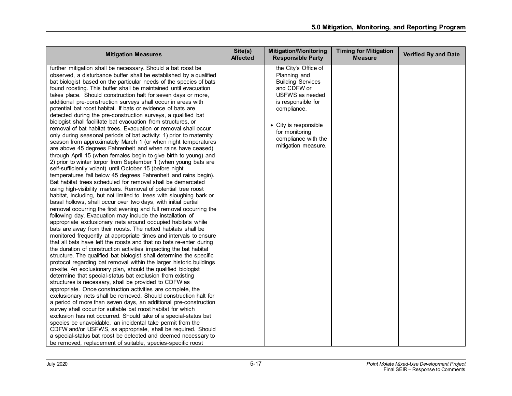| <b>Mitigation Measures</b>                                                                                                                                                                                                                                                                                                                                                                                                                                                                                                                                                                                                                                                                                                                                                                                                                                                                                                                                                                                                                                                                                                                                                                                                                                                                                                                                                                                                                                                                                                                                                                                                                                                                                                                                                                                                                                                                                                                                                                                                                                                                                                                                                                                                                                                                                                                                                                                                                                                                                                                                                                                                                                                                                                                                                                                                                                                    | Site(s)<br><b>Affected</b> | <b>Mitigation/Monitoring</b><br><b>Responsible Party</b>                                                                                                                                                                         | <b>Timing for Mitigation</b><br><b>Measure</b> | <b>Verified By and Date</b> |
|-------------------------------------------------------------------------------------------------------------------------------------------------------------------------------------------------------------------------------------------------------------------------------------------------------------------------------------------------------------------------------------------------------------------------------------------------------------------------------------------------------------------------------------------------------------------------------------------------------------------------------------------------------------------------------------------------------------------------------------------------------------------------------------------------------------------------------------------------------------------------------------------------------------------------------------------------------------------------------------------------------------------------------------------------------------------------------------------------------------------------------------------------------------------------------------------------------------------------------------------------------------------------------------------------------------------------------------------------------------------------------------------------------------------------------------------------------------------------------------------------------------------------------------------------------------------------------------------------------------------------------------------------------------------------------------------------------------------------------------------------------------------------------------------------------------------------------------------------------------------------------------------------------------------------------------------------------------------------------------------------------------------------------------------------------------------------------------------------------------------------------------------------------------------------------------------------------------------------------------------------------------------------------------------------------------------------------------------------------------------------------------------------------------------------------------------------------------------------------------------------------------------------------------------------------------------------------------------------------------------------------------------------------------------------------------------------------------------------------------------------------------------------------------------------------------------------------------------------------------------------------|----------------------------|----------------------------------------------------------------------------------------------------------------------------------------------------------------------------------------------------------------------------------|------------------------------------------------|-----------------------------|
| further mitigation shall be necessary. Should a bat roost be<br>observed, a disturbance buffer shall be established by a qualified<br>bat biologist based on the particular needs of the species of bats<br>found roosting. This buffer shall be maintained until evacuation<br>takes place. Should construction halt for seven days or more,<br>additional pre-construction surveys shall occur in areas with<br>potential bat roost habitat. If bats or evidence of bats are<br>detected during the pre-construction surveys, a qualified bat<br>biologist shall facilitate bat evacuation from structures, or<br>removal of bat habitat trees. Evacuation or removal shall occur<br>only during seasonal periods of bat activity: 1) prior to maternity<br>season from approximately March 1 (or when night temperatures<br>are above 45 degrees Fahrenheit and when rains have ceased)<br>through April 15 (when females begin to give birth to young) and<br>2) prior to winter torpor from September 1 (when young bats are<br>self-sufficiently volant) until October 15 (before night<br>temperatures fall below 45 degrees Fahrenheit and rains begin).<br>Bat habitat trees scheduled for removal shall be demarcated<br>using high-visibility markers. Removal of potential tree roost<br>habitat, including, but not limited to, trees with sloughing bark or<br>basal hollows, shall occur over two days, with initial partial<br>removal occurring the first evening and full removal occurring the<br>following day. Evacuation may include the installation of<br>appropriate exclusionary nets around occupied habitats while<br>bats are away from their roosts. The netted habitats shall be<br>monitored frequently at appropriate times and intervals to ensure<br>that all bats have left the roosts and that no bats re-enter during<br>the duration of construction activities impacting the bat habitat<br>structure. The qualified bat biologist shall determine the specific<br>protocol regarding bat removal within the larger historic buildings<br>on-site. An exclusionary plan, should the qualified biologist<br>determine that special-status bat exclusion from existing<br>structures is necessary, shall be provided to CDFW as<br>appropriate. Once construction activities are complete, the<br>exclusionary nets shall be removed. Should construction halt for<br>a period of more than seven days, an additional pre-construction<br>survey shall occur for suitable bat roost habitat for which<br>exclusion has not occurred. Should take of a special-status bat<br>species be unavoidable, an incidental take permit from the<br>CDFW and/or USFWS, as appropriate, shall be required. Should<br>a special-status bat roost be detected and deemed necessary to<br>be removed, replacement of suitable, species-specific roost |                            | the City's Office of<br>Planning and<br><b>Building Services</b><br>and CDFW or<br>USFWS as needed<br>is responsible for<br>compliance.<br>• City is responsible<br>for monitoring<br>compliance with the<br>mitigation measure. |                                                |                             |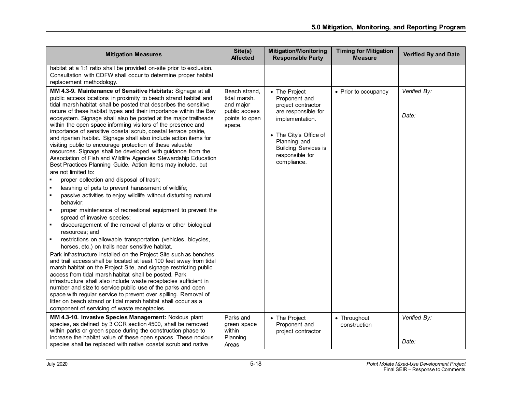| <b>Mitigation Measures</b>                                                                                                                                                                                                                                                                                                                                                                                                                                                                                                                                                                                                                                                                                                                                                                                                                                                                                                                                                                                                                                                                                                                                                                                                                                                                                                                                                                                                                                                                                                                                                                                                                                                                                                                                                                                                                                                                                                                                           | Site(s)<br><b>Affected</b>                                                              | <b>Mitigation/Monitoring</b><br><b>Responsible Party</b>                                                                                                                                                  | <b>Timing for Mitigation</b><br><b>Measure</b> | <b>Verified By and Date</b> |
|----------------------------------------------------------------------------------------------------------------------------------------------------------------------------------------------------------------------------------------------------------------------------------------------------------------------------------------------------------------------------------------------------------------------------------------------------------------------------------------------------------------------------------------------------------------------------------------------------------------------------------------------------------------------------------------------------------------------------------------------------------------------------------------------------------------------------------------------------------------------------------------------------------------------------------------------------------------------------------------------------------------------------------------------------------------------------------------------------------------------------------------------------------------------------------------------------------------------------------------------------------------------------------------------------------------------------------------------------------------------------------------------------------------------------------------------------------------------------------------------------------------------------------------------------------------------------------------------------------------------------------------------------------------------------------------------------------------------------------------------------------------------------------------------------------------------------------------------------------------------------------------------------------------------------------------------------------------------|-----------------------------------------------------------------------------------------|-----------------------------------------------------------------------------------------------------------------------------------------------------------------------------------------------------------|------------------------------------------------|-----------------------------|
| habitat at a 1:1 ratio shall be provided on-site prior to exclusion.<br>Consultation with CDFW shall occur to determine proper habitat<br>replacement methodology.                                                                                                                                                                                                                                                                                                                                                                                                                                                                                                                                                                                                                                                                                                                                                                                                                                                                                                                                                                                                                                                                                                                                                                                                                                                                                                                                                                                                                                                                                                                                                                                                                                                                                                                                                                                                   |                                                                                         |                                                                                                                                                                                                           |                                                |                             |
| MM 4.3-9. Maintenance of Sensitive Habitats: Signage at all<br>public access locations in proximity to beach strand habitat and<br>tidal marsh habitat shall be posted that describes the sensitive<br>nature of these habitat types and their importance within the Bay<br>ecosystem. Signage shall also be posted at the major trailheads<br>within the open space informing visitors of the presence and<br>importance of sensitive coastal scrub, coastal terrace prairie,<br>and riparian habitat. Signage shall also include action items for<br>visiting public to encourage protection of these valuable<br>resources. Signage shall be developed with guidance from the<br>Association of Fish and Wildlife Agencies Stewardship Education<br>Best Practices Planning Guide. Action items may include, but<br>are not limited to:<br>proper collection and disposal of trash;<br>leashing of pets to prevent harassment of wildlife;<br>٠<br>passive activities to enjoy wildlife without disturbing natural<br>٠<br>behavior:<br>proper maintenance of recreational equipment to prevent the<br>٠<br>spread of invasive species;<br>discouragement of the removal of plants or other biological<br>resources; and<br>restrictions on allowable transportation (vehicles, bicycles,<br>$\blacksquare$<br>horses, etc.) on trails near sensitive habitat.<br>Park infrastructure installed on the Project Site such as benches<br>and trail access shall be located at least 100 feet away from tidal<br>marsh habitat on the Project Site, and signage restricting public<br>access from tidal marsh habitat shall be posted. Park<br>infrastructure shall also include waste receptacles sufficient in<br>number and size to service public use of the parks and open<br>space with regular service to prevent over spilling. Removal of<br>litter on beach strand or tidal marsh habitat shall occur as a<br>component of servicing of waste receptacles. | Beach strand,<br>tidal marsh.<br>and major<br>public access<br>points to open<br>space. | • The Project<br>Proponent and<br>project contractor<br>are responsible for<br>implementation.<br>• The City's Office of<br>Planning and<br><b>Building Services is</b><br>responsible for<br>compliance. | • Prior to occupancy                           | Verified By:<br>Date:       |
| MM 4.3-10. Invasive Species Management: Noxious plant<br>species, as defined by 3 CCR section 4500, shall be removed<br>within parks or green space during the construction phase to<br>increase the habitat value of these open spaces. These noxious<br>species shall be replaced with native coastal scrub and native                                                                                                                                                                                                                                                                                                                                                                                                                                                                                                                                                                                                                                                                                                                                                                                                                                                                                                                                                                                                                                                                                                                                                                                                                                                                                                                                                                                                                                                                                                                                                                                                                                             | Parks and<br>green space<br>within<br>Planning<br>Areas                                 | • The Project<br>Proponent and<br>project contractor                                                                                                                                                      | • Throughout<br>construction                   | Verified By:<br>Date:       |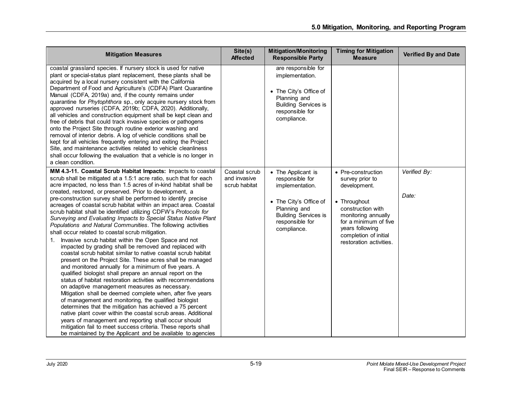| <b>Mitigation Measures</b>                                                                                                                                                                                                                                                                                                                                                                                                                                                                                                                                                                                                                                                                                                                                                                                                                                                                                                                                                                                                                                                                                                                                                                                                                                                                                                                                                                                                                                                                                                                                                                                      | Site(s)<br><b>Affected</b>                     | <b>Mitigation/Monitoring</b><br><b>Responsible Party</b>                                                                                                            | <b>Timing for Mitigation</b><br><b>Measure</b>                                                                                                                                                                    | <b>Verified By and Date</b> |
|-----------------------------------------------------------------------------------------------------------------------------------------------------------------------------------------------------------------------------------------------------------------------------------------------------------------------------------------------------------------------------------------------------------------------------------------------------------------------------------------------------------------------------------------------------------------------------------------------------------------------------------------------------------------------------------------------------------------------------------------------------------------------------------------------------------------------------------------------------------------------------------------------------------------------------------------------------------------------------------------------------------------------------------------------------------------------------------------------------------------------------------------------------------------------------------------------------------------------------------------------------------------------------------------------------------------------------------------------------------------------------------------------------------------------------------------------------------------------------------------------------------------------------------------------------------------------------------------------------------------|------------------------------------------------|---------------------------------------------------------------------------------------------------------------------------------------------------------------------|-------------------------------------------------------------------------------------------------------------------------------------------------------------------------------------------------------------------|-----------------------------|
| coastal grassland species. If nursery stock is used for native<br>plant or special-status plant replacement, these plants shall be<br>acquired by a local nursery consistent with the California<br>Department of Food and Agriculture's (CDFA) Plant Quarantine<br>Manual (CDFA, 2019a) and, if the county remains under<br>quarantine for Phytophthora sp., only acquire nursery stock from<br>approved nurseries (CDFA, 2019b; CDFA, 2020). Additionally,<br>all vehicles and construction equipment shall be kept clean and<br>free of debris that could track invasive species or pathogens<br>onto the Project Site through routine exterior washing and<br>removal of interior debris. A log of vehicle conditions shall be<br>kept for all vehicles frequently entering and exiting the Project<br>Site, and maintenance activities related to vehicle cleanliness<br>shall occur following the evaluation that a vehicle is no longer in<br>a clean condition.                                                                                                                                                                                                                                                                                                                                                                                                                                                                                                                                                                                                                                         |                                                | are responsible for<br>implementation.<br>• The City's Office of<br>Planning and<br><b>Building Services is</b><br>responsible for<br>compliance.                   |                                                                                                                                                                                                                   |                             |
| MM 4.3-11. Coastal Scrub Habitat Impacts: Impacts to coastal<br>scrub shall be mitigated at a 1.5:1 acre ratio, such that for each<br>acre impacted, no less than 1.5 acres of in-kind habitat shall be<br>created, restored, or preserved. Prior to development, a<br>pre-construction survey shall be performed to identify precise<br>acreages of coastal scrub habitat within an impact area. Coastal<br>scrub habitat shall be identified utilizing CDFW's Protocols for<br>Surveying and Evaluating Impacts to Special Status Native Plant<br>Populations and Natural Communities. The following activities<br>shall occur related to coastal scrub mitigation.<br>Invasive scrub habitat within the Open Space and not<br>1.<br>impacted by grading shall be removed and replaced with<br>coastal scrub habitat similar to native coastal scrub habitat<br>present on the Project Site. These acres shall be managed<br>and monitored annually for a minimum of five years. A<br>qualified biologist shall prepare an annual report on the<br>status of habitat restoration activities with recommendations<br>on adaptive management measures as necessary.<br>Mitigation shall be deemed complete when, after five years<br>of management and monitoring, the qualified biologist<br>determines that the mitigation has achieved a 75 percent<br>native plant cover within the coastal scrub areas. Additional<br>years of management and reporting shall occur should<br>mitigation fail to meet success criteria. These reports shall<br>be maintained by the Applicant and be available to agencies | Coastal scrub<br>and invasive<br>scrub habitat | • The Applicant is<br>responsible for<br>implementation.<br>• The City's Office of<br>Planning and<br><b>Building Services is</b><br>responsible for<br>compliance. | • Pre-construction<br>survey prior to<br>development.<br>• Throughout<br>construction with<br>monitoring annually<br>for a minimum of five<br>years following<br>completion of initial<br>restoration activities. | Verified By:<br>Date:       |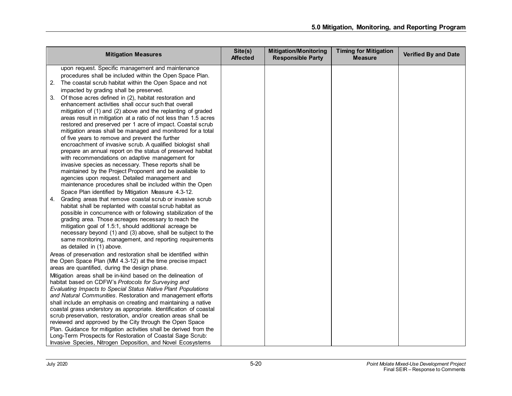|    | <b>Mitigation Measures</b>                                                                                                   | Site(s)<br><b>Affected</b> | <b>Mitigation/Monitoring</b><br><b>Responsible Party</b> | <b>Timing for Mitigation</b><br><b>Measure</b> | <b>Verified By and Date</b> |
|----|------------------------------------------------------------------------------------------------------------------------------|----------------------------|----------------------------------------------------------|------------------------------------------------|-----------------------------|
|    | upon request. Specific management and maintenance                                                                            |                            |                                                          |                                                |                             |
|    | procedures shall be included within the Open Space Plan.                                                                     |                            |                                                          |                                                |                             |
| 2. | The coastal scrub habitat within the Open Space and not                                                                      |                            |                                                          |                                                |                             |
|    | impacted by grading shall be preserved.                                                                                      |                            |                                                          |                                                |                             |
| 3. | Of those acres defined in (2), habitat restoration and                                                                       |                            |                                                          |                                                |                             |
|    | enhancement activities shall occur such that overall                                                                         |                            |                                                          |                                                |                             |
|    | mitigation of (1) and (2) above and the replanting of graded                                                                 |                            |                                                          |                                                |                             |
|    | areas result in mitigation at a ratio of not less than 1.5 acres                                                             |                            |                                                          |                                                |                             |
|    | restored and preserved per 1 acre of impact. Coastal scrub                                                                   |                            |                                                          |                                                |                             |
|    | mitigation areas shall be managed and monitored for a total                                                                  |                            |                                                          |                                                |                             |
|    | of five years to remove and prevent the further                                                                              |                            |                                                          |                                                |                             |
|    | encroachment of invasive scrub. A qualified biologist shall                                                                  |                            |                                                          |                                                |                             |
|    | prepare an annual report on the status of preserved habitat<br>with recommendations on adaptive management for               |                            |                                                          |                                                |                             |
|    | invasive species as necessary. These reports shall be                                                                        |                            |                                                          |                                                |                             |
|    | maintained by the Project Proponent and be available to                                                                      |                            |                                                          |                                                |                             |
|    | agencies upon request. Detailed management and                                                                               |                            |                                                          |                                                |                             |
|    | maintenance procedures shall be included within the Open                                                                     |                            |                                                          |                                                |                             |
|    | Space Plan identified by Mitigation Measure 4.3-12.                                                                          |                            |                                                          |                                                |                             |
| 4. | Grading areas that remove coastal scrub or invasive scrub                                                                    |                            |                                                          |                                                |                             |
|    | habitat shall be replanted with coastal scrub habitat as                                                                     |                            |                                                          |                                                |                             |
|    | possible in concurrence with or following stabilization of the                                                               |                            |                                                          |                                                |                             |
|    | grading area. Those acreages necessary to reach the                                                                          |                            |                                                          |                                                |                             |
|    | mitigation goal of 1.5:1, should additional acreage be                                                                       |                            |                                                          |                                                |                             |
|    | necessary beyond (1) and (3) above, shall be subject to the                                                                  |                            |                                                          |                                                |                             |
|    | same monitoring, management, and reporting requirements                                                                      |                            |                                                          |                                                |                             |
|    | as detailed in (1) above.                                                                                                    |                            |                                                          |                                                |                             |
|    | Areas of preservation and restoration shall be identified within                                                             |                            |                                                          |                                                |                             |
|    | the Open Space Plan (MM 4.3-12) at the time precise impact                                                                   |                            |                                                          |                                                |                             |
|    | areas are quantified, during the design phase.                                                                               |                            |                                                          |                                                |                             |
|    | Mitigation areas shall be in-kind based on the delineation of                                                                |                            |                                                          |                                                |                             |
|    | habitat based on CDFW's Protocols for Surveying and                                                                          |                            |                                                          |                                                |                             |
|    | Evaluating Impacts to Special Status Native Plant Populations<br>and Natural Communities. Restoration and management efforts |                            |                                                          |                                                |                             |
|    | shall include an emphasis on creating and maintaining a native                                                               |                            |                                                          |                                                |                             |
|    | coastal grass understory as appropriate. Identification of coastal                                                           |                            |                                                          |                                                |                             |
|    | scrub preservation, restoration, and/or creation areas shall be                                                              |                            |                                                          |                                                |                             |
|    | reviewed and approved by the City through the Open Space                                                                     |                            |                                                          |                                                |                             |
|    | Plan. Guidance for mitigation activities shall be derived from the                                                           |                            |                                                          |                                                |                             |
|    | Long-Term Prospects for Restoration of Coastal Sage Scrub:                                                                   |                            |                                                          |                                                |                             |
|    | Invasive Species, Nitrogen Deposition, and Novel Ecosystems                                                                  |                            |                                                          |                                                |                             |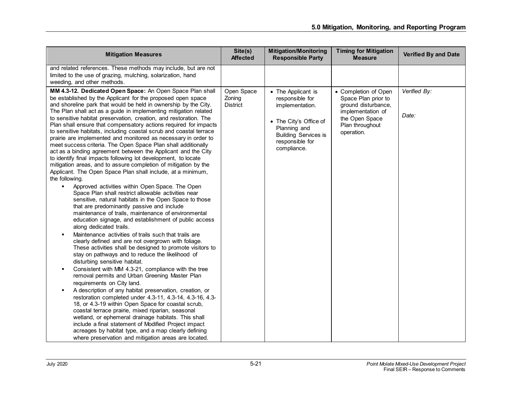| <b>Mitigation Measures</b>                                                                                                                                                                                                                                                                                                                                                                                                                                                                                                                                                                                                                                                                                                                                                                                                                                                                                                                                                                                                                                                                                                                                                                                                                                                                                                                                                                                                                                                                                                                                                                                                                                                                                                                                                                                                                                                                                                                                                                                                                                                                                                                                             | Site(s)<br><b>Affected</b>              | <b>Mitigation/Monitoring</b><br><b>Responsible Party</b>                                                                                                            | <b>Timing for Mitigation</b><br><b>Measure</b>                                                                                             | <b>Verified By and Date</b> |
|------------------------------------------------------------------------------------------------------------------------------------------------------------------------------------------------------------------------------------------------------------------------------------------------------------------------------------------------------------------------------------------------------------------------------------------------------------------------------------------------------------------------------------------------------------------------------------------------------------------------------------------------------------------------------------------------------------------------------------------------------------------------------------------------------------------------------------------------------------------------------------------------------------------------------------------------------------------------------------------------------------------------------------------------------------------------------------------------------------------------------------------------------------------------------------------------------------------------------------------------------------------------------------------------------------------------------------------------------------------------------------------------------------------------------------------------------------------------------------------------------------------------------------------------------------------------------------------------------------------------------------------------------------------------------------------------------------------------------------------------------------------------------------------------------------------------------------------------------------------------------------------------------------------------------------------------------------------------------------------------------------------------------------------------------------------------------------------------------------------------------------------------------------------------|-----------------------------------------|---------------------------------------------------------------------------------------------------------------------------------------------------------------------|--------------------------------------------------------------------------------------------------------------------------------------------|-----------------------------|
| and related references. These methods may include, but are not<br>limited to the use of grazing, mulching, solarization, hand<br>weeding, and other methods.                                                                                                                                                                                                                                                                                                                                                                                                                                                                                                                                                                                                                                                                                                                                                                                                                                                                                                                                                                                                                                                                                                                                                                                                                                                                                                                                                                                                                                                                                                                                                                                                                                                                                                                                                                                                                                                                                                                                                                                                           |                                         |                                                                                                                                                                     |                                                                                                                                            |                             |
| MM 4.3-12. Dedicated Open Space: An Open Space Plan shall<br>be established by the Applicant for the proposed open space<br>and shoreline park that would be held in ownership by the City.<br>The Plan shall act as a guide in implementing mitigation related<br>to sensitive habitat preservation, creation, and restoration. The<br>Plan shall ensure that compensatory actions required for impacts<br>to sensitive habitats, including coastal scrub and coastal terrace<br>prairie are implemented and monitored as necessary in order to<br>meet success criteria. The Open Space Plan shall additionally<br>act as a binding agreement between the Applicant and the City<br>to identify final impacts following lot development, to locate<br>mitigation areas, and to assure completion of mitigation by the<br>Applicant. The Open Space Plan shall include, at a minimum,<br>the following.<br>Approved activities within Open Space. The Open<br>٠<br>Space Plan shall restrict allowable activities near<br>sensitive, natural habitats in the Open Space to those<br>that are predominantly passive and include<br>maintenance of trails, maintenance of environmental<br>education signage, and establishment of public access<br>along dedicated trails.<br>Maintenance activities of trails such that trails are<br>clearly defined and are not overgrown with foliage.<br>These activities shall be designed to promote visitors to<br>stay on pathways and to reduce the likelihood of<br>disturbing sensitive habitat.<br>Consistent with MM 4.3-21, compliance with the tree<br>$\blacksquare$<br>removal permits and Urban Greening Master Plan<br>requirements on City land.<br>A description of any habitat preservation, creation, or<br>restoration completed under 4.3-11, 4.3-14, 4.3-16, 4.3-<br>18, or 4.3-19 within Open Space for coastal scrub,<br>coastal terrace prairie, mixed riparian, seasonal<br>wetland, or ephemeral drainage habitats. This shall<br>include a final statement of Modified Project impact<br>acreages by habitat type, and a map clearly defining<br>where preservation and mitigation areas are located. | Open Space<br>Zoning<br><b>District</b> | • The Applicant is<br>responsible for<br>implementation.<br>• The City's Office of<br>Planning and<br><b>Building Services is</b><br>responsible for<br>compliance. | • Completion of Open<br>Space Plan prior to<br>ground disturbance,<br>implementation of<br>the Open Space<br>Plan throughout<br>operation. | Verified By:<br>Date:       |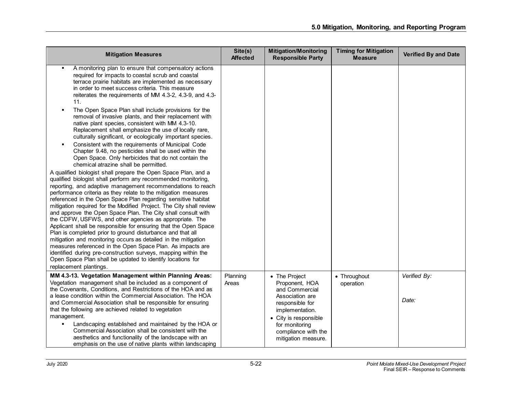| <b>Mitigation Measures</b>                                                                                                                                                                                                                                                                                                                                                                                                                                                                                                                                                                                                                                                                                                                                                                                                                                                                                                                                                                                                                                                                                                                                                                                                                                                                                                                                                                                                                                                                                                                                                                                                                                                                                                                                                              | Site(s)<br><b>Affected</b> | <b>Mitigation/Monitoring</b><br><b>Responsible Party</b>                                                                                                                                            | <b>Timing for Mitigation</b><br><b>Measure</b> | <b>Verified By and Date</b> |
|-----------------------------------------------------------------------------------------------------------------------------------------------------------------------------------------------------------------------------------------------------------------------------------------------------------------------------------------------------------------------------------------------------------------------------------------------------------------------------------------------------------------------------------------------------------------------------------------------------------------------------------------------------------------------------------------------------------------------------------------------------------------------------------------------------------------------------------------------------------------------------------------------------------------------------------------------------------------------------------------------------------------------------------------------------------------------------------------------------------------------------------------------------------------------------------------------------------------------------------------------------------------------------------------------------------------------------------------------------------------------------------------------------------------------------------------------------------------------------------------------------------------------------------------------------------------------------------------------------------------------------------------------------------------------------------------------------------------------------------------------------------------------------------------|----------------------------|-----------------------------------------------------------------------------------------------------------------------------------------------------------------------------------------------------|------------------------------------------------|-----------------------------|
| A monitoring plan to ensure that compensatory actions<br>required for impacts to coastal scrub and coastal<br>terrace prairie habitats are implemented as necessary<br>in order to meet success criteria. This measure<br>reiterates the requirements of MM 4.3-2, 4.3-9, and 4.3-<br>11.<br>The Open Space Plan shall include provisions for the<br>removal of invasive plants, and their replacement with<br>native plant species, consistent with MM 4.3-10.<br>Replacement shall emphasize the use of locally rare,<br>culturally significant, or ecologically important species.<br>Consistent with the requirements of Municipal Code<br>$\blacksquare$<br>Chapter 9.48, no pesticides shall be used within the<br>Open Space. Only herbicides that do not contain the<br>chemical atrazine shall be permitted.<br>A qualified biologist shall prepare the Open Space Plan, and a<br>qualified biologist shall perform any recommended monitoring,<br>reporting, and adaptive management recommendations to reach<br>performance criteria as they relate to the mitigation measures<br>referenced in the Open Space Plan regarding sensitive habitat<br>mitigation required for the Modified Project. The City shall review<br>and approve the Open Space Plan. The City shall consult with<br>the CDFW, USFWS, and other agencies as appropriate. The<br>Applicant shall be responsible for ensuring that the Open Space<br>Plan is completed prior to ground disturbance and that all<br>mitigation and monitoring occurs as detailed in the mitigation<br>measures referenced in the Open Space Plan. As impacts are<br>identified during pre-construction surveys, mapping within the<br>Open Space Plan shall be updated to identify locations for<br>replacement plantings. |                            |                                                                                                                                                                                                     |                                                |                             |
| MM 4.3-13. Vegetation Management within Planning Areas:<br>Vegetation management shall be included as a component of<br>the Covenants, Conditions, and Restrictions of the HOA and as<br>a lease condition within the Commercial Association. The HOA<br>and Commercial Association shall be responsible for ensuring<br>that the following are achieved related to vegetation<br>management.<br>Landscaping established and maintained by the HOA or<br>٠<br>Commercial Association shall be consistent with the<br>aesthetics and functionality of the landscape with an<br>emphasis on the use of native plants within landscaping                                                                                                                                                                                                                                                                                                                                                                                                                                                                                                                                                                                                                                                                                                                                                                                                                                                                                                                                                                                                                                                                                                                                                   | Planning<br>Areas          | • The Project<br>Proponent, HOA<br>and Commercial<br>Association are<br>responsible for<br>implementation.<br>• City is responsible<br>for monitoring<br>compliance with the<br>mitigation measure. | • Throughout<br>operation                      | Verified By:<br>Date:       |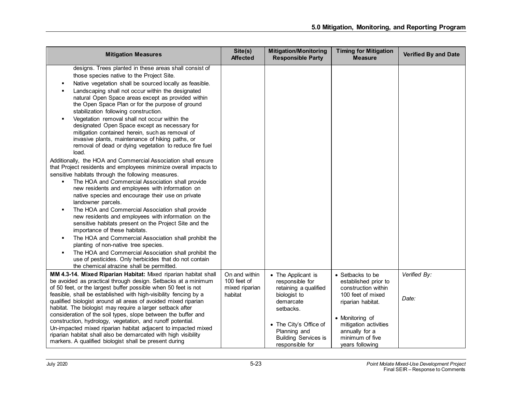| <b>Mitigation Measures</b>                                                                                                                                                                                                                                                                                                                                                                                                                                                                                                                                                                                                                                                                                                                                                                                                                                                                                                                                                                                                                                                                                                                                                                                                                                                                                                                                                                                                                                                                              | Site(s)<br><b>Affected</b>                                | <b>Mitigation/Monitoring</b><br><b>Responsible Party</b>                                                                                                                                             | <b>Timing for Mitigation</b><br><b>Measure</b>                                                                                                                                                                | <b>Verified By and Date</b> |
|---------------------------------------------------------------------------------------------------------------------------------------------------------------------------------------------------------------------------------------------------------------------------------------------------------------------------------------------------------------------------------------------------------------------------------------------------------------------------------------------------------------------------------------------------------------------------------------------------------------------------------------------------------------------------------------------------------------------------------------------------------------------------------------------------------------------------------------------------------------------------------------------------------------------------------------------------------------------------------------------------------------------------------------------------------------------------------------------------------------------------------------------------------------------------------------------------------------------------------------------------------------------------------------------------------------------------------------------------------------------------------------------------------------------------------------------------------------------------------------------------------|-----------------------------------------------------------|------------------------------------------------------------------------------------------------------------------------------------------------------------------------------------------------------|---------------------------------------------------------------------------------------------------------------------------------------------------------------------------------------------------------------|-----------------------------|
| designs. Trees planted in these areas shall consist of<br>those species native to the Project Site.<br>Native vegetation shall be sourced locally as feasible.<br>Landscaping shall not occur within the designated<br>natural Open Space areas except as provided within<br>the Open Space Plan or for the purpose of ground<br>stabilization following construction.<br>Vegetation removal shall not occur within the<br>designated Open Space except as necessary for<br>mitigation contained herein, such as removal of<br>invasive plants, maintenance of hiking paths, or<br>removal of dead or dying vegetation to reduce fire fuel<br>load.<br>Additionally, the HOA and Commercial Association shall ensure<br>that Project residents and employees minimize overall impacts to<br>sensitive habitats through the following measures.<br>The HOA and Commercial Association shall provide<br>new residents and employees with information on<br>native species and encourage their use on private<br>landowner parcels.<br>The HOA and Commercial Association shall provide<br>new residents and employees with information on the<br>sensitive habitats present on the Project Site and the<br>importance of these habitats.<br>The HOA and Commercial Association shall prohibit the<br>planting of non-native tree species.<br>The HOA and Commercial Association shall prohibit the<br>use of pesticides. Only herbicides that do not contain<br>the chemical atrazine shall be permitted. |                                                           |                                                                                                                                                                                                      |                                                                                                                                                                                                               |                             |
| MM 4.3-14. Mixed Riparian Habitat: Mixed riparian habitat shall<br>be avoided as practical through design. Setbacks at a minimum<br>of 50 feet, or the largest buffer possible when 50 feet is not<br>feasible, shall be established with high-visibility fencing by a<br>qualified biologist around all areas of avoided mixed riparian<br>habitat. The biologist may require a larger setback after<br>consideration of the soil types, slope between the buffer and<br>construction, hydrology, vegetation, and runoff potential.<br>Un-impacted mixed riparian habitat adjacent to impacted mixed<br>riparian habitat shall also be demarcated with high visibility<br>markers. A qualified biologist shall be present during                                                                                                                                                                                                                                                                                                                                                                                                                                                                                                                                                                                                                                                                                                                                                                       | On and within<br>100 feet of<br>mixed riparian<br>habitat | • The Applicant is<br>responsible for<br>retaining a qualified<br>biologist to<br>demarcate<br>setbacks.<br>• The City's Office of<br>Planning and<br><b>Building Services is</b><br>responsible for | • Setbacks to be<br>established prior to<br>construction within<br>100 feet of mixed<br>riparian habitat.<br>• Monitoring of<br>mitigation activities<br>annually for a<br>minimum of five<br>years following | Verified By:<br>Date:       |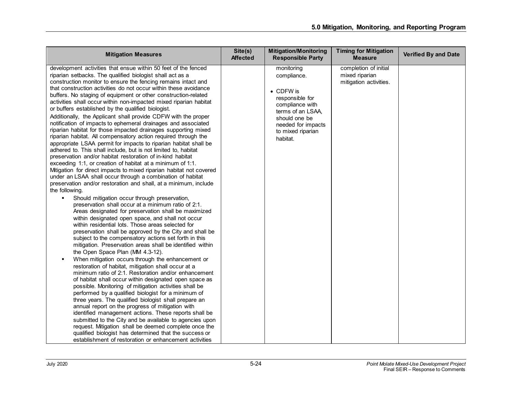| <b>Mitigation Measures</b>                                                                                                                                                                                                                                                                                                                                                                                                                                                                                                                                                                                                                                                                                                                                                                                                                                                                                                                                                                                                                                                                                                                                                                                                                                                                                                                                                                                                                                                                                                                                                                                                                                                                                                                                                                                                                                                                                                                                                                                                                                                                                                                                                                                                                                                                                                                                                                                                                                                                    | Site(s)<br><b>Affected</b> | <b>Mitigation/Monitoring</b><br><b>Responsible Party</b>                                                                                                                          | <b>Timing for Mitigation</b><br><b>Measure</b>                    | <b>Verified By and Date</b> |
|-----------------------------------------------------------------------------------------------------------------------------------------------------------------------------------------------------------------------------------------------------------------------------------------------------------------------------------------------------------------------------------------------------------------------------------------------------------------------------------------------------------------------------------------------------------------------------------------------------------------------------------------------------------------------------------------------------------------------------------------------------------------------------------------------------------------------------------------------------------------------------------------------------------------------------------------------------------------------------------------------------------------------------------------------------------------------------------------------------------------------------------------------------------------------------------------------------------------------------------------------------------------------------------------------------------------------------------------------------------------------------------------------------------------------------------------------------------------------------------------------------------------------------------------------------------------------------------------------------------------------------------------------------------------------------------------------------------------------------------------------------------------------------------------------------------------------------------------------------------------------------------------------------------------------------------------------------------------------------------------------------------------------------------------------------------------------------------------------------------------------------------------------------------------------------------------------------------------------------------------------------------------------------------------------------------------------------------------------------------------------------------------------------------------------------------------------------------------------------------------------|----------------------------|-----------------------------------------------------------------------------------------------------------------------------------------------------------------------------------|-------------------------------------------------------------------|-----------------------------|
| development activities that ensue within 50 feet of the fenced<br>riparian setbacks. The qualified biologist shall act as a<br>construction monitor to ensure the fencing remains intact and<br>that construction activities do not occur within these avoidance<br>buffers. No staging of equipment or other construction-related<br>activities shall occur within non-impacted mixed riparian habitat<br>or buffers established by the qualified biologist.<br>Additionally, the Applicant shall provide CDFW with the proper<br>notification of impacts to ephemeral drainages and associated<br>riparian habitat for those impacted drainages supporting mixed<br>riparian habitat. All compensatory action required through the<br>appropriate LSAA permit for impacts to riparian habitat shall be<br>adhered to. This shall include, but is not limited to, habitat<br>preservation and/or habitat restoration of in-kind habitat<br>exceeding 1:1, or creation of habitat at a minimum of 1:1.<br>Mitigation for direct impacts to mixed riparian habitat not covered<br>under an LSAA shall occur through a combination of habitat<br>preservation and/or restoration and shall, at a minimum, include<br>the following.<br>Should mitigation occur through preservation,<br>preservation shall occur at a minimum ratio of 2:1.<br>Areas designated for preservation shall be maximized<br>within designated open space, and shall not occur<br>within residential lots. Those areas selected for<br>preservation shall be approved by the City and shall be<br>subject to the compensatory actions set forth in this<br>mitigation. Preservation areas shall be identified within<br>the Open Space Plan (MM 4.3-12).<br>When mitigation occurs through the enhancement or<br>restoration of habitat, mitigation shall occur at a<br>minimum ratio of 2:1. Restoration and/or enhancement<br>of habitat shall occur within designated open space as<br>possible. Monitoring of mitigation activities shall be<br>performed by a qualified biologist for a minimum of<br>three years. The qualified biologist shall prepare an<br>annual report on the progress of mitigation with<br>identified management actions. These reports shall be<br>submitted to the City and be available to agencies upon<br>request. Mitigation shall be deemed complete once the<br>qualified biologist has determined that the success or<br>establishment of restoration or enhancement activities |                            | monitoring<br>compliance.<br>$\bullet$ CDFW is<br>responsible for<br>compliance with<br>terms of an LSAA.<br>should one be<br>needed for impacts<br>to mixed riparian<br>habitat. | completion of initial<br>mixed riparian<br>mitigation activities. |                             |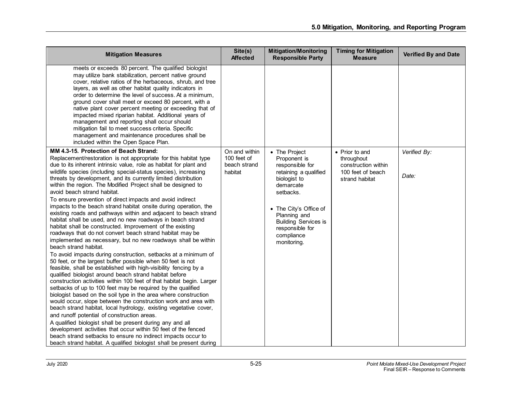| <b>Mitigation Measures</b>                                                                                                                                                                                                                                                                                                                                                                                                                                                                                                                                                                                                                                                                                                                                                                                                                                                                                                                                                                                                                                                                                                                                                                                                                                                                                                                                                                                                                                                                                                                                                                                                                                                                                                                                                                                                                      | Site(s)<br><b>Affected</b>                              | <b>Mitigation/Monitoring</b><br><b>Responsible Party</b>                                                                                                                                                                                     | <b>Timing for Mitigation</b><br><b>Measure</b>                                             | <b>Verified By and Date</b> |
|-------------------------------------------------------------------------------------------------------------------------------------------------------------------------------------------------------------------------------------------------------------------------------------------------------------------------------------------------------------------------------------------------------------------------------------------------------------------------------------------------------------------------------------------------------------------------------------------------------------------------------------------------------------------------------------------------------------------------------------------------------------------------------------------------------------------------------------------------------------------------------------------------------------------------------------------------------------------------------------------------------------------------------------------------------------------------------------------------------------------------------------------------------------------------------------------------------------------------------------------------------------------------------------------------------------------------------------------------------------------------------------------------------------------------------------------------------------------------------------------------------------------------------------------------------------------------------------------------------------------------------------------------------------------------------------------------------------------------------------------------------------------------------------------------------------------------------------------------|---------------------------------------------------------|----------------------------------------------------------------------------------------------------------------------------------------------------------------------------------------------------------------------------------------------|--------------------------------------------------------------------------------------------|-----------------------------|
| meets or exceeds 80 percent. The qualified biologist<br>may utilize bank stabilization, percent native ground<br>cover, relative ratios of the herbaceous, shrub, and tree<br>layers, as well as other habitat quality indicators in<br>order to determine the level of success. At a minimum,<br>ground cover shall meet or exceed 80 percent, with a<br>native plant cover percent meeting or exceeding that of<br>impacted mixed riparian habitat. Additional years of<br>management and reporting shall occur should<br>mitigation fail to meet success criteria. Specific<br>management and maintenance procedures shall be<br>included within the Open Space Plan.                                                                                                                                                                                                                                                                                                                                                                                                                                                                                                                                                                                                                                                                                                                                                                                                                                                                                                                                                                                                                                                                                                                                                                        |                                                         |                                                                                                                                                                                                                                              |                                                                                            |                             |
| MM 4.3-15. Protection of Beach Strand:<br>Replacement/restoration is not appropriate for this habitat type<br>due to its inherent intrinsic value, role as habitat for plant and<br>wildlife species (including special-status species), increasing<br>threats by development, and its currently limited distribution<br>within the region. The Modified Project shall be designed to<br>avoid beach strand habitat.<br>To ensure prevention of direct impacts and avoid indirect<br>impacts to the beach strand habitat onsite during operation, the<br>existing roads and pathways within and adjacent to beach strand<br>habitat shall be used, and no new roadways in beach strand<br>habitat shall be constructed. Improvement of the existing<br>roadways that do not convert beach strand habitat may be<br>implemented as necessary, but no new roadways shall be within<br>beach strand habitat.<br>To avoid impacts during construction, setbacks at a minimum of<br>50 feet, or the largest buffer possible when 50 feet is not<br>feasible, shall be established with high-visibility fencing by a<br>qualified biologist around beach strand habitat before<br>construction activities within 100 feet of that habitat begin. Larger<br>setbacks of up to 100 feet may be required by the qualified<br>biologist based on the soil type in the area where construction<br>would occur, slope between the construction work and area with<br>beach strand habitat, local hydrology, existing vegetative cover,<br>and runoff potential of construction areas.<br>A qualified biologist shall be present during any and all<br>development activities that occur within 50 feet of the fenced<br>beach strand setbacks to ensure no indirect impacts occur to<br>beach strand habitat. A qualified biologist shall be present during | On and within<br>100 feet of<br>beach strand<br>habitat | • The Project<br>Proponent is<br>responsible for<br>retaining a qualified<br>biologist to<br>demarcate<br>setbacks.<br>• The City's Office of<br>Planning and<br><b>Building Services is</b><br>responsible for<br>compliance<br>monitoring. | • Prior to and<br>throughout<br>construction within<br>100 feet of beach<br>strand habitat | Verified By:<br>Date:       |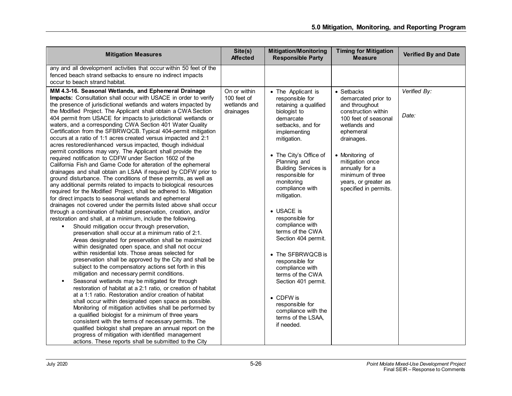| <b>Mitigation Measures</b>                                                                                                                                                                                                                                                                                                                                                                                                                                                                                                                                                                                                                                                                                                                                                                                                                                                                                                                                                                                                                                                                                                                                                                                                                                                                                                                                                                                                                                                                                                                                                                                                                                                                                                                                                                                                                                                                                                                                                                                                                                                                                                                                                                                                                                                                                                                                                            | Site(s)<br><b>Affected</b>                               | <b>Mitigation/Monitoring</b><br><b>Responsible Party</b>                                                                                                                                                                                                                                                                                                                                                                                                                                                                                                                                    | <b>Timing for Mitigation</b><br><b>Measure</b>                                                                                                                                                                                                                             | <b>Verified By and Date</b> |
|---------------------------------------------------------------------------------------------------------------------------------------------------------------------------------------------------------------------------------------------------------------------------------------------------------------------------------------------------------------------------------------------------------------------------------------------------------------------------------------------------------------------------------------------------------------------------------------------------------------------------------------------------------------------------------------------------------------------------------------------------------------------------------------------------------------------------------------------------------------------------------------------------------------------------------------------------------------------------------------------------------------------------------------------------------------------------------------------------------------------------------------------------------------------------------------------------------------------------------------------------------------------------------------------------------------------------------------------------------------------------------------------------------------------------------------------------------------------------------------------------------------------------------------------------------------------------------------------------------------------------------------------------------------------------------------------------------------------------------------------------------------------------------------------------------------------------------------------------------------------------------------------------------------------------------------------------------------------------------------------------------------------------------------------------------------------------------------------------------------------------------------------------------------------------------------------------------------------------------------------------------------------------------------------------------------------------------------------------------------------------------------|----------------------------------------------------------|---------------------------------------------------------------------------------------------------------------------------------------------------------------------------------------------------------------------------------------------------------------------------------------------------------------------------------------------------------------------------------------------------------------------------------------------------------------------------------------------------------------------------------------------------------------------------------------------|----------------------------------------------------------------------------------------------------------------------------------------------------------------------------------------------------------------------------------------------------------------------------|-----------------------------|
| any and all development activities that occur within 50 feet of the<br>fenced beach strand setbacks to ensure no indirect impacts<br>occur to beach strand habitat.                                                                                                                                                                                                                                                                                                                                                                                                                                                                                                                                                                                                                                                                                                                                                                                                                                                                                                                                                                                                                                                                                                                                                                                                                                                                                                                                                                                                                                                                                                                                                                                                                                                                                                                                                                                                                                                                                                                                                                                                                                                                                                                                                                                                                   |                                                          |                                                                                                                                                                                                                                                                                                                                                                                                                                                                                                                                                                                             |                                                                                                                                                                                                                                                                            |                             |
| MM 4.3-16. Seasonal Wetlands, and Ephemeral Drainage<br>Impacts: Consultation shall occur with USACE in order to verify<br>the presence of jurisdictional wetlands and waters impacted by<br>the Modified Project. The Applicant shall obtain a CWA Section<br>404 permit from USACE for impacts to jurisdictional wetlands or<br>waters, and a corresponding CWA Section 401 Water Quality<br>Certification from the SFBRWQCB. Typical 404-permit mitigation<br>occurs at a ratio of 1:1 acres created versus impacted and 2:1<br>acres restored/enhanced versus impacted, though individual<br>permit conditions may vary. The Applicant shall provide the<br>required notification to CDFW under Section 1602 of the<br>California Fish and Game Code for alteration of the ephemeral<br>drainages and shall obtain an LSAA if required by CDFW prior to<br>ground disturbance. The conditions of these permits, as well as<br>any additional permits related to impacts to biological resources<br>required for the Modified Project, shall be adhered to. Mitigation<br>for direct impacts to seasonal wetlands and ephemeral<br>drainages not covered under the permits listed above shall occur<br>through a combination of habitat preservation, creation, and/or<br>restoration and shall, at a minimum, include the following.<br>Should mitigation occur through preservation,<br>preservation shall occur at a minimum ratio of 2:1.<br>Areas designated for preservation shall be maximized<br>within designated open space, and shall not occur<br>within residential lots. Those areas selected for<br>preservation shall be approved by the City and shall be<br>subject to the compensatory actions set forth in this<br>mitigation and necessary permit conditions.<br>Seasonal wetlands may be mitigated for through<br>٠<br>restoration of habitat at a 2:1 ratio, or creation of habitat<br>at a 1:1 ratio. Restoration and/or creation of habitat<br>shall occur within designated open space as possible.<br>Monitoring of mitigation activities shall be performed by<br>a qualified biologist for a minimum of three years<br>consistent with the terms of necessary permits. The<br>qualified biologist shall prepare an annual report on the<br>progress of mitigation with identified management<br>actions. These reports shall be submitted to the City | On or within<br>100 feet of<br>wetlands and<br>drainages | • The Applicant is<br>responsible for<br>retaining a qualified<br>biologist to<br>demarcate<br>setbacks, and for<br>implementing<br>mitigation.<br>• The City's Office of<br>Planning and<br><b>Building Services is</b><br>responsible for<br>monitoring<br>compliance with<br>mitigation.<br>• USACE is<br>responsible for<br>compliance with<br>terms of the CWA<br>Section 404 permit.<br>• The SFBRWQCB is<br>responsible for<br>compliance with<br>terms of the CWA<br>Section 401 permit.<br>• CDFW is<br>responsible for<br>compliance with the<br>terms of the LSAA,<br>if needed. | • Setbacks<br>demarcated prior to<br>and throughout<br>construction within<br>100 feet of seasonal<br>wetlands and<br>ephemeral<br>drainages.<br>• Monitoring of<br>mitigation once<br>annually for a<br>minimum of three<br>years, or greater as<br>specified in permits. | Verified By:<br>Date:       |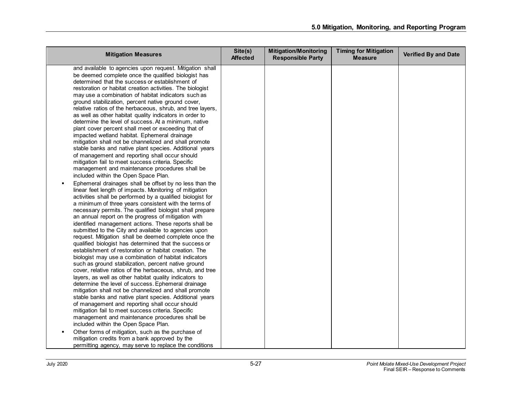| <b>Mitigation Measures</b>                                                                                                                                                                                                                                                                                                                                                                                                                                                                                                                                                                                                                                                                                                                                                                                                                                                                                                                                                                                                                                                                                                                                                                                                                                                                                                                                                                                                                                                                                                                                                                                                                                                                                                                                                                                                                                                                                                                                                                                                                                                                                                                                                                                                                                                                                                                         | Site(s)<br><b>Affected</b> | <b>Mitigation/Monitoring</b><br><b>Responsible Party</b> | <b>Timing for Mitigation</b><br><b>Measure</b> | <b>Verified By and Date</b> |
|----------------------------------------------------------------------------------------------------------------------------------------------------------------------------------------------------------------------------------------------------------------------------------------------------------------------------------------------------------------------------------------------------------------------------------------------------------------------------------------------------------------------------------------------------------------------------------------------------------------------------------------------------------------------------------------------------------------------------------------------------------------------------------------------------------------------------------------------------------------------------------------------------------------------------------------------------------------------------------------------------------------------------------------------------------------------------------------------------------------------------------------------------------------------------------------------------------------------------------------------------------------------------------------------------------------------------------------------------------------------------------------------------------------------------------------------------------------------------------------------------------------------------------------------------------------------------------------------------------------------------------------------------------------------------------------------------------------------------------------------------------------------------------------------------------------------------------------------------------------------------------------------------------------------------------------------------------------------------------------------------------------------------------------------------------------------------------------------------------------------------------------------------------------------------------------------------------------------------------------------------------------------------------------------------------------------------------------------------|----------------------------|----------------------------------------------------------|------------------------------------------------|-----------------------------|
| and available to agencies upon request. Mitigation shall<br>be deemed complete once the qualified biologist has<br>determined that the success or establishment of<br>restoration or habitat creation activities. The biologist<br>may use a combination of habitat indicators such as<br>ground stabilization, percent native ground cover,<br>relative ratios of the herbaceous, shrub, and tree layers,<br>as well as other habitat quality indicators in order to<br>determine the level of success. At a minimum, native<br>plant cover percent shall meet or exceeding that of<br>impacted wetland habitat. Ephemeral drainage<br>mitigation shall not be channelized and shall promote<br>stable banks and native plant species. Additional years<br>of management and reporting shall occur should<br>mitigation fail to meet success criteria. Specific<br>management and maintenance procedures shall be<br>included within the Open Space Plan.<br>Ephemeral drainages shall be offset by no less than the<br>linear feet length of impacts. Monitoring of mitigation<br>activities shall be performed by a qualified biologist for<br>a minimum of three years consistent with the terms of<br>necessary permits. The qualified biologist shall prepare<br>an annual report on the progress of mitigation with<br>identified management actions. These reports shall be<br>submitted to the City and available to agencies upon<br>request. Mitigation shall be deemed complete once the<br>qualified biologist has determined that the success or<br>establishment of restoration or habitat creation. The<br>biologist may use a combination of habitat indicators<br>such as ground stabilization, percent native ground<br>cover, relative ratios of the herbaceous, shrub, and tree<br>layers, as well as other habitat quality indicators to<br>determine the level of success. Ephemeral drainage<br>mitigation shall not be channelized and shall promote<br>stable banks and native plant species. Additional years<br>of management and reporting shall occur should<br>mitigation fail to meet success criteria. Specific<br>management and maintenance procedures shall be<br>included within the Open Space Plan.<br>Other forms of mitigation, such as the purchase of<br>mitigation credits from a bank approved by the |                            |                                                          |                                                |                             |
| permitting agency, may serve to replace the conditions                                                                                                                                                                                                                                                                                                                                                                                                                                                                                                                                                                                                                                                                                                                                                                                                                                                                                                                                                                                                                                                                                                                                                                                                                                                                                                                                                                                                                                                                                                                                                                                                                                                                                                                                                                                                                                                                                                                                                                                                                                                                                                                                                                                                                                                                                             |                            |                                                          |                                                |                             |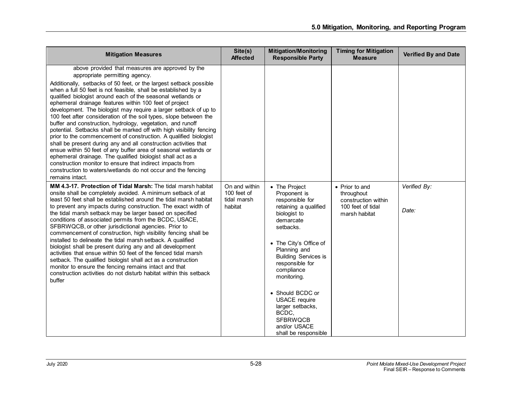| <b>Mitigation Measures</b>                                                                                                                                                                                                                                                                                                                                                                                                                                                                                                                                                                                                                                                                                                                                                                                                                                                                                                                                                                                                                                  | Site(s)<br><b>Affected</b>                             | <b>Mitigation/Monitoring</b><br><b>Responsible Party</b>                                                                                                                                                                                                                                                                                                                         | <b>Timing for Mitigation</b><br><b>Measure</b>                                            | Verified By and Date  |
|-------------------------------------------------------------------------------------------------------------------------------------------------------------------------------------------------------------------------------------------------------------------------------------------------------------------------------------------------------------------------------------------------------------------------------------------------------------------------------------------------------------------------------------------------------------------------------------------------------------------------------------------------------------------------------------------------------------------------------------------------------------------------------------------------------------------------------------------------------------------------------------------------------------------------------------------------------------------------------------------------------------------------------------------------------------|--------------------------------------------------------|----------------------------------------------------------------------------------------------------------------------------------------------------------------------------------------------------------------------------------------------------------------------------------------------------------------------------------------------------------------------------------|-------------------------------------------------------------------------------------------|-----------------------|
| above provided that measures are approved by the<br>appropriate permitting agency.<br>Additionally, setbacks of 50 feet, or the largest setback possible<br>when a full 50 feet is not feasible, shall be established by a<br>qualified biologist around each of the seasonal wetlands or<br>ephemeral drainage features within 100 feet of project<br>development. The biologist may require a larger setback of up to<br>100 feet after consideration of the soil types, slope between the<br>buffer and construction, hydrology, vegetation, and runoff<br>potential. Setbacks shall be marked off with high visibility fencing<br>prior to the commencement of construction. A qualified biologist<br>shall be present during any and all construction activities that<br>ensue within 50 feet of any buffer area of seasonal wetlands or<br>ephemeral drainage. The qualified biologist shall act as a<br>construction monitor to ensure that indirect impacts from<br>construction to waters/wetlands do not occur and the fencing<br>remains intact. |                                                        |                                                                                                                                                                                                                                                                                                                                                                                  |                                                                                           |                       |
| MM 4.3-17. Protection of Tidal Marsh: The tidal marsh habitat<br>onsite shall be completely avoided. A minimum setback of at<br>least 50 feet shall be established around the tidal marsh habitat<br>to prevent any impacts during construction. The exact width of<br>the tidal marsh setback may be larger based on specified<br>conditions of associated permits from the BCDC, USACE,<br>SFBRWQCB, or other jurisdictional agencies. Prior to<br>commencement of construction, high visibility fencing shall be<br>installed to delineate the tidal marsh setback. A qualified<br>biologist shall be present during any and all development<br>activities that ensue within 50 feet of the fenced tidal marsh<br>setback. The qualified biologist shall act as a construction<br>monitor to ensure the fencing remains intact and that<br>construction activities do not disturb habitat within this setback<br>buffer                                                                                                                                  | On and within<br>100 feet of<br>tidal marsh<br>habitat | • The Project<br>Proponent is<br>responsible for<br>retaining a qualified<br>biologist to<br>demarcate<br>setbacks.<br>• The City's Office of<br>Planning and<br><b>Building Services is</b><br>responsible for<br>compliance<br>monitoring.<br>• Should BCDC or<br><b>USACE</b> require<br>larger setbacks,<br>BCDC,<br><b>SFBRWQCB</b><br>and/or USACE<br>shall be responsible | • Prior to and<br>throughout<br>construction within<br>100 feet of tidal<br>marsh habitat | Verified By:<br>Date: |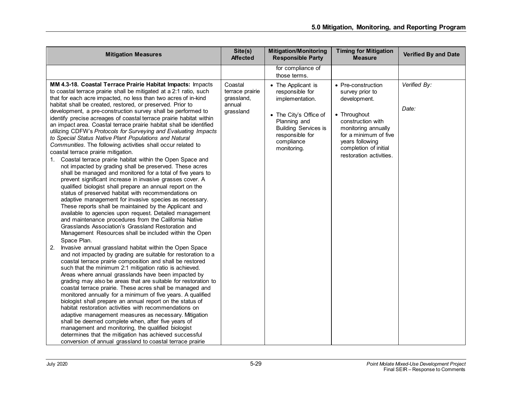| <b>Mitigation Measures</b>                                                                                                                                                                                                                                                                                                                                                                                                                                                                                                                                                                                                                                                                                                                                                                                                                                                                                                                                                                                                                                                                                                                                                                                                                                                                                                                                                                                                                                                                                                             | Site(s)<br><b>Affected</b>                                      | <b>Mitigation/Monitoring</b><br><b>Responsible Party</b>                                                                                                                          | <b>Timing for Mitigation</b><br><b>Measure</b>                                                                                                                                                                    | <b>Verified By and Date</b> |
|----------------------------------------------------------------------------------------------------------------------------------------------------------------------------------------------------------------------------------------------------------------------------------------------------------------------------------------------------------------------------------------------------------------------------------------------------------------------------------------------------------------------------------------------------------------------------------------------------------------------------------------------------------------------------------------------------------------------------------------------------------------------------------------------------------------------------------------------------------------------------------------------------------------------------------------------------------------------------------------------------------------------------------------------------------------------------------------------------------------------------------------------------------------------------------------------------------------------------------------------------------------------------------------------------------------------------------------------------------------------------------------------------------------------------------------------------------------------------------------------------------------------------------------|-----------------------------------------------------------------|-----------------------------------------------------------------------------------------------------------------------------------------------------------------------------------|-------------------------------------------------------------------------------------------------------------------------------------------------------------------------------------------------------------------|-----------------------------|
|                                                                                                                                                                                                                                                                                                                                                                                                                                                                                                                                                                                                                                                                                                                                                                                                                                                                                                                                                                                                                                                                                                                                                                                                                                                                                                                                                                                                                                                                                                                                        |                                                                 | for compliance of<br>those terms.                                                                                                                                                 |                                                                                                                                                                                                                   |                             |
| MM 4.3-18. Coastal Terrace Prairie Habitat Impacts: Impacts<br>to coastal terrace prairie shall be mitigated at a 2:1 ratio, such<br>that for each acre impacted, no less than two acres of in-kind<br>habitat shall be created, restored, or preserved. Prior to<br>development, a pre-construction survey shall be performed to<br>identify precise acreages of coastal terrace prairie habitat within<br>an impact area. Coastal terrace prairie habitat shall be identified<br>utilizing CDFW's Protocols for Surveying and Evaluating Impacts<br>to Special Status Native Plant Populations and Natural<br>Communities. The following activities shall occur related to<br>coastal terrace prairie mitigation.<br>1. Coastal terrace prairie habitat within the Open Space and<br>not impacted by grading shall be preserved. These acres<br>shall be managed and monitored for a total of five years to<br>prevent significant increase in invasive grasses cover. A<br>qualified biologist shall prepare an annual report on the<br>status of preserved habitat with recommendations on<br>adaptive management for invasive species as necessary.<br>These reports shall be maintained by the Applicant and<br>available to agencies upon request. Detailed management<br>and maintenance procedures from the California Native<br>Grasslands Association's Grassland Restoration and<br>Management Resources shall be included within the Open<br>Space Plan.<br>Invasive annual grassland habitat within the Open Space<br>2. | Coastal<br>terrace prairie<br>grassland,<br>annual<br>grassland | • The Applicant is<br>responsible for<br>implementation.<br>• The City's Office of<br>Planning and<br><b>Building Services is</b><br>responsible for<br>compliance<br>monitoring. | • Pre-construction<br>survey prior to<br>development.<br>• Throughout<br>construction with<br>monitoring annually<br>for a minimum of five<br>years following<br>completion of initial<br>restoration activities. | Verified By:<br>Date:       |
| and not impacted by grading are suitable for restoration to a<br>coastal terrace prairie composition and shall be restored<br>such that the minimum 2:1 mitigation ratio is achieved.<br>Areas where annual grasslands have been impacted by<br>grading may also be areas that are suitable for restoration to<br>coastal terrace prairie. These acres shall be managed and<br>monitored annually for a minimum of five years. A qualified<br>biologist shall prepare an annual report on the status of<br>habitat restoration activities with recommendations on<br>adaptive management measures as necessary. Mitigation<br>shall be deemed complete when, after five years of<br>management and monitoring, the qualified biologist<br>determines that the mitigation has achieved successful<br>conversion of annual grassland to coastal terrace prairie                                                                                                                                                                                                                                                                                                                                                                                                                                                                                                                                                                                                                                                                          |                                                                 |                                                                                                                                                                                   |                                                                                                                                                                                                                   |                             |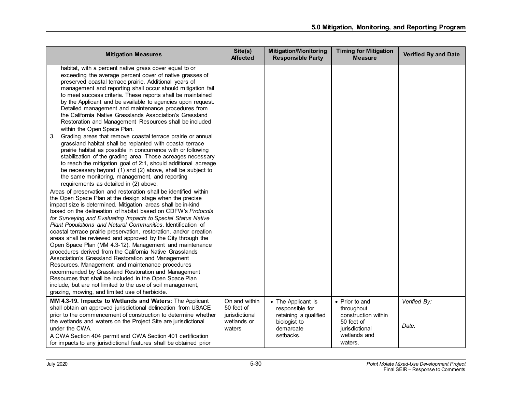| <b>Mitigation Measures</b>                                                                                                                                                                                                                                                                                                                                                                                                                                                                                                                                                                                                                                                                                                                                                                                                                                                                                                                                                                                                                                                                                                                                                                                                                                                                                                                                                                                                                                                                                                                                                                                                                                                                                                                                                                                                                                                                                                                                                                                                                                                                     | Site(s)<br><b>Affected</b>                                             | <b>Mitigation/Monitoring</b><br><b>Responsible Party</b>                                                 | <b>Timing for Mitigation</b><br><b>Measure</b>                                                                 | Verified By and Date  |
|------------------------------------------------------------------------------------------------------------------------------------------------------------------------------------------------------------------------------------------------------------------------------------------------------------------------------------------------------------------------------------------------------------------------------------------------------------------------------------------------------------------------------------------------------------------------------------------------------------------------------------------------------------------------------------------------------------------------------------------------------------------------------------------------------------------------------------------------------------------------------------------------------------------------------------------------------------------------------------------------------------------------------------------------------------------------------------------------------------------------------------------------------------------------------------------------------------------------------------------------------------------------------------------------------------------------------------------------------------------------------------------------------------------------------------------------------------------------------------------------------------------------------------------------------------------------------------------------------------------------------------------------------------------------------------------------------------------------------------------------------------------------------------------------------------------------------------------------------------------------------------------------------------------------------------------------------------------------------------------------------------------------------------------------------------------------------------------------|------------------------------------------------------------------------|----------------------------------------------------------------------------------------------------------|----------------------------------------------------------------------------------------------------------------|-----------------------|
| habitat, with a percent native grass cover equal to or<br>exceeding the average percent cover of native grasses of<br>preserved coastal terrace prairie. Additional years of<br>management and reporting shall occur should mitigation fail<br>to meet success criteria. These reports shall be maintained<br>by the Applicant and be available to agencies upon request.<br>Detailed management and maintenance procedures from<br>the California Native Grasslands Association's Grassland<br>Restoration and Management Resources shall be included<br>within the Open Space Plan.<br>Grading areas that remove coastal terrace prairie or annual<br>3.<br>grassland habitat shall be replanted with coastal terrace<br>prairie habitat as possible in concurrence with or following<br>stabilization of the grading area. Those acreages necessary<br>to reach the mitigation goal of 2:1, should additional acreage<br>be necessary beyond (1) and (2) above, shall be subject to<br>the same monitoring, management, and reporting<br>requirements as detailed in (2) above.<br>Areas of preservation and restoration shall be identified within<br>the Open Space Plan at the design stage when the precise<br>impact size is determined. Mitigation areas shall be in-kind<br>based on the delineation of habitat based on CDFW's Protocols<br>for Surveying and Evaluating Impacts to Special Status Native<br>Plant Populations and Natural Communities. Identification of<br>coastal terrace prairie preservation, restoration, and/or creation<br>areas shall be reviewed and approved by the City through the<br>Open Space Plan (MM 4.3-12). Management and maintenance<br>procedures derived from the California Native Grasslands<br>Association's Grassland Restoration and Management<br>Resources. Management and maintenance procedures<br>recommended by Grassland Restoration and Management<br>Resources that shall be included in the Open Space Plan<br>include, but are not limited to the use of soil management,<br>grazing, mowing, and limited use of herbicide. |                                                                        |                                                                                                          |                                                                                                                |                       |
| MM 4.3-19. Impacts to Wetlands and Waters: The Applicant<br>shall obtain an approved jurisdictional delineation from USACE<br>prior to the commencement of construction to determine whether<br>the wetlands and waters on the Project Site are jurisdictional<br>under the CWA.<br>A CWA Section 404 permit and CWA Section 401 certification<br>for impacts to any jurisdictional features shall be obtained prior                                                                                                                                                                                                                                                                                                                                                                                                                                                                                                                                                                                                                                                                                                                                                                                                                                                                                                                                                                                                                                                                                                                                                                                                                                                                                                                                                                                                                                                                                                                                                                                                                                                                           | On and within<br>50 feet of<br>jurisdictional<br>wetlands or<br>waters | • The Applicant is<br>responsible for<br>retaining a qualified<br>biologist to<br>demarcate<br>setbacks. | • Prior to and<br>throughout<br>construction within<br>50 feet of<br>jurisdictional<br>wetlands and<br>waters. | Verified By:<br>Date: |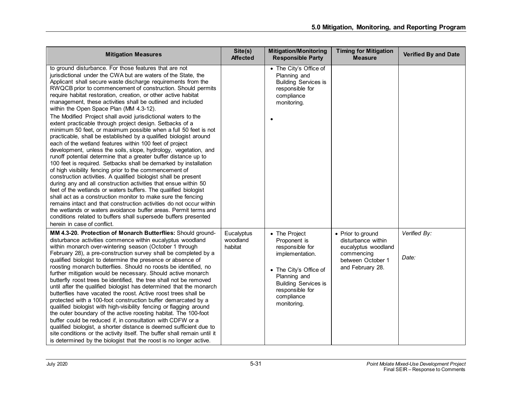| <b>Mitigation Measures</b>                                                                                                                                                                                                                                                                                                                                                                                                                                                                                                                                                                                                                                                                                                                                                                                                                                                                                                                                                                                                                                                                                                                                                                                                                                                                                                                                                                                                                                                                                                                                    | Site(s)<br><b>Affected</b>        | <b>Mitigation/Monitoring</b><br><b>Responsible Party</b>                                                                                                                                     | <b>Timing for Mitigation</b><br><b>Measure</b>                                                                        | <b>Verified By and Date</b> |
|---------------------------------------------------------------------------------------------------------------------------------------------------------------------------------------------------------------------------------------------------------------------------------------------------------------------------------------------------------------------------------------------------------------------------------------------------------------------------------------------------------------------------------------------------------------------------------------------------------------------------------------------------------------------------------------------------------------------------------------------------------------------------------------------------------------------------------------------------------------------------------------------------------------------------------------------------------------------------------------------------------------------------------------------------------------------------------------------------------------------------------------------------------------------------------------------------------------------------------------------------------------------------------------------------------------------------------------------------------------------------------------------------------------------------------------------------------------------------------------------------------------------------------------------------------------|-----------------------------------|----------------------------------------------------------------------------------------------------------------------------------------------------------------------------------------------|-----------------------------------------------------------------------------------------------------------------------|-----------------------------|
| to ground disturbance. For those features that are not<br>jurisdictional under the CWA but are waters of the State, the<br>Applicant shall secure waste discharge requirements from the<br>RWQCB prior to commencement of construction. Should permits<br>require habitat restoration, creation, or other active habitat<br>management, these activities shall be outlined and included<br>within the Open Space Plan (MM 4.3-12).<br>The Modified Project shall avoid jurisdictional waters to the<br>extent practicable through project design. Setbacks of a<br>minimum 50 feet, or maximum possible when a full 50 feet is not<br>practicable, shall be established by a qualified biologist around<br>each of the wetland features within 100 feet of project<br>development, unless the soils, slope, hydrology, vegetation, and<br>runoff potential determine that a greater buffer distance up to<br>100 feet is required. Setbacks shall be demarked by installation<br>of high visibility fencing prior to the commencement of<br>construction activities. A qualified biologist shall be present<br>during any and all construction activities that ensue within 50<br>feet of the wetlands or waters buffers. The qualified biologist<br>shall act as a construction monitor to make sure the fencing<br>remains intact and that construction activities do not occur within<br>the wetlands or waters avoidance buffer areas. Permit terms and<br>conditions related to buffers shall supersede buffers presented<br>herein in case of conflict. |                                   | • The City's Office of<br>Planning and<br><b>Building Services is</b><br>responsible for<br>compliance<br>monitoring.                                                                        |                                                                                                                       |                             |
| MM 4.3-20. Protection of Monarch Butterflies: Should ground-<br>disturbance activities commence within eucalyptus woodland<br>within monarch over-wintering season (October 1 through<br>February 28), a pre-construction survey shall be completed by a<br>qualified biologist to determine the presence or absence of<br>roosting monarch butterflies. Should no roosts be identified, no<br>further mitigation would be necessary. Should active monarch<br>butterfly roost trees be identified, the tree shall not be removed<br>until after the qualified biologist has determined that the monarch<br>butterflies have vacated the roost. Active roost trees shall be<br>protected with a 100-foot construction buffer demarcated by a<br>qualified biologist with high-visibility fencing or flagging around<br>the outer boundary of the active roosting habitat. The 100-foot<br>buffer could be reduced if, in consultation with CDFW or a<br>qualified biologist, a shorter distance is deemed sufficient due to<br>site conditions or the activity itself. The buffer shall remain until it<br>is determined by the biologist that the roost is no longer active.                                                                                                                                                                                                                                                                                                                                                                                 | Eucalyptus<br>woodland<br>habitat | • The Project<br>Proponent is<br>responsible for<br>implementation.<br>• The City's Office of<br>Planning and<br><b>Building Services is</b><br>responsible for<br>compliance<br>monitoring. | • Prior to ground<br>disturbance within<br>eucalyptus woodland<br>commencing<br>between October 1<br>and February 28. | Verified By:<br>Date:       |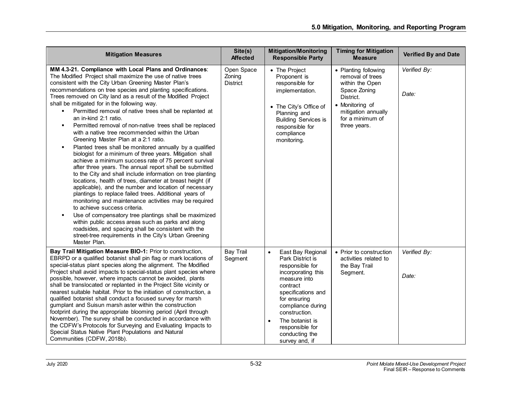| <b>Mitigation Measures</b>                                                                                                                                                                                                                                                                                                                                                                                                                                                                                                                                                                                                                                                                                                                                                                                                                                                                                                                                                                                                                                                                                                                                                                                                                                                                                                                                                                                                                   | Site(s)<br><b>Affected</b>              | <b>Mitigation/Monitoring</b><br><b>Responsible Party</b>                                                                                                                                                                                                                      | <b>Timing for Mitigation</b><br><b>Measure</b>                                                                                                                         | <b>Verified By and Date</b> |
|----------------------------------------------------------------------------------------------------------------------------------------------------------------------------------------------------------------------------------------------------------------------------------------------------------------------------------------------------------------------------------------------------------------------------------------------------------------------------------------------------------------------------------------------------------------------------------------------------------------------------------------------------------------------------------------------------------------------------------------------------------------------------------------------------------------------------------------------------------------------------------------------------------------------------------------------------------------------------------------------------------------------------------------------------------------------------------------------------------------------------------------------------------------------------------------------------------------------------------------------------------------------------------------------------------------------------------------------------------------------------------------------------------------------------------------------|-----------------------------------------|-------------------------------------------------------------------------------------------------------------------------------------------------------------------------------------------------------------------------------------------------------------------------------|------------------------------------------------------------------------------------------------------------------------------------------------------------------------|-----------------------------|
| MM 4.3-21. Compliance with Local Plans and Ordinances:<br>The Modified Project shall maximize the use of native trees<br>consistent with the City Urban Greening Master Plan's<br>recommendations on tree species and planting specifications.<br>Trees removed on City land as a result of the Modified Project<br>shall be mitigated for in the following way.<br>Permitted removal of native trees shall be replanted at<br>an in-kind 2:1 ratio.<br>Permitted removal of non-native trees shall be replaced<br>with a native tree recommended within the Urban<br>Greening Master Plan at a 2:1 ratio.<br>Planted trees shall be monitored annually by a qualified<br>biologist for a minimum of three years. Mitigation shall<br>achieve a minimum success rate of 75 percent survival<br>after three years. The annual report shall be submitted<br>to the City and shall include information on tree planting<br>locations, health of trees, diameter at breast height (if<br>applicable), and the number and location of necessary<br>plantings to replace failed trees. Additional years of<br>monitoring and maintenance activities may be required<br>to achieve success criteria.<br>Use of compensatory tree plantings shall be maximized<br>within public access areas such as parks and along<br>roadsides, and spacing shall be consistent with the<br>street-tree requirements in the City's Urban Greening<br>Master Plan. | Open Space<br>Zoning<br><b>District</b> | • The Project<br>Proponent is<br>responsible for<br>implementation.<br>• The City's Office of<br>Planning and<br><b>Building Services is</b><br>responsible for<br>compliance<br>monitoring.                                                                                  | • Planting following<br>removal of trees<br>within the Open<br>Space Zoning<br>District.<br>• Monitoring of<br>mitigation annually<br>for a minimum of<br>three years. | Verified By:<br>Date:       |
| Bay Trail Mitigation Measure BIO-1: Prior to construction,<br>EBRPD or a qualified botanist shall pin flag or mark locations of<br>special-status plant species along the alignment. The Modified<br>Project shall avoid impacts to special-status plant species where<br>possible, however, where impacts cannot be avoided, plants<br>shall be translocated or replanted in the Project Site vicinity or<br>nearest suitable habitat. Prior to the initiation of construction, a<br>qualified botanist shall conduct a focused survey for marsh<br>gumplant and Suisun marsh aster within the construction<br>footprint during the appropriate blooming period (April through<br>November). The survey shall be conducted in accordance with<br>the CDFW's Protocols for Surveying and Evaluating Impacts to<br>Special Status Native Plant Populations and Natural<br>Communities (CDFW, 2018b).                                                                                                                                                                                                                                                                                                                                                                                                                                                                                                                                          | <b>Bay Trail</b><br>Segment             | $\bullet$<br>East Bay Regional<br>Park District is<br>responsible for<br>incorporating this<br>measure into<br>contract<br>specifications and<br>for ensuring<br>compliance during<br>construction.<br>The botanist is<br>responsible for<br>conducting the<br>survey and, if | • Prior to construction<br>activities related to<br>the Bay Trail<br>Segment.                                                                                          | Verified By:<br>Date:       |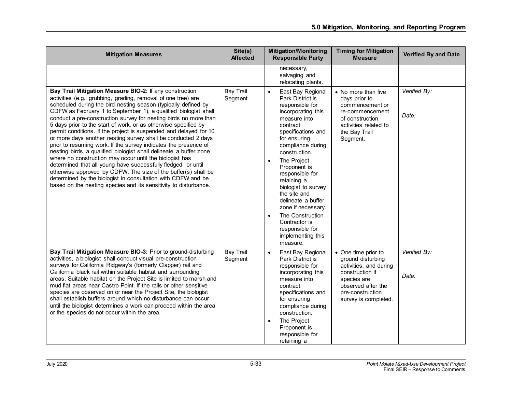| <b>Mitigation Measures</b>                                                                                                                                                                                                                                                                                                                                                                                                                                                                                                                                                                                                                                                                                                                                                                                                                                                                                                                                                                                            | Site(s)<br><b>Affected</b>  | <b>Mitigation/Monitoring</b><br><b>Responsible Party</b>                                                                                                                                                                                                                                                                                                                                                                                                                   | <b>Timing for Mitigation</b><br><b>Measure</b>                                                                                                                         | <b>Verified By and Date</b> |
|-----------------------------------------------------------------------------------------------------------------------------------------------------------------------------------------------------------------------------------------------------------------------------------------------------------------------------------------------------------------------------------------------------------------------------------------------------------------------------------------------------------------------------------------------------------------------------------------------------------------------------------------------------------------------------------------------------------------------------------------------------------------------------------------------------------------------------------------------------------------------------------------------------------------------------------------------------------------------------------------------------------------------|-----------------------------|----------------------------------------------------------------------------------------------------------------------------------------------------------------------------------------------------------------------------------------------------------------------------------------------------------------------------------------------------------------------------------------------------------------------------------------------------------------------------|------------------------------------------------------------------------------------------------------------------------------------------------------------------------|-----------------------------|
|                                                                                                                                                                                                                                                                                                                                                                                                                                                                                                                                                                                                                                                                                                                                                                                                                                                                                                                                                                                                                       |                             | necessary,<br>salvaging and<br>relocating plants.                                                                                                                                                                                                                                                                                                                                                                                                                          |                                                                                                                                                                        |                             |
| Bay Trail Mitigation Measure BIO-2: If any construction<br>activities (e.g., grubbing, grading, removal of one tree) are<br>scheduled during the bird nesting season (typically defined by<br>CDFW as February 1 to September 1), a qualified biologist shall<br>conduct a pre-construction survey for nesting birds no more than<br>5 days prior to the start of work, or as otherwise specified by<br>permit conditions. If the project is suspended and delayed for 10<br>or more days another nesting survey shall be conducted 2 days<br>prior to resuming work. If the survey indicates the presence of<br>nesting birds, a qualified biologist shall delineate a buffer zone<br>where no construction may occur until the biologist has<br>determined that all young have successfully fledged, or until<br>otherwise approved by CDFW. The size of the buffer(s) shall be<br>determined by the biologist in consultation with CDFW and be<br>based on the nesting species and its sensitivity to disturbance. | <b>Bay Trail</b><br>Segment | East Bay Regional<br>$\bullet$<br>Park District is<br>responsible for<br>incorporating this<br>measure into<br>contract<br>specifications and<br>for ensuring<br>compliance during<br>construction.<br>The Project<br>$\bullet$<br>Proponent is<br>responsible for<br>retaining a<br>biologist to survey<br>the site and<br>delineate a buffer<br>zone if necessary.<br>The Construction<br>$\bullet$<br>Contractor is<br>responsible for<br>implementing this<br>measure. | • No more than five<br>days prior to<br>commencement or<br>re-commencement<br>of construction<br>activities related to<br>the Bay Trail<br>Segment.                    | Verified By:<br>Date:       |
| Bay Trail Mitigation Measure BIO-3: Prior to ground-disturbing<br>activities, a biologist shall conduct visual pre-construction<br>surveys for California Ridgway's (formerly Clapper) rail and<br>California black rail within suitable habitat and surrounding<br>areas. Suitable habitat on the Project Site is limited to marsh and<br>mud flat areas near Castro Point. If the rails or other sensitive<br>species are observed on or near the Project Site, the biologist<br>shall establish buffers around which no disturbance can occur<br>until the biologist determines a work can proceed within the area<br>or the species do not occur within the area.                                                                                                                                                                                                                                                                                                                                                 | <b>Bay Trail</b><br>Segment | East Bay Regional<br>$\bullet$<br>Park District is<br>responsible for<br>incorporating this<br>measure into<br>contract<br>specifications and<br>for ensuring<br>compliance during<br>construction.<br>The Project<br>$\bullet$<br>Proponent is<br>responsible for<br>retaining a                                                                                                                                                                                          | • One time prior to<br>ground disturbing<br>activities, and during<br>construction if<br>species are<br>observed after the<br>pre-construction<br>survey is completed. | Verified By:<br>Date:       |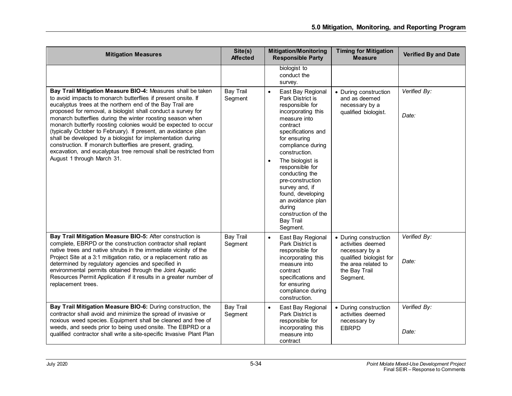| <b>Mitigation Measures</b>                                                                                                                                                                                                                                                                                                                                                                                                                                                                                                                                                                                                                                                                 | Site(s)<br><b>Affected</b>  | <b>Mitigation/Monitoring</b><br><b>Responsible Party</b>                                                                                                                                                                                                                                                                                                                                                                   | <b>Timing for Mitigation</b><br><b>Measure</b>                                                                                              | <b>Verified By and Date</b> |
|--------------------------------------------------------------------------------------------------------------------------------------------------------------------------------------------------------------------------------------------------------------------------------------------------------------------------------------------------------------------------------------------------------------------------------------------------------------------------------------------------------------------------------------------------------------------------------------------------------------------------------------------------------------------------------------------|-----------------------------|----------------------------------------------------------------------------------------------------------------------------------------------------------------------------------------------------------------------------------------------------------------------------------------------------------------------------------------------------------------------------------------------------------------------------|---------------------------------------------------------------------------------------------------------------------------------------------|-----------------------------|
|                                                                                                                                                                                                                                                                                                                                                                                                                                                                                                                                                                                                                                                                                            |                             | biologist to<br>conduct the<br>survey.                                                                                                                                                                                                                                                                                                                                                                                     |                                                                                                                                             |                             |
| Bay Trail Mitigation Measure BIO-4: Measures shall be taken<br>to avoid impacts to monarch butterflies if present onsite. If<br>eucalyptus trees at the northern end of the Bay Trail are<br>proposed for removal, a biologist shall conduct a survey for<br>monarch butterflies during the winter roosting season when<br>monarch butterfly roosting colonies would be expected to occur<br>(typically October to February). If present, an avoidance plan<br>shall be developed by a biologist for implementation during<br>construction. If monarch butterflies are present, grading,<br>excavation, and eucalyptus tree removal shall be restricted from<br>August 1 through March 31. | <b>Bay Trail</b><br>Segment | East Bay Regional<br>$\bullet$<br>Park District is<br>responsible for<br>incorporating this<br>measure into<br>contract<br>specifications and<br>for ensuring<br>compliance during<br>construction.<br>The biologist is<br>$\bullet$<br>responsible for<br>conducting the<br>pre-construction<br>survey and, if<br>found, developing<br>an avoidance plan<br>during<br>construction of the<br><b>Bay Trail</b><br>Segment. | • During construction<br>and as deemed<br>necessary by a<br>qualified biologist.                                                            | Verified By:<br>Date:       |
| Bay Trail Mitigation Measure BIO-5: After construction is<br>complete, EBRPD or the construction contractor shall replant<br>native trees and native shrubs in the immediate vicinity of the<br>Project Site at a 3:1 mitigation ratio, or a replacement ratio as<br>determined by regulatory agencies and specified in<br>environmental permits obtained through the Joint Aquatic<br>Resources Permit Application if it results in a greater number of<br>replacement trees.                                                                                                                                                                                                             | <b>Bay Trail</b><br>Segment | East Bay Regional<br>$\bullet$<br>Park District is<br>responsible for<br>incorporating this<br>measure into<br>contract<br>specifications and<br>for ensuring<br>compliance during<br>construction.                                                                                                                                                                                                                        | • During construction<br>activities deemed<br>necessary by a<br>qualified biologist for<br>the area related to<br>the Bay Trail<br>Segment. | Verified By:<br>Date:       |
| Bay Trail Mitigation Measure BIO-6: During construction, the<br>contractor shall avoid and minimize the spread of invasive or<br>noxious weed species. Equipment shall be cleaned and free of<br>weeds, and seeds prior to being used onsite. The EBPRD or a<br>qualified contractor shall write a site-specific Invasive Plant Plan                                                                                                                                                                                                                                                                                                                                                       | <b>Bay Trail</b><br>Segment | East Bay Regional<br>$\bullet$<br>Park District is<br>responsible for<br>incorporating this<br>measure into<br>contract                                                                                                                                                                                                                                                                                                    | • During construction<br>activities deemed<br>necessary by<br><b>EBRPD</b>                                                                  | Verified By:<br>Date:       |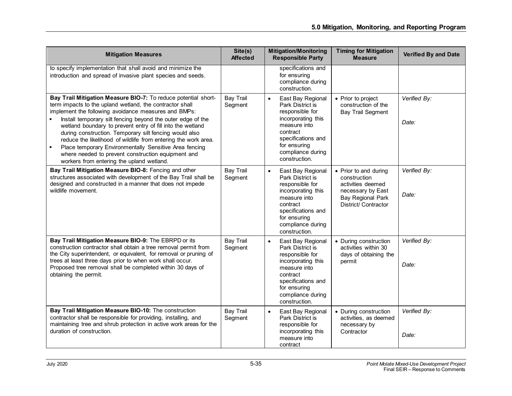| <b>Mitigation Measures</b>                                                                                                                                                                                                                                                                                                                                                                                                                                                                                                                                                                               | Site(s)<br><b>Affected</b>  | <b>Mitigation/Monitoring</b><br><b>Responsible Party</b>                                                                                                                                            | <b>Timing for Mitigation</b><br><b>Measure</b>                                                                                      | <b>Verified By and Date</b> |
|----------------------------------------------------------------------------------------------------------------------------------------------------------------------------------------------------------------------------------------------------------------------------------------------------------------------------------------------------------------------------------------------------------------------------------------------------------------------------------------------------------------------------------------------------------------------------------------------------------|-----------------------------|-----------------------------------------------------------------------------------------------------------------------------------------------------------------------------------------------------|-------------------------------------------------------------------------------------------------------------------------------------|-----------------------------|
| to specify implementation that shall avoid and minimize the<br>introduction and spread of invasive plant species and seeds.                                                                                                                                                                                                                                                                                                                                                                                                                                                                              |                             | specifications and<br>for ensuring<br>compliance during<br>construction.                                                                                                                            |                                                                                                                                     |                             |
| Bay Trail Mitigation Measure BIO-7: To reduce potential short-<br>term impacts to the upland wetland, the contractor shall<br>implement the following avoidance measures and BMPs:<br>Install temporary silt fencing beyond the outer edge of the<br>wetland boundary to prevent entry of fill into the wetland<br>during construction. Temporary silt fencing would also<br>reduce the likelihood of wildlife from entering the work area.<br>Place temporary Environmentally Sensitive Area fencing<br>where needed to prevent construction equipment and<br>workers from entering the upland wetland. | <b>Bay Trail</b><br>Segment | East Bay Regional<br>$\bullet$<br>Park District is<br>responsible for<br>incorporating this<br>measure into<br>contract<br>specifications and<br>for ensuring<br>compliance during<br>construction. | • Prior to project<br>construction of the<br><b>Bay Trail Segment</b>                                                               | Verified By:<br>Date:       |
| Bay Trail Mitigation Measure BIO-8: Fencing and other<br>structures associated with development of the Bay Trail shall be<br>designed and constructed in a manner that does not impede<br>wildlife movement.                                                                                                                                                                                                                                                                                                                                                                                             | <b>Bay Trail</b><br>Segment | East Bay Regional<br>$\bullet$<br>Park District is<br>responsible for<br>incorporating this<br>measure into<br>contract<br>specifications and<br>for ensuring<br>compliance during<br>construction. | • Prior to and during<br>construction<br>activities deemed<br>necessary by East<br><b>Bay Regional Park</b><br>District/ Contractor | Verified By:<br>Date:       |
| Bay Trail Mitigation Measure BIO-9: The EBRPD or its<br>construction contractor shall obtain a tree removal permit from<br>the City superintendent, or equivalent, for removal or pruning of<br>trees at least three days prior to when work shall occur.<br>Proposed tree removal shall be completed within 30 days of<br>obtaining the permit.                                                                                                                                                                                                                                                         | <b>Bay Trail</b><br>Segment | East Bay Regional<br>$\bullet$<br>Park District is<br>responsible for<br>incorporating this<br>measure into<br>contract<br>specifications and<br>for ensuring<br>compliance during<br>construction. | • During construction<br>activities within 30<br>days of obtaining the<br>permit                                                    | Verified By:<br>Date:       |
| Bay Trail Mitigation Measure BIO-10: The construction<br>contractor shall be responsible for providing, installing, and<br>maintaining tree and shrub protection in active work areas for the<br>duration of construction.                                                                                                                                                                                                                                                                                                                                                                               | <b>Bay Trail</b><br>Segment | $\bullet$<br>East Bay Regional<br><b>Park District is</b><br>responsible for<br>incorporating this<br>measure into<br>contract                                                                      | • During construction<br>activities, as deemed<br>necessary by<br>Contractor                                                        | Verified By:<br>Date:       |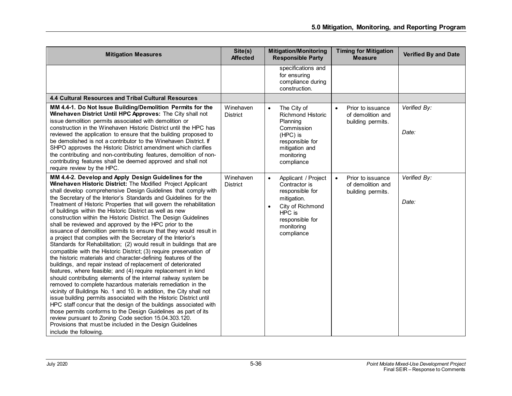| <b>Mitigation Measures</b>                                                                                                                                                                                                                                                                                                                                                                                                                                                                                                                                                                                                                                                                                                                                                                                                                                                                                                                                                                                                                                                                                                                                                                                                                                                                                                                                                                                                                                                                                                                                                             | Site(s)<br><b>Affected</b>   | <b>Mitigation/Monitoring</b><br><b>Responsible Party</b>                                                                                                                      | <b>Timing for Mitigation</b><br><b>Measure</b>                           | <b>Verified By and Date</b> |
|----------------------------------------------------------------------------------------------------------------------------------------------------------------------------------------------------------------------------------------------------------------------------------------------------------------------------------------------------------------------------------------------------------------------------------------------------------------------------------------------------------------------------------------------------------------------------------------------------------------------------------------------------------------------------------------------------------------------------------------------------------------------------------------------------------------------------------------------------------------------------------------------------------------------------------------------------------------------------------------------------------------------------------------------------------------------------------------------------------------------------------------------------------------------------------------------------------------------------------------------------------------------------------------------------------------------------------------------------------------------------------------------------------------------------------------------------------------------------------------------------------------------------------------------------------------------------------------|------------------------------|-------------------------------------------------------------------------------------------------------------------------------------------------------------------------------|--------------------------------------------------------------------------|-----------------------------|
|                                                                                                                                                                                                                                                                                                                                                                                                                                                                                                                                                                                                                                                                                                                                                                                                                                                                                                                                                                                                                                                                                                                                                                                                                                                                                                                                                                                                                                                                                                                                                                                        |                              | specifications and<br>for ensuring<br>compliance during<br>construction.                                                                                                      |                                                                          |                             |
| 4.4 Cultural Resources and Tribal Cultural Resources                                                                                                                                                                                                                                                                                                                                                                                                                                                                                                                                                                                                                                                                                                                                                                                                                                                                                                                                                                                                                                                                                                                                                                                                                                                                                                                                                                                                                                                                                                                                   |                              |                                                                                                                                                                               |                                                                          |                             |
| MM 4.4-1. Do Not Issue Building/Demolition Permits for the<br>Winehaven District Until HPC Approves: The City shall not<br>issue demolition permits associated with demolition or<br>construction in the Winehaven Historic District until the HPC has<br>reviewed the application to ensure that the building proposed to<br>be demolished is not a contributor to the Winehaven District. If<br>SHPO approves the Historic District amendment which clarifies<br>the contributing and non-contributing features, demolition of non-<br>contributing features shall be deemed approved and shall not<br>require review by the HPC.                                                                                                                                                                                                                                                                                                                                                                                                                                                                                                                                                                                                                                                                                                                                                                                                                                                                                                                                                    | Winehaven<br><b>District</b> | The City of<br>$\bullet$<br><b>Richmond Historic</b><br>Planning<br>Commission<br>(HPC) is<br>responsible for<br>mitigation and<br>monitoring<br>compliance                   | Prior to issuance<br>$\bullet$<br>of demolition and<br>building permits. | Verified By:<br>Date:       |
| MM 4.4-2. Develop and Apply Design Guidelines for the<br>Winehaven Historic District: The Modified Project Applicant<br>shall develop comprehensive Design Guidelines that comply with<br>the Secretary of the Interior's Standards and Guidelines for the<br>Treatment of Historic Properties that will govern the rehabilitation<br>of buildings within the Historic District as well as new<br>construction within the Historic District. The Design Guidelines<br>shall be reviewed and approved by the HPC prior to the<br>issuance of demolition permits to ensure that they would result in<br>a project that complies with the Secretary of the Interior's<br>Standards for Rehabilitation; (2) would result in buildings that are<br>compatible with the Historic District; (3) require preservation of<br>the historic materials and character-defining features of the<br>buildings, and repair instead of replacement of deteriorated<br>features, where feasible; and (4) require replacement in kind<br>should contributing elements of the internal railway system be<br>removed to complete hazardous materials remediation in the<br>vicinity of Buildings No. 1 and 10. In addition, the City shall not<br>issue building permits associated with the Historic District until<br>HPC staff concur that the design of the buildings associated with<br>those permits conforms to the Design Guidelines as part of its<br>review pursuant to Zoning Code section 15.04.303.120.<br>Provisions that must be included in the Design Guidelines<br>include the following. | Winehaven<br><b>District</b> | Applicant / Project<br>$\bullet$<br>Contractor is<br>responsible for<br>mitigation.<br>City of Richmond<br>$\bullet$<br>HPC is<br>responsible for<br>monitoring<br>compliance | Prior to issuance<br>$\bullet$<br>of demolition and<br>building permits. | Verified By:<br>Date:       |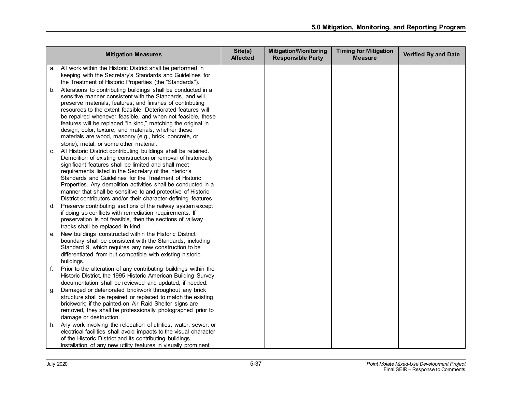| <b>Mitigation Measures</b>                                                                                                                                                                                                                                                                                                                                                                                                                                                                                                                                | Site(s)<br><b>Affected</b> | <b>Mitigation/Monitoring</b><br><b>Responsible Party</b> | <b>Timing for Mitigation</b><br><b>Measure</b> | <b>Verified By and Date</b> |
|-----------------------------------------------------------------------------------------------------------------------------------------------------------------------------------------------------------------------------------------------------------------------------------------------------------------------------------------------------------------------------------------------------------------------------------------------------------------------------------------------------------------------------------------------------------|----------------------------|----------------------------------------------------------|------------------------------------------------|-----------------------------|
| All work within the Historic District shall be performed in<br>а.<br>keeping with the Secretary's Standards and Guidelines for<br>the Treatment of Historic Properties (the "Standards").                                                                                                                                                                                                                                                                                                                                                                 |                            |                                                          |                                                |                             |
| Alterations to contributing buildings shall be conducted in a<br>b.<br>sensitive manner consistent with the Standards, and will<br>preserve materials, features, and finishes of contributing<br>resources to the extent feasible. Deteriorated features will<br>be repaired whenever feasible, and when not feasible, these<br>features will be replaced "in kind," matching the original in<br>design, color, texture, and materials, whether these<br>materials are wood, masonry (e.g., brick, concrete, or<br>stone), metal, or some other material. |                            |                                                          |                                                |                             |
| All Historic District contributing buildings shall be retained.<br>C.<br>Demolition of existing construction or removal of historically<br>significant features shall be limited and shall meet<br>requirements listed in the Secretary of the Interior's<br>Standards and Guidelines for the Treatment of Historic<br>Properties. Any demolition activities shall be conducted in a<br>manner that shall be sensitive to and protective of Historic<br>District contributors and/or their character-defining features.                                   |                            |                                                          |                                                |                             |
| Preserve contributing sections of the railway system except<br>d.<br>if doing so conflicts with remediation requirements. If<br>preservation is not feasible, then the sections of railway<br>tracks shall be replaced in kind.                                                                                                                                                                                                                                                                                                                           |                            |                                                          |                                                |                             |
| New buildings constructed within the Historic District<br>е.<br>boundary shall be consistent with the Standards, including<br>Standard 9, which requires any new construction to be<br>differentiated from but compatible with existing historic<br>buildings.                                                                                                                                                                                                                                                                                            |                            |                                                          |                                                |                             |
| Prior to the alteration of any contributing buildings within the<br>f.<br>Historic District, the 1995 Historic American Building Survey<br>documentation shall be reviewed and updated, if needed.                                                                                                                                                                                                                                                                                                                                                        |                            |                                                          |                                                |                             |
| Damaged or deteriorated brickwork throughout any brick<br>g.<br>structure shall be repaired or replaced to match the existing<br>brickwork; if the painted-on Air Raid Shelter signs are<br>removed, they shall be professionally photographed prior to<br>damage or destruction.                                                                                                                                                                                                                                                                         |                            |                                                          |                                                |                             |
| Any work involving the relocation of utilities, water, sewer, or<br>h.<br>electrical facilities shall avoid impacts to the visual character<br>of the Historic District and its contributing buildings.<br>Installation of any new utility features in visually prominent                                                                                                                                                                                                                                                                                 |                            |                                                          |                                                |                             |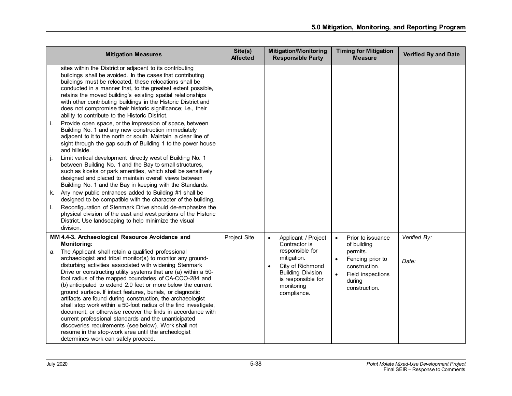| <b>Mitigation Measures</b>                                                                                                                                                                                                                                                                                                                                                                                                                                                                                                                                                                                                                                                                                                                                                                                                                                                                                                                                                                                                                                                                                                                                                                                                                                                                                                                                                                                                                          | Site(s)<br><b>Affected</b> | <b>Mitigation/Monitoring</b><br><b>Responsible Party</b>                                                                                                                               | <b>Timing for Mitigation</b><br><b>Measure</b>                                                                                                              | <b>Verified By and Date</b> |
|-----------------------------------------------------------------------------------------------------------------------------------------------------------------------------------------------------------------------------------------------------------------------------------------------------------------------------------------------------------------------------------------------------------------------------------------------------------------------------------------------------------------------------------------------------------------------------------------------------------------------------------------------------------------------------------------------------------------------------------------------------------------------------------------------------------------------------------------------------------------------------------------------------------------------------------------------------------------------------------------------------------------------------------------------------------------------------------------------------------------------------------------------------------------------------------------------------------------------------------------------------------------------------------------------------------------------------------------------------------------------------------------------------------------------------------------------------|----------------------------|----------------------------------------------------------------------------------------------------------------------------------------------------------------------------------------|-------------------------------------------------------------------------------------------------------------------------------------------------------------|-----------------------------|
| sites within the District or adjacent to its contributing<br>buildings shall be avoided. In the cases that contributing<br>buildings must be relocated, these relocations shall be<br>conducted in a manner that, to the greatest extent possible,<br>retains the moved building's existing spatial relationships<br>with other contributing buildings in the Historic District and<br>does not compromise their historic significance; i.e., their<br>ability to contribute to the Historic District.<br>Provide open space, or the impression of space, between<br>j.<br>Building No. 1 and any new construction immediately<br>adjacent to it to the north or south. Maintain a clear line of<br>sight through the gap south of Building 1 to the power house<br>and hillside.<br>Limit vertical development directly west of Building No. 1<br>j.<br>between Building No. 1 and the Bay to small structures,<br>such as kiosks or park amenities, which shall be sensitively<br>designed and placed to maintain overall views between<br>Building No. 1 and the Bay in keeping with the Standards.<br>Any new public entrances added to Building #1 shall be<br>k.<br>designed to be compatible with the character of the building.<br>Reconfiguration of Stenmark Drive should de-emphasize the<br>I.<br>physical division of the east and west portions of the Historic<br>District. Use landscaping to help minimize the visual<br>division. |                            |                                                                                                                                                                                        |                                                                                                                                                             |                             |
| MM 4.4-3. Archaeological Resource Avoidance and<br><b>Monitoring:</b><br>a. The Applicant shall retain a qualified professional<br>archaeologist and tribal monitor(s) to monitor any ground-<br>disturbing activities associated with widening Stenmark<br>Drive or constructing utility systems that are (a) within a 50-<br>foot radius of the mapped boundaries of CA-CCO-284 and<br>(b) anticipated to extend 2.0 feet or more below the current<br>ground surface. If intact features, burials, or diagnostic<br>artifacts are found during construction, the archaeologist<br>shall stop work within a 50-foot radius of the find investigate,<br>document, or otherwise recover the finds in accordance with<br>current professional standards and the unanticipated<br>discoveries requirements (see below). Work shall not<br>resume in the stop-work area until the archeologist<br>determines work can safely proceed.                                                                                                                                                                                                                                                                                                                                                                                                                                                                                                                  | Project Site               | Applicant / Project<br>$\bullet$<br>Contractor is<br>responsible for<br>mitigation.<br>City of Richmond<br><b>Building Division</b><br>is responsible for<br>monitoring<br>compliance. | Prior to issuance<br>$\bullet$<br>of building<br>permits.<br>Fencing prior to<br>construction.<br>Field inspections<br>$\bullet$<br>during<br>construction. | Verified By:<br>Date:       |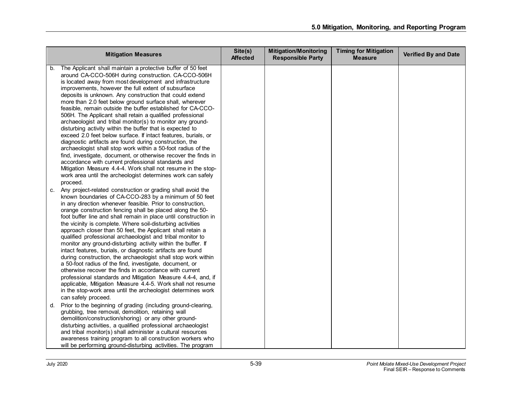|                           | <b>Mitigation Measures</b>                                                                                                                                                                                                                                                                                                                                                                                                                                                                                                                                                                                                                                                                                                                                                                                                                                                                                                                                                                                                                                             | Site(s)<br><b>Affected</b> | <b>Mitigation/Monitoring</b><br><b>Responsible Party</b> | <b>Timing for Mitigation</b><br><b>Measure</b> | <b>Verified By and Date</b> |
|---------------------------|------------------------------------------------------------------------------------------------------------------------------------------------------------------------------------------------------------------------------------------------------------------------------------------------------------------------------------------------------------------------------------------------------------------------------------------------------------------------------------------------------------------------------------------------------------------------------------------------------------------------------------------------------------------------------------------------------------------------------------------------------------------------------------------------------------------------------------------------------------------------------------------------------------------------------------------------------------------------------------------------------------------------------------------------------------------------|----------------------------|----------------------------------------------------------|------------------------------------------------|-----------------------------|
| b.<br>proceed.            | The Applicant shall maintain a protective buffer of 50 feet<br>around CA-CCO-506H during construction. CA-CCO-506H<br>is located away from most development and infrastructure<br>improvements, however the full extent of subsurface<br>deposits is unknown. Any construction that could extend<br>more than 2.0 feet below ground surface shall, wherever<br>feasible, remain outside the buffer established for CA-CCO-<br>506H. The Applicant shall retain a qualified professional<br>archaeologist and tribal monitor(s) to monitor any ground-<br>disturbing activity within the buffer that is expected to<br>exceed 2.0 feet below surface. If intact features, burials, or<br>diagnostic artifacts are found during construction, the<br>archaeologist shall stop work within a 50-foot radius of the<br>find, investigate, document, or otherwise recover the finds in<br>accordance with current professional standards and<br>Mitigation Measure 4.4-4. Work shall not resume in the stop-<br>work area until the archeologist determines work can safely |                            |                                                          |                                                |                             |
| C.<br>can safely proceed. | Any project-related construction or grading shall avoid the<br>known boundaries of CA-CCO-283 by a minimum of 50 feet<br>in any direction whenever feasible. Prior to construction,<br>orange construction fencing shall be placed along the 50-<br>foot buffer line and shall remain in place until construction in<br>the vicinity is complete. Where soil-disturbing activities<br>approach closer than 50 feet, the Applicant shall retain a<br>qualified professional archaeologist and tribal monitor to<br>monitor any ground-disturbing activity within the buffer. If<br>intact features, burials, or diagnostic artifacts are found<br>during construction, the archaeologist shall stop work within<br>a 50-foot radius of the find, investigate, document, or<br>otherwise recover the finds in accordance with current<br>professional standards and Mitigation Measure 4.4-4, and, if<br>applicable, Mitigation Measure 4.4-5. Work shall not resume<br>in the stop-work area until the archeologist determines work                                     |                            |                                                          |                                                |                             |
| d.                        | Prior to the beginning of grading (including ground-clearing,<br>grubbing, tree removal, demolition, retaining wall<br>demolition/construction/shoring) or any other ground-<br>disturbing activities, a qualified professional archaeologist<br>and tribal monitor(s) shall administer a cultural resources<br>awareness training program to all construction workers who<br>will be performing ground-disturbing activities. The program                                                                                                                                                                                                                                                                                                                                                                                                                                                                                                                                                                                                                             |                            |                                                          |                                                |                             |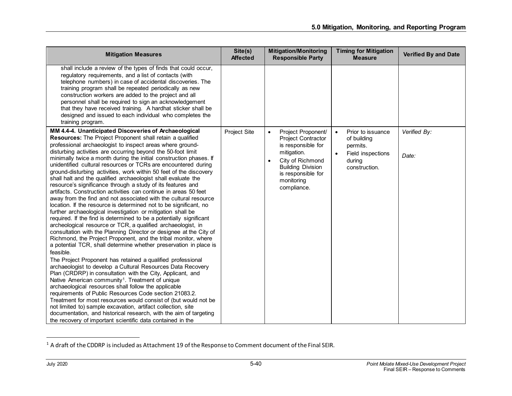<span id="page-40-0"></span>

| <b>Mitigation Measures</b>                                                                                                                                                                                                                                                                                                                                                                                                                                                                                                                                                                                                                                                                                                                                                                                                                                                                                                                                                                                                                                                                                                                                                                                                                                                                                                                                                                                                                                                                                                                                                                                                                                                                                                                                                                                                                                                                     | Site(s)<br><b>Affected</b> | <b>Mitigation/Monitoring</b><br><b>Responsible Party</b>                                                                                                                                                          | <b>Timing for Mitigation</b><br><b>Measure</b>                                                                         | <b>Verified By and Date</b> |
|------------------------------------------------------------------------------------------------------------------------------------------------------------------------------------------------------------------------------------------------------------------------------------------------------------------------------------------------------------------------------------------------------------------------------------------------------------------------------------------------------------------------------------------------------------------------------------------------------------------------------------------------------------------------------------------------------------------------------------------------------------------------------------------------------------------------------------------------------------------------------------------------------------------------------------------------------------------------------------------------------------------------------------------------------------------------------------------------------------------------------------------------------------------------------------------------------------------------------------------------------------------------------------------------------------------------------------------------------------------------------------------------------------------------------------------------------------------------------------------------------------------------------------------------------------------------------------------------------------------------------------------------------------------------------------------------------------------------------------------------------------------------------------------------------------------------------------------------------------------------------------------------|----------------------------|-------------------------------------------------------------------------------------------------------------------------------------------------------------------------------------------------------------------|------------------------------------------------------------------------------------------------------------------------|-----------------------------|
| shall include a review of the types of finds that could occur,<br>regulatory requirements, and a list of contacts (with<br>telephone numbers) in case of accidental discoveries. The<br>training program shall be repeated periodically as new<br>construction workers are added to the project and all<br>personnel shall be required to sign an acknowledgement<br>that they have received training. A hardhat sticker shall be<br>designed and issued to each individual who completes the<br>training program.                                                                                                                                                                                                                                                                                                                                                                                                                                                                                                                                                                                                                                                                                                                                                                                                                                                                                                                                                                                                                                                                                                                                                                                                                                                                                                                                                                             |                            |                                                                                                                                                                                                                   |                                                                                                                        |                             |
| MM 4.4-4. Unanticipated Discoveries of Archaeological<br>Resources: The Project Proponent shall retain a qualified<br>professional archaeologist to inspect areas where ground-<br>disturbing activities are occurring beyond the 50-foot limit<br>minimally twice a month during the initial construction phases. If<br>unidentified cultural resources or TCRs are encountered during<br>ground-disturbing activities, work within 50 feet of the discovery<br>shall halt and the qualified archaeologist shall evaluate the<br>resource's significance through a study of its features and<br>artifacts. Construction activities can continue in areas 50 feet<br>away from the find and not associated with the cultural resource<br>location. If the resource is determined not to be significant, no<br>further archaeological investigation or mitigation shall be<br>required. If the find is determined to be a potentially significant<br>archeological resource or TCR, a qualified archaeologist, in<br>consultation with the Planning Director or designee at the City of<br>Richmond, the Project Proponent, and the tribal monitor, where<br>a potential TCR, shall determine whether preservation in place is<br>feasible.<br>The Project Proponent has retained a qualified professional<br>archaeologist to develop a Cultural Resources Data Recovery<br>Plan (CRDRP) in consultation with the City, Applicant, and<br>Native American community <sup>1</sup> . Treatment of unique<br>archaeological resources shall follow the applicable<br>requirements of Public Resources Code section 21083.2.<br>Treatment for most resources would consist of (but would not be<br>not limited to) sample excavation, artifact collection, site<br>documentation, and historical research, with the aim of targeting<br>the recovery of important scientific data contained in the | Project Site               | Project Proponent/<br>$\bullet$<br><b>Project Contractor</b><br>is responsible for<br>mitigation.<br>City of Richmond<br>$\bullet$<br><b>Building Division</b><br>is responsible for<br>monitoring<br>compliance. | Prior to issuance<br>$\bullet$<br>of building<br>permits.<br>$\bullet$<br>Field inspections<br>during<br>construction. | Verified By:<br>Date:       |

<sup>&</sup>lt;sup>1</sup> A draft of the CDDRP is included as Attachment 19 of the Response to Comment document of the Final SEIR.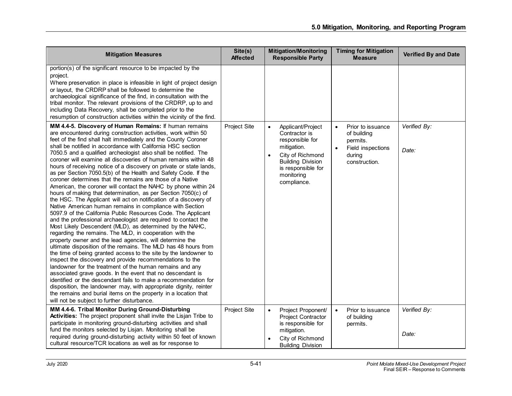| <b>Mitigation Measures</b>                                                                                                                                                                                                                                                                                                                                                                                                                                                                                                                                                                                                                                                                                                                                                                                                                                                                                                                                                                                                                                                                                                                                                                                                                                                                                                                                                                                                                                                                                                                                                                                                                                                                                                  | Site(s)<br><b>Affected</b> | <b>Mitigation/Monitoring</b><br><b>Responsible Party</b>                                                                                                        | <b>Timing for Mitigation</b><br><b>Measure</b>                          | <b>Verified By and Date</b> |
|-----------------------------------------------------------------------------------------------------------------------------------------------------------------------------------------------------------------------------------------------------------------------------------------------------------------------------------------------------------------------------------------------------------------------------------------------------------------------------------------------------------------------------------------------------------------------------------------------------------------------------------------------------------------------------------------------------------------------------------------------------------------------------------------------------------------------------------------------------------------------------------------------------------------------------------------------------------------------------------------------------------------------------------------------------------------------------------------------------------------------------------------------------------------------------------------------------------------------------------------------------------------------------------------------------------------------------------------------------------------------------------------------------------------------------------------------------------------------------------------------------------------------------------------------------------------------------------------------------------------------------------------------------------------------------------------------------------------------------|----------------------------|-----------------------------------------------------------------------------------------------------------------------------------------------------------------|-------------------------------------------------------------------------|-----------------------------|
| portion(s) of the significant resource to be impacted by the<br>project.<br>Where preservation in place is infeasible in light of project design<br>or layout, the CRDRP shall be followed to determine the<br>archaeological significance of the find, in consultation with the<br>tribal monitor. The relevant provisions of the CRDRP, up to and<br>including Data Recovery, shall be completed prior to the<br>resumption of construction activities within the vicinity of the find.<br>MM 4.4-5. Discovery of Human Remains: If human remains                                                                                                                                                                                                                                                                                                                                                                                                                                                                                                                                                                                                                                                                                                                                                                                                                                                                                                                                                                                                                                                                                                                                                                         | Project Site               | Applicant/Project<br>$\bullet$                                                                                                                                  | Prior to issuance<br>$\bullet$                                          | Verified By:                |
| are encountered during construction activities, work within 50<br>feet of the find shall halt immediately and the County Coroner<br>shall be notified in accordance with California HSC section<br>7050.5 and a qualified archeologist also shall be notified. The<br>coroner will examine all discoveries of human remains within 48<br>hours of receiving notice of a discovery on private or state lands,<br>as per Section 7050.5(b) of the Health and Safety Code. If the<br>coroner determines that the remains are those of a Native<br>American, the coroner will contact the NAHC by phone within 24<br>hours of making that determination, as per Section 7050(c) of<br>the HSC. The Applicant will act on notification of a discovery of<br>Native American human remains in compliance with Section<br>5097.9 of the California Public Resources Code. The Applicant<br>and the professional archaeologist are required to contact the<br>Most Likely Descendent (MLD), as determined by the NAHC,<br>regarding the remains. The MLD, in cooperation with the<br>property owner and the lead agencies, will determine the<br>ultimate disposition of the remains. The MLD has 48 hours from<br>the time of being granted access to the site by the landowner to<br>inspect the discovery and provide recommendations to the<br>landowner for the treatment of the human remains and any<br>associated grave goods. In the event that no descendant is<br>identified or the descendant fails to make a recommendation for<br>disposition, the landowner may, with appropriate dignity, reinter<br>the remains and burial items on the property in a location that<br>will not be subject to further disturbance. |                            | Contractor is<br>responsible for<br>mitigation.<br>City of Richmond<br>$\bullet$<br><b>Building Division</b><br>is responsible for<br>monitoring<br>compliance. | of building<br>permits.<br>Field inspections<br>during<br>construction. | Date:                       |
| MM 4.4-6. Tribal Monitor During Ground-Disturbing<br>Activities: The project proponent shall invite the Lisjan Tribe to<br>participate in monitoring ground-disturbing activities and shall<br>fund the monitors selected by Lisjan. Monitoring shall be<br>required during ground-disturbing activity within 50 feet of known<br>cultural resource/TCR locations as well as for response to                                                                                                                                                                                                                                                                                                                                                                                                                                                                                                                                                                                                                                                                                                                                                                                                                                                                                                                                                                                                                                                                                                                                                                                                                                                                                                                                | Project Site               | Project Proponent/<br>$\bullet$<br><b>Project Contractor</b><br>is responsible for<br>mitigation.<br>City of Richmond<br>$\bullet$<br><b>Building Division</b>  | Prior to issuance<br>$\bullet$<br>of building<br>permits.               | Verified By:<br>Date:       |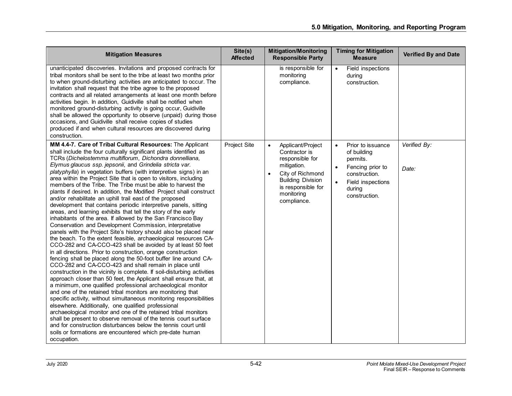| <b>Mitigation Measures</b>                                                                                                                                                                                                                                                                                                                                                                                                                                                                                                                                                                                                                                                                                                                                                                                                                                                                                                                                                                                                                                                                                                                                                                                                                                                                                                                                                                                                                                                                                                                                                                                                                                                                                                                                                                                                                                                                                                                                               | Site(s)<br><b>Affected</b> | <b>Mitigation/Monitoring</b><br><b>Responsible Party</b>                                                                                                                             | <b>Timing for Mitigation</b><br><b>Measure</b>                                                                                                                           | <b>Verified By and Date</b> |
|--------------------------------------------------------------------------------------------------------------------------------------------------------------------------------------------------------------------------------------------------------------------------------------------------------------------------------------------------------------------------------------------------------------------------------------------------------------------------------------------------------------------------------------------------------------------------------------------------------------------------------------------------------------------------------------------------------------------------------------------------------------------------------------------------------------------------------------------------------------------------------------------------------------------------------------------------------------------------------------------------------------------------------------------------------------------------------------------------------------------------------------------------------------------------------------------------------------------------------------------------------------------------------------------------------------------------------------------------------------------------------------------------------------------------------------------------------------------------------------------------------------------------------------------------------------------------------------------------------------------------------------------------------------------------------------------------------------------------------------------------------------------------------------------------------------------------------------------------------------------------------------------------------------------------------------------------------------------------|----------------------------|--------------------------------------------------------------------------------------------------------------------------------------------------------------------------------------|--------------------------------------------------------------------------------------------------------------------------------------------------------------------------|-----------------------------|
| unanticipated discoveries. Invitations and proposed contracts for<br>tribal monitors shall be sent to the tribe at least two months prior<br>to when ground-disturbing activities are anticipated to occur. The<br>invitation shall request that the tribe agree to the proposed<br>contracts and all related arrangements at least one month before<br>activities begin. In addition, Guidiville shall be notified when<br>monitored ground-disturbing activity is going occur, Guidiville<br>shall be allowed the opportunity to observe (unpaid) during those<br>occasions, and Guidiville shall receive copies of studies<br>produced if and when cultural resources are discovered during<br>construction.                                                                                                                                                                                                                                                                                                                                                                                                                                                                                                                                                                                                                                                                                                                                                                                                                                                                                                                                                                                                                                                                                                                                                                                                                                                          |                            | is responsible for<br>monitoring<br>compliance.                                                                                                                                      | Field inspections<br>$\bullet$<br>during<br>construction.                                                                                                                |                             |
| MM 4.4-7. Care of Tribal Cultural Resources: The Applicant<br>shall include the four culturally significant plants identified as<br>TCRs (Dichelostemma multiflorum, Dichondra donnelliana,<br>Elymus glaucus ssp. jepsonii, and Grindelia stricta var.<br>platyphylla) in vegetation buffers (with interpretive signs) in an<br>area within the Project Site that is open to visitors, including<br>members of the Tribe. The Tribe must be able to harvest the<br>plants if desired. In addition, the Modified Project shall construct<br>and/or rehabilitate an uphill trail east of the proposed<br>development that contains periodic interpretive panels, sitting<br>areas, and learning exhibits that tell the story of the early<br>inhabitants of the area. If allowed by the San Francisco Bay<br>Conservation and Development Commission, interpretative<br>panels with the Project Site's history should also be placed near<br>the beach. To the extent feasible, archaeological resources CA-<br>CCO-282 and CA-CCO-423 shall be avoided by at least 50 feet<br>in all directions. Prior to construction, orange construction<br>fencing shall be placed along the 50-foot buffer line around CA-<br>CCO-282 and CA-CCO-423 and shall remain in place until<br>construction in the vicinity is complete. If soil-disturbing activities<br>approach closer than 50 feet, the Applicant shall ensure that, at<br>a minimum, one qualified professional archaeological monitor<br>and one of the retained tribal monitors are monitoring that<br>specific activity, without simultaneous monitoring responsibilities<br>elsewhere. Additionally, one qualified professional<br>archaeological monitor and one of the retained tribal monitors<br>shall be present to observe removal of the tennis court surface<br>and for construction disturbances below the tennis court until<br>soils or formations are encountered which pre-date human<br>occupation. | Project Site               | Applicant/Project<br>$\bullet$<br>Contractor is<br>responsible for<br>mitigation.<br>City of Richmond<br><b>Building Division</b><br>is responsible for<br>monitoring<br>compliance. | Prior to issuance<br>$\bullet$<br>of building<br>permits.<br>Fencing prior to<br>$\bullet$<br>construction.<br>Field inspections<br>$\bullet$<br>during<br>construction. | Verified By:<br>Date:       |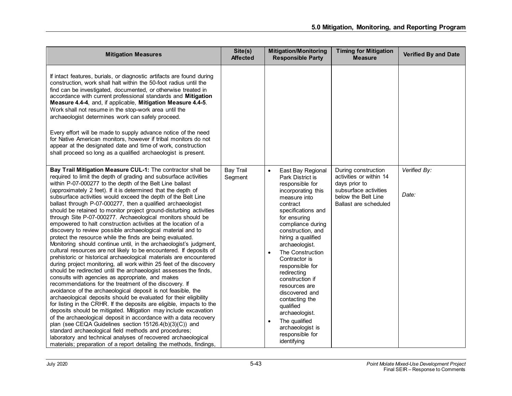| <b>Mitigation Measures</b>                                                                                                                                                                                                                                                                                                                                                                                                                                                                                                                                                                                                                                                                                                                                                                                                                                                                                                                                                                                                                                                                                                                                                                                                                                                                                                                                                                                                                                                                                                                                                                                                                                                                                                                                                                                                   | Site(s)<br><b>Affected</b>  | <b>Mitigation/Monitoring</b><br><b>Responsible Party</b>                                                                                                                                                                                                                                                                                                                                                                                                                                                                       | <b>Timing for Mitigation</b><br><b>Measure</b>                                                                                           | <b>Verified By and Date</b> |
|------------------------------------------------------------------------------------------------------------------------------------------------------------------------------------------------------------------------------------------------------------------------------------------------------------------------------------------------------------------------------------------------------------------------------------------------------------------------------------------------------------------------------------------------------------------------------------------------------------------------------------------------------------------------------------------------------------------------------------------------------------------------------------------------------------------------------------------------------------------------------------------------------------------------------------------------------------------------------------------------------------------------------------------------------------------------------------------------------------------------------------------------------------------------------------------------------------------------------------------------------------------------------------------------------------------------------------------------------------------------------------------------------------------------------------------------------------------------------------------------------------------------------------------------------------------------------------------------------------------------------------------------------------------------------------------------------------------------------------------------------------------------------------------------------------------------------|-----------------------------|--------------------------------------------------------------------------------------------------------------------------------------------------------------------------------------------------------------------------------------------------------------------------------------------------------------------------------------------------------------------------------------------------------------------------------------------------------------------------------------------------------------------------------|------------------------------------------------------------------------------------------------------------------------------------------|-----------------------------|
| If intact features, burials, or diagnostic artifacts are found during<br>construction, work shall halt within the 50-foot radius until the<br>find can be investigated, documented, or otherwise treated in<br>accordance with current professional standards and Mitigation<br>Measure 4.4-4, and, if applicable, Mitigation Measure 4.4-5.<br>Work shall not resume in the stop-work area until the<br>archaeologist determines work can safely proceed.<br>Every effort will be made to supply advance notice of the need<br>for Native American monitors, however if tribal monitors do not<br>appear at the designated date and time of work, construction<br>shall proceed so long as a qualified archaeologist is present.                                                                                                                                                                                                                                                                                                                                                                                                                                                                                                                                                                                                                                                                                                                                                                                                                                                                                                                                                                                                                                                                                            |                             |                                                                                                                                                                                                                                                                                                                                                                                                                                                                                                                                |                                                                                                                                          |                             |
| Bay Trail Mitigation Measure CUL-1: The contractor shall be<br>required to limit the depth of grading and subsurface activities<br>within P-07-000277 to the depth of the Belt Line ballast<br>(approximately 2 feet). If it is determined that the depth of<br>subsurface activities would exceed the depth of the Belt Line<br>ballast through P-07-000277, then a qualified archaeologist<br>should be retained to monitor project ground-disturbing activities<br>through Site P-07-000277. Archaeological monitors should be<br>empowered to halt construction activities at the location of a<br>discovery to review possible archaeological material and to<br>protect the resource while the finds are being evaluated.<br>Monitoring should continue until, in the archaeologist's judgment,<br>cultural resources are not likely to be encountered. If deposits of<br>prehistoric or historical archaeological materials are encountered<br>during project monitoring, all work within 25 feet of the discovery<br>should be redirected until the archaeologist assesses the finds,<br>consults with agencies as appropriate, and makes<br>recommendations for the treatment of the discovery. If<br>avoidance of the archaeological deposit is not feasible, the<br>archaeological deposits should be evaluated for their eligibility<br>for listing in the CRHR. If the deposits are eligible, impacts to the<br>deposits should be mitigated. Mitigation may include excavation<br>of the archaeological deposit in accordance with a data recovery<br>plan (see CEQA Guidelines section 15126.4(b)(3)(C)) and<br>standard archaeological field methods and procedures;<br>laboratory and technical analyses of recovered archaeological<br>materials; preparation of a report detailing the methods, findings, | <b>Bay Trail</b><br>Segment | $\bullet$<br>East Bay Regional<br>Park District is<br>responsible for<br>incorporating this<br>measure into<br>contract<br>specifications and<br>for ensuring<br>compliance during<br>construction, and<br>hiring a qualified<br>archaeologist.<br>The Construction<br>$\bullet$<br>Contractor is<br>responsible for<br>redirecting<br>construction if<br>resources are<br>discovered and<br>contacting the<br>qualified<br>archaeologist.<br>The qualified<br>$\bullet$<br>archaeologist is<br>responsible for<br>identifying | During construction<br>activities or within 14<br>days prior to<br>subsurface activities<br>below the Belt Line<br>Ballast are scheduled | Verified By:<br>Date:       |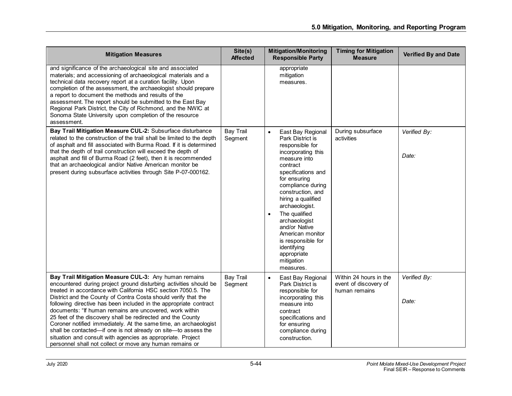| <b>Mitigation Measures</b>                                                                                                                                                                                                                                                                                                                                                                                                                                                                                                                                                                                                                                                                                                    | Site(s)<br><b>Affected</b>  | <b>Mitigation/Monitoring</b><br><b>Responsible Party</b>                                                                                                                                                                                                                                                                                                                                              | <b>Timing for Mitigation</b><br><b>Measure</b>                   | <b>Verified By and Date</b> |
|-------------------------------------------------------------------------------------------------------------------------------------------------------------------------------------------------------------------------------------------------------------------------------------------------------------------------------------------------------------------------------------------------------------------------------------------------------------------------------------------------------------------------------------------------------------------------------------------------------------------------------------------------------------------------------------------------------------------------------|-----------------------------|-------------------------------------------------------------------------------------------------------------------------------------------------------------------------------------------------------------------------------------------------------------------------------------------------------------------------------------------------------------------------------------------------------|------------------------------------------------------------------|-----------------------------|
| and significance of the archaeological site and associated<br>materials; and accessioning of archaeological materials and a<br>technical data recovery report at a curation facility. Upon<br>completion of the assessment, the archaeologist should prepare<br>a report to document the methods and results of the<br>assessment. The report should be submitted to the East Bay<br>Regional Park District, the City of Richmond, and the NWIC at<br>Sonoma State University upon completion of the resource<br>assessment.                                                                                                                                                                                                  |                             | appropriate<br>mitigation<br>measures.                                                                                                                                                                                                                                                                                                                                                                |                                                                  |                             |
| Bay Trail Mitigation Measure CUL-2: Subsurface disturbance<br>related to the construction of the trail shall be limited to the depth<br>of asphalt and fill associated with Burma Road. If it is determined<br>that the depth of trail construction will exceed the depth of<br>asphalt and fill of Burma Road (2 feet), then it is recommended<br>that an archaeological and/or Native American monitor be<br>present during subsurface activities through Site P-07-000162.                                                                                                                                                                                                                                                 | <b>Bay Trail</b><br>Segment | East Bay Regional<br>$\bullet$<br>Park District is<br>responsible for<br>incorporating this<br>measure into<br>contract<br>specifications and<br>for ensuring<br>compliance during<br>construction, and<br>hiring a qualified<br>archaeologist.<br>The qualified<br>archaeologist<br>and/or Native<br>American monitor<br>is responsible for<br>identifying<br>appropriate<br>mitigation<br>measures. | During subsurface<br>activities                                  | Verified By:<br>Date:       |
| Bay Trail Mitigation Measure CUL-3: Any human remains<br>encountered during project ground disturbing activities should be<br>treated in accordance with California HSC section 7050.5. The<br>District and the County of Contra Costa should verify that the<br>following directive has been included in the appropriate contract<br>documents: "If human remains are uncovered, work within<br>25 feet of the discovery shall be redirected and the County<br>Coroner notified immediately. At the same time, an archaeologist<br>shall be contacted-if one is not already on site-to assess the<br>situation and consult with agencies as appropriate. Project<br>personnel shall not collect or move any human remains or | <b>Bay Trail</b><br>Segment | East Bay Regional<br>$\bullet$<br>Park District is<br>responsible for<br>incorporating this<br>measure into<br>contract<br>specifications and<br>for ensuring<br>compliance during<br>construction.                                                                                                                                                                                                   | Within 24 hours in the<br>event of discovery of<br>human remains | Verified By:<br>Date:       |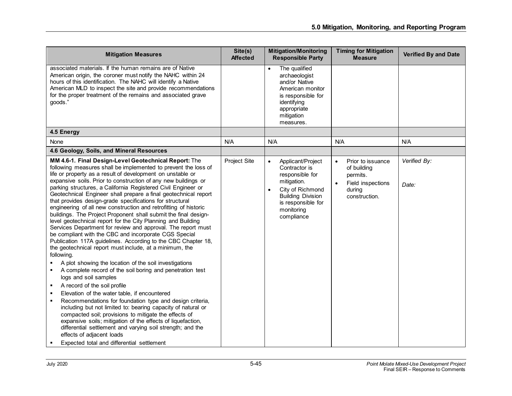| Site(s)<br><b>Affected</b> | <b>Mitigation/Monitoring</b><br><b>Responsible Party</b>                                                                                                                                         | <b>Timing for Mitigation</b><br><b>Measure</b>                                                            | <b>Verified By and Date</b> |
|----------------------------|--------------------------------------------------------------------------------------------------------------------------------------------------------------------------------------------------|-----------------------------------------------------------------------------------------------------------|-----------------------------|
|                            | The qualified<br>archaeologist<br>and/or Native<br>American monitor<br>is responsible for<br>identifying<br>appropriate<br>mitigation<br>measures.                                               |                                                                                                           |                             |
|                            |                                                                                                                                                                                                  |                                                                                                           |                             |
| N/A                        | N/A                                                                                                                                                                                              | N/A                                                                                                       | N/A                         |
|                            |                                                                                                                                                                                                  |                                                                                                           |                             |
| Project Site               | Applicant/Project<br>$\bullet$<br>Contractor is<br>responsible for<br>mitigation.<br>City of Richmond<br>$\bullet$<br><b>Building Division</b><br>is responsible for<br>monitoring<br>compliance | Prior to issuance<br>$\bullet$<br>of building<br>permits.<br>Field inspections<br>during<br>construction. | Verified By:<br>Date:       |
|                            |                                                                                                                                                                                                  |                                                                                                           |                             |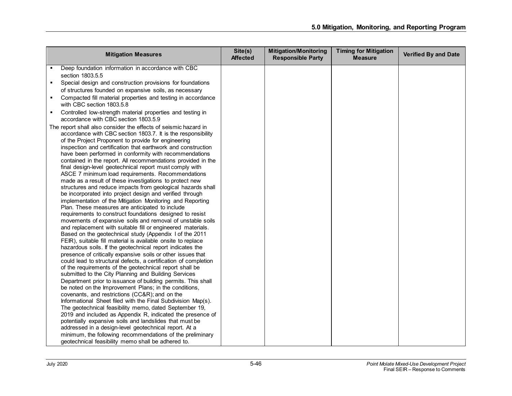| Deep foundation information in accordance with CBC<br>section 1803.5.5<br>Special design and construction provisions for foundations<br>٠                                                                                                                                                                                                                                                                                                                                                                                                                                                                                                                                                                                                                                                                                                                                                                                                                                                                                                                                                                                                                                                                                                                                                                                                                                                                                                                                                                                                                                                                                                                                                                                                                                                                                                                                                                                                                                                                                                              |  |
|--------------------------------------------------------------------------------------------------------------------------------------------------------------------------------------------------------------------------------------------------------------------------------------------------------------------------------------------------------------------------------------------------------------------------------------------------------------------------------------------------------------------------------------------------------------------------------------------------------------------------------------------------------------------------------------------------------------------------------------------------------------------------------------------------------------------------------------------------------------------------------------------------------------------------------------------------------------------------------------------------------------------------------------------------------------------------------------------------------------------------------------------------------------------------------------------------------------------------------------------------------------------------------------------------------------------------------------------------------------------------------------------------------------------------------------------------------------------------------------------------------------------------------------------------------------------------------------------------------------------------------------------------------------------------------------------------------------------------------------------------------------------------------------------------------------------------------------------------------------------------------------------------------------------------------------------------------------------------------------------------------------------------------------------------------|--|
|                                                                                                                                                                                                                                                                                                                                                                                                                                                                                                                                                                                                                                                                                                                                                                                                                                                                                                                                                                                                                                                                                                                                                                                                                                                                                                                                                                                                                                                                                                                                                                                                                                                                                                                                                                                                                                                                                                                                                                                                                                                        |  |
|                                                                                                                                                                                                                                                                                                                                                                                                                                                                                                                                                                                                                                                                                                                                                                                                                                                                                                                                                                                                                                                                                                                                                                                                                                                                                                                                                                                                                                                                                                                                                                                                                                                                                                                                                                                                                                                                                                                                                                                                                                                        |  |
|                                                                                                                                                                                                                                                                                                                                                                                                                                                                                                                                                                                                                                                                                                                                                                                                                                                                                                                                                                                                                                                                                                                                                                                                                                                                                                                                                                                                                                                                                                                                                                                                                                                                                                                                                                                                                                                                                                                                                                                                                                                        |  |
| of structures founded on expansive soils, as necessary                                                                                                                                                                                                                                                                                                                                                                                                                                                                                                                                                                                                                                                                                                                                                                                                                                                                                                                                                                                                                                                                                                                                                                                                                                                                                                                                                                                                                                                                                                                                                                                                                                                                                                                                                                                                                                                                                                                                                                                                 |  |
| Compacted fill material properties and testing in accordance<br>٠<br>with CBC section 1803.5.8                                                                                                                                                                                                                                                                                                                                                                                                                                                                                                                                                                                                                                                                                                                                                                                                                                                                                                                                                                                                                                                                                                                                                                                                                                                                                                                                                                                                                                                                                                                                                                                                                                                                                                                                                                                                                                                                                                                                                         |  |
| Controlled low-strength material properties and testing in<br>٠<br>accordance with CBC section 1803.5.9                                                                                                                                                                                                                                                                                                                                                                                                                                                                                                                                                                                                                                                                                                                                                                                                                                                                                                                                                                                                                                                                                                                                                                                                                                                                                                                                                                                                                                                                                                                                                                                                                                                                                                                                                                                                                                                                                                                                                |  |
| The report shall also consider the effects of seismic hazard in<br>accordance with CBC section 1803.7. It is the responsibility<br>of the Project Proponent to provide for engineering<br>inspection and certification that earthwork and construction<br>have been performed in conformity with recommendations<br>contained in the report. All recommendations provided in the<br>final design-level geotechnical report must comply with<br>ASCE 7 minimum load requirements. Recommendations<br>made as a result of these investigations to protect new<br>structures and reduce impacts from geological hazards shall<br>be incorporated into project design and verified through<br>implementation of the Mitigation Monitoring and Reporting<br>Plan. These measures are anticipated to include<br>requirements to construct foundations designed to resist<br>movements of expansive soils and removal of unstable soils<br>and replacement with suitable fill or engineered materials.<br>Based on the geotechnical study (Appendix I of the 2011<br>FEIR), suitable fill material is available onsite to replace<br>hazardous soils. If the geotechnical report indicates the<br>presence of critically expansive soils or other issues that<br>could lead to structural defects, a certification of completion<br>of the requirements of the geotechnical report shall be<br>submitted to the City Planning and Building Services<br>Department prior to issuance of building permits. This shall<br>be noted on the Improvement Plans; in the conditions,<br>covenants, and restrictions (CC&R); and on the<br>Informational Sheet filed with the Final Subdivision Map(s).<br>The geotechnical feasibility memo, dated September 19,<br>2019 and included as Appendix R, indicated the presence of<br>potentially expansive soils and landslides that must be<br>addressed in a design-level geotechnical report. At a<br>minimum, the following recommendations of the preliminary<br>geotechnical feasibility memo shall be adhered to. |  |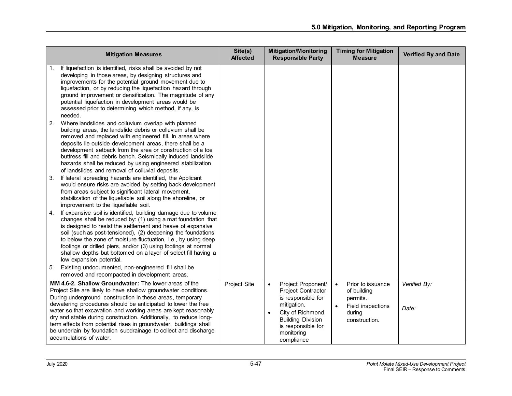|    | <b>Mitigation Measures</b>                                                                                                                                                                                                                                                                                                                                                                                                                                                                                                                                       | Site(s)<br><b>Affected</b> | <b>Mitigation/Monitoring</b><br><b>Responsible Party</b>                                                                                                                                     | <b>Timing for Mitigation</b><br><b>Measure</b>                                                                         | Verified By and Date  |
|----|------------------------------------------------------------------------------------------------------------------------------------------------------------------------------------------------------------------------------------------------------------------------------------------------------------------------------------------------------------------------------------------------------------------------------------------------------------------------------------------------------------------------------------------------------------------|----------------------------|----------------------------------------------------------------------------------------------------------------------------------------------------------------------------------------------|------------------------------------------------------------------------------------------------------------------------|-----------------------|
| 2. | If liquefaction is identified, risks shall be avoided by not<br>developing in those areas, by designing structures and<br>improvements for the potential ground movement due to<br>liquefaction, or by reducing the liquefaction hazard through<br>ground improvement or densification. The magnitude of any<br>potential liquefaction in development areas would be<br>assessed prior to determining which method, if any, is<br>needed.<br>Where landslides and colluvium overlap with planned                                                                 |                            |                                                                                                                                                                                              |                                                                                                                        |                       |
|    | building areas, the landslide debris or colluvium shall be<br>removed and replaced with engineered fill. In areas where<br>deposits lie outside development areas, there shall be a<br>development setback from the area or construction of a toe<br>buttress fill and debris bench. Seismically induced landslide<br>hazards shall be reduced by using engineered stabilization<br>of landslides and removal of colluvial deposits.                                                                                                                             |                            |                                                                                                                                                                                              |                                                                                                                        |                       |
| 3. | If lateral spreading hazards are identified, the Applicant<br>would ensure risks are avoided by setting back development<br>from areas subject to significant lateral movement,<br>stabilization of the liquefiable soil along the shoreline, or<br>improvement to the liquefiable soil.                                                                                                                                                                                                                                                                         |                            |                                                                                                                                                                                              |                                                                                                                        |                       |
| 4. | If expansive soil is identified, building damage due to volume<br>changes shall be reduced by: (1) using a mat foundation that<br>is designed to resist the settlement and heave of expansive<br>soil (such as post-tensioned), (2) deepening the foundations<br>to below the zone of moisture fluctuation, i.e., by using deep<br>footings or drilled piers, and/or (3) using footings at normal<br>shallow depths but bottomed on a layer of select fill having a<br>low expansion potential.<br>Existing undocumented, non-engineered fill shall be           |                            |                                                                                                                                                                                              |                                                                                                                        |                       |
| 5. | removed and recompacted in development areas.                                                                                                                                                                                                                                                                                                                                                                                                                                                                                                                    |                            |                                                                                                                                                                                              |                                                                                                                        |                       |
|    | MM 4.6-2. Shallow Groundwater: The lower areas of the<br>Project Site are likely to have shallow groundwater conditions.<br>During underground construction in these areas, temporary<br>dewatering procedures should be anticipated to lower the free<br>water so that excavation and working areas are kept reasonably<br>dry and stable during construction. Additionally, to reduce long-<br>term effects from potential rises in groundwater, buildings shall<br>be underlain by foundation subdrainage to collect and discharge<br>accumulations of water. | Project Site               | Project Proponent/<br>$\bullet$<br>Project Contractor<br>is responsible for<br>mitigation.<br>City of Richmond<br><b>Building Division</b><br>is responsible for<br>monitoring<br>compliance | Prior to issuance<br>$\bullet$<br>of building<br>permits.<br>$\bullet$<br>Field inspections<br>during<br>construction. | Verified By:<br>Date: |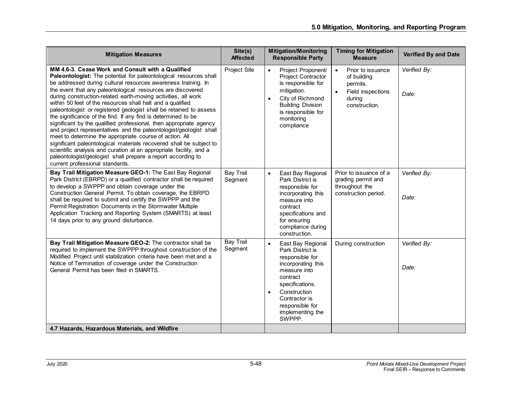| <b>Mitigation Measures</b>                                                                                                                                                                                                                                                                                                                                                                                                                                                                                                                                                                                                                                                                                                                                                                                                                                                                                                                                                          | Site(s)<br><b>Affected</b>  | <b>Mitigation/Monitoring</b><br><b>Responsible Party</b>                                                                                                                                                                                  | <b>Timing for Mitigation</b><br><b>Measure</b>                                                                         | <b>Verified By and Date</b> |
|-------------------------------------------------------------------------------------------------------------------------------------------------------------------------------------------------------------------------------------------------------------------------------------------------------------------------------------------------------------------------------------------------------------------------------------------------------------------------------------------------------------------------------------------------------------------------------------------------------------------------------------------------------------------------------------------------------------------------------------------------------------------------------------------------------------------------------------------------------------------------------------------------------------------------------------------------------------------------------------|-----------------------------|-------------------------------------------------------------------------------------------------------------------------------------------------------------------------------------------------------------------------------------------|------------------------------------------------------------------------------------------------------------------------|-----------------------------|
| MM 4.6-3. Cease Work and Consult with a Qualified<br>Paleontologist: The potential for paleontological resources shall<br>be addressed during cultural resources awareness training. In<br>the event that any paleontological resources are discovered<br>during construction-related earth-moving activities, all work<br>within 50 feet of the resources shall halt and a qualified<br>paleontologist or registered geologist shall be retained to assess<br>the significance of the find. If any find is determined to be<br>significant by the qualified professional, then appropriate agency<br>and project representatives and the paleontologist/geologist shall<br>meet to determine the appropriate course of action. All<br>significant paleontological materials recovered shall be subject to<br>scientific analysis and curation at an appropriate facility, and a<br>paleontologist/geologist shall prepare a report according to<br>current professional standards. | Project Site                | Project Proponent/<br>$\bullet$<br>Project Contractor<br>is responsible for<br>mitigation.<br>City of Richmond<br>$\bullet$<br><b>Building Division</b><br>is responsible for<br>monitoring<br>compliance                                 | Prior to issuance<br>$\bullet$<br>of building<br>permits.<br>$\bullet$<br>Field inspections<br>during<br>construction. | Verified By:<br>Date:       |
| Bay Trail Mitigation Measure GEO-1: The East Bay Regional<br>Park District (EBRPD) or a qualified contractor shall be required<br>to develop a SWPPP and obtain coverage under the<br>Construction General Permit. To obtain coverage, the EBRPD<br>shall be required to submit and certify the SWPPP and the<br>Permit Registration Documents in the Stormwater Multiple<br>Application Tracking and Reporting System (SMARTS) at least<br>14 days prior to any ground disturbance.                                                                                                                                                                                                                                                                                                                                                                                                                                                                                                | <b>Bay Trail</b><br>Segment | East Bay Regional<br>$\bullet$<br>Park District is<br>responsible for<br>incorporating this<br>measure into<br>contract<br>specifications and<br>for ensuring<br>compliance during<br>construction.                                       | Prior to issuance of a<br>grading permit and<br>throughout the<br>construction period.                                 | Verified By:<br>Date:       |
| Bay Trail Mitigation Measure GEO-2: The contractor shall be<br>required to implement the SWPPP throughout construction of the<br>Modified Project until stabilization criteria have been met and a<br>Notice of Termination of coverage under the Construction<br>General Permit has been filed in SMARTS.                                                                                                                                                                                                                                                                                                                                                                                                                                                                                                                                                                                                                                                                          | <b>Bay Trail</b><br>Segment | East Bay Regional<br>$\bullet$<br>Park District is<br>responsible for<br>incorporating this<br>measure into<br>contract<br>specifications.<br>Construction<br>$\bullet$<br>Contractor is<br>responsible for<br>implementing the<br>SWPPP. | During construction                                                                                                    | Verified By:<br>Date:       |
| 4.7 Hazards, Hazardous Materials, and Wildfire                                                                                                                                                                                                                                                                                                                                                                                                                                                                                                                                                                                                                                                                                                                                                                                                                                                                                                                                      |                             |                                                                                                                                                                                                                                           |                                                                                                                        |                             |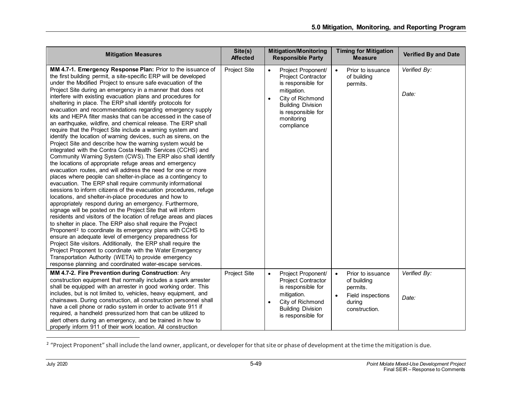<span id="page-49-0"></span>

| <b>Mitigation Measures</b>                                                                                                                                                                                                                                                                                                                                                                                                                                                                                                                                                                                                                                                                                                                                                                                                                                                                                                                                                                                                                                                                                                                                                                                                                                                                                                                                                                                                                                                                                                                                                                                                                                                                                                                                                                                                                                                                                                                                   | Site(s)<br><b>Affected</b> | <b>Mitigation/Monitoring</b><br><b>Responsible Party</b>                                                                                                                                                         | <b>Timing for Mitigation</b><br><b>Measure</b>                                                                         | <b>Verified By and Date</b> |
|--------------------------------------------------------------------------------------------------------------------------------------------------------------------------------------------------------------------------------------------------------------------------------------------------------------------------------------------------------------------------------------------------------------------------------------------------------------------------------------------------------------------------------------------------------------------------------------------------------------------------------------------------------------------------------------------------------------------------------------------------------------------------------------------------------------------------------------------------------------------------------------------------------------------------------------------------------------------------------------------------------------------------------------------------------------------------------------------------------------------------------------------------------------------------------------------------------------------------------------------------------------------------------------------------------------------------------------------------------------------------------------------------------------------------------------------------------------------------------------------------------------------------------------------------------------------------------------------------------------------------------------------------------------------------------------------------------------------------------------------------------------------------------------------------------------------------------------------------------------------------------------------------------------------------------------------------------------|----------------------------|------------------------------------------------------------------------------------------------------------------------------------------------------------------------------------------------------------------|------------------------------------------------------------------------------------------------------------------------|-----------------------------|
| MM 4.7-1. Emergency Response Plan: Prior to the issuance of<br>the first building permit, a site-specific ERP will be developed<br>under the Modified Project to ensure safe evacuation of the<br>Project Site during an emergency in a manner that does not<br>interfere with existing evacuation plans and procedures for<br>sheltering in place. The ERP shall identify protocols for<br>evacuation and recommendations regarding emergency supply<br>kits and HEPA filter masks that can be accessed in the case of<br>an earthquake, wildfire, and chemical release. The ERP shall<br>require that the Project Site include a warning system and<br>identify the location of warning devices, such as sirens, on the<br>Project Site and describe how the warning system would be<br>integrated with the Contra Costa Health Services (CCHS) and<br>Community Warning System (CWS). The ERP also shall identify<br>the locations of appropriate refuge areas and emergency<br>evacuation routes, and will address the need for one or more<br>places where people can shelter-in-place as a contingency to<br>evacuation. The ERP shall require community informational<br>sessions to inform citizens of the evacuation procedures, refuge<br>locations, and shelter-in-place procedures and how to<br>appropriately respond during an emergency. Furthermore,<br>signage will be posted on the Project Site that will inform<br>residents and visitors of the location of refuge areas and places<br>to shelter in place. The ERP also shall require the Project<br>Proponent <sup>2</sup> to coordinate its emergency plans with CCHS to<br>ensure an adequate level of emergency preparedness for<br>Project Site visitors. Additionally, the ERP shall require the<br>Project Proponent to coordinate with the Water Emergency<br>Transportation Authority (WETA) to provide emergency<br>response planning and coordinated water-escape services. | Project Site               | Project Proponent/<br>$\bullet$<br><b>Project Contractor</b><br>is responsible for<br>mitigation.<br>City of Richmond<br>$\bullet$<br><b>Building Division</b><br>is responsible for<br>monitoring<br>compliance | Prior to issuance<br>$\bullet$<br>of building<br>permits.                                                              | Verified By:<br>Date:       |
| MM 4.7-2. Fire Prevention during Construction: Any<br>construction equipment that normally includes a spark arrester<br>shall be equipped with an arrester in good working order. This<br>includes, but is not limited to, vehicles, heavy equipment, and<br>chainsaws. During construction, all construction personnel shall<br>have a cell phone or radio system in order to activate 911 if<br>required, a handheld pressurized horn that can be utilized to<br>alert others during an emergency, and be trained in how to<br>properly inform 911 of their work location. All construction                                                                                                                                                                                                                                                                                                                                                                                                                                                                                                                                                                                                                                                                                                                                                                                                                                                                                                                                                                                                                                                                                                                                                                                                                                                                                                                                                                | Project Site               | Project Proponent/<br>$\bullet$<br><b>Project Contractor</b><br>is responsible for<br>mitigation.<br>City of Richmond<br>$\bullet$<br><b>Building Division</b><br>is responsible for                             | Prior to issuance<br>$\bullet$<br>of building<br>permits.<br>$\bullet$<br>Field inspections<br>during<br>construction. | Verified By:<br>Date:       |

<sup>&</sup>lt;sup>2</sup> "Project Proponent" shall include the land owner, applicant, or developer for that site or phase of development at the time the mitigation is due.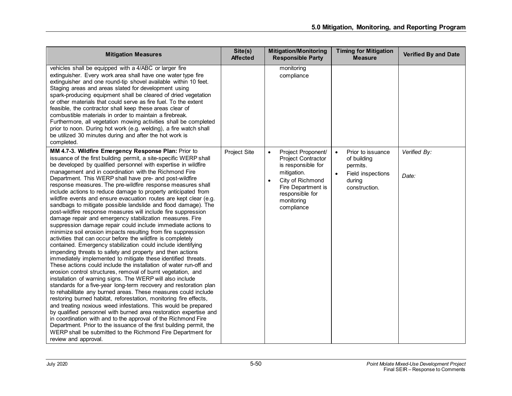| <b>Mitigation Measures</b>                                                                                                                                                                                                                                                                                                                                                                                                                                                                                                                                                                                                                                                                                                                                                                                                                                                                                                                                                                                                                                                                                                                                                                                                                                                                                                                                                                                                                                                                                                                                                                                                                                                                                                                                                                                                                                                                            | Site(s)<br><b>Affected</b> | <b>Mitigation/Monitoring</b><br><b>Responsible Party</b>                                                                                                                                                | <b>Timing for Mitigation</b><br><b>Measure</b>                                                            | <b>Verified By and Date</b> |
|-------------------------------------------------------------------------------------------------------------------------------------------------------------------------------------------------------------------------------------------------------------------------------------------------------------------------------------------------------------------------------------------------------------------------------------------------------------------------------------------------------------------------------------------------------------------------------------------------------------------------------------------------------------------------------------------------------------------------------------------------------------------------------------------------------------------------------------------------------------------------------------------------------------------------------------------------------------------------------------------------------------------------------------------------------------------------------------------------------------------------------------------------------------------------------------------------------------------------------------------------------------------------------------------------------------------------------------------------------------------------------------------------------------------------------------------------------------------------------------------------------------------------------------------------------------------------------------------------------------------------------------------------------------------------------------------------------------------------------------------------------------------------------------------------------------------------------------------------------------------------------------------------------|----------------------------|---------------------------------------------------------------------------------------------------------------------------------------------------------------------------------------------------------|-----------------------------------------------------------------------------------------------------------|-----------------------------|
| vehicles shall be equipped with a 4/ABC or larger fire<br>extinguisher. Every work area shall have one water type fire<br>extinguisher and one round-tip shovel available within 10 feet.<br>Staging areas and areas slated for development using<br>spark-producing equipment shall be cleared of dried vegetation<br>or other materials that could serve as fire fuel. To the extent<br>feasible, the contractor shall keep these areas clear of<br>combustible materials in order to maintain a firebreak.<br>Furthermore, all vegetation mowing activities shall be completed<br>prior to noon. During hot work (e.g. welding), a fire watch shall<br>be utilized 30 minutes during and after the hot work is<br>completed.                                                                                                                                                                                                                                                                                                                                                                                                                                                                                                                                                                                                                                                                                                                                                                                                                                                                                                                                                                                                                                                                                                                                                                       |                            | monitoring<br>compliance                                                                                                                                                                                |                                                                                                           |                             |
| MM 4.7-3. Wildfire Emergency Response Plan: Prior to<br>issuance of the first building permit, a site-specific WERP shall<br>be developed by qualified personnel with expertise in wildfire<br>management and in coordination with the Richmond Fire<br>Department. This WERP shall have pre- and post-wildfire<br>response measures. The pre-wildfire response measures shall<br>include actions to reduce damage to property anticipated from<br>wildfire events and ensure evacuation routes are kept clear (e.g.<br>sandbags to mitigate possible landslide and flood damage). The<br>post-wildfire response measures will include fire suppression<br>damage repair and emergency stabilization measures. Fire<br>suppression damage repair could include immediate actions to<br>minimize soil erosion impacts resulting from fire suppression<br>activities that can occur before the wildfire is completely<br>contained. Emergency stabilization could include identifying<br>impending threats to safety and property and then actions<br>immediately implemented to mitigate these identified threats.<br>These actions could include the installation of water run-off and<br>erosion control structures, removal of burnt vegetation, and<br>installation of warning signs. The WERP will also include<br>standards for a five-year long-term recovery and restoration plan<br>to rehabilitate any burned areas. These measures could include<br>restoring burned habitat, reforestation, monitoring fire effects,<br>and treating noxious weed infestations. This would be prepared<br>by qualified personnel with burned area restoration expertise and<br>in coordination with and to the approval of the Richmond Fire<br>Department. Prior to the issuance of the first building permit, the<br>WERP shall be submitted to the Richmond Fire Department for<br>review and approval. | Project Site               | Project Proponent/<br>$\bullet$<br><b>Project Contractor</b><br>is responsible for<br>mitigation.<br>City of Richmond<br>$\bullet$<br>Fire Department is<br>responsible for<br>monitoring<br>compliance | Prior to issuance<br>$\bullet$<br>of building<br>permits.<br>Field inspections<br>during<br>construction. | Verified By:<br>Date:       |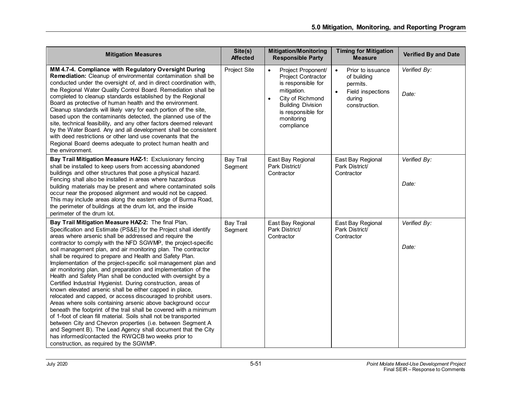| <b>Mitigation Measures</b>                                                                                                                                                                                                                                                                                                                                                                                                                                                                                                                                                                                                                                                                                                                                                                                                                                                                                                                                                                                                                                                                                                                                                                                                    | Site(s)<br><b>Affected</b>  | <b>Mitigation/Monitoring</b><br><b>Responsible Party</b>                                                                                                                                            | <b>Timing for Mitigation</b><br><b>Measure</b>                                                                         | <b>Verified By and Date</b> |
|-------------------------------------------------------------------------------------------------------------------------------------------------------------------------------------------------------------------------------------------------------------------------------------------------------------------------------------------------------------------------------------------------------------------------------------------------------------------------------------------------------------------------------------------------------------------------------------------------------------------------------------------------------------------------------------------------------------------------------------------------------------------------------------------------------------------------------------------------------------------------------------------------------------------------------------------------------------------------------------------------------------------------------------------------------------------------------------------------------------------------------------------------------------------------------------------------------------------------------|-----------------------------|-----------------------------------------------------------------------------------------------------------------------------------------------------------------------------------------------------|------------------------------------------------------------------------------------------------------------------------|-----------------------------|
| MM 4.7-4. Compliance with Regulatory Oversight During<br>Remediation: Cleanup of environmental contamination shall be<br>conducted under the oversight of, and in direct coordination with,<br>the Regional Water Quality Control Board. Remediation shall be<br>completed to cleanup standards established by the Regional<br>Board as protective of human health and the environment.<br>Cleanup standards will likely vary for each portion of the site,<br>based upon the contaminants detected, the planned use of the<br>site, technical feasibility, and any other factors deemed relevant<br>by the Water Board. Any and all development shall be consistent<br>with deed restrictions or other land use covenants that the<br>Regional Board deems adequate to protect human health and<br>the environment.                                                                                                                                                                                                                                                                                                                                                                                                          | Project Site                | Project Proponent/<br><b>Project Contractor</b><br>is responsible for<br>mitigation.<br>City of Richmond<br>$\bullet$<br><b>Building Division</b><br>is responsible for<br>monitoring<br>compliance | $\bullet$<br>Prior to issuance<br>of building<br>permits.<br>Field inspections<br>$\bullet$<br>during<br>construction. | Verified By:<br>Date:       |
| Bay Trail Mitigation Measure HAZ-1: Exclusionary fencing<br>shall be installed to keep users from accessing abandoned<br>buildings and other structures that pose a physical hazard.<br>Fencing shall also be installed in areas where hazardous<br>building materials may be present and where contaminated soils<br>occur near the proposed alignment and would not be capped.<br>This may include areas along the eastern edge of Burma Road,<br>the perimeter of buildings at the drum lot, and the inside<br>perimeter of the drum lot.                                                                                                                                                                                                                                                                                                                                                                                                                                                                                                                                                                                                                                                                                  | <b>Bay Trail</b><br>Segment | East Bay Regional<br>Park District/<br>Contractor                                                                                                                                                   | East Bay Regional<br>Park District/<br>Contractor                                                                      | Verified By:<br>Date:       |
| Bay Trail Mitigation Measure HAZ-2: The final Plan,<br>Specification and Estimate (PS&E) for the Project shall identify<br>areas where arsenic shall be addressed and require the<br>contractor to comply with the NFD SGWMP, the project-specific<br>soil management plan, and air monitoring plan. The contractor<br>shall be required to prepare and Health and Safety Plan.<br>Implementation of the project-specific soil management plan and<br>air monitoring plan, and preparation and implementation of the<br>Health and Safety Plan shall be conducted with oversight by a<br>Certified Industrial Hygienist. During construction, areas of<br>known elevated arsenic shall be either capped in place,<br>relocated and capped, or access discouraged to prohibit users.<br>Areas where soils containing arsenic above background occur<br>beneath the footprint of the trail shall be covered with a minimum<br>of 1-foot of clean fill material. Soils shall not be transported<br>between City and Chevron properties (i.e. between Segment A<br>and Segment B). The Lead Agency shall document that the City<br>has informed/contacted the RWQCB two weeks prior to<br>construction, as required by the SGWMP. | <b>Bay Trail</b><br>Segment | East Bay Regional<br>Park District/<br>Contractor                                                                                                                                                   | East Bay Regional<br>Park District/<br>Contractor                                                                      | Verified By:<br>Date:       |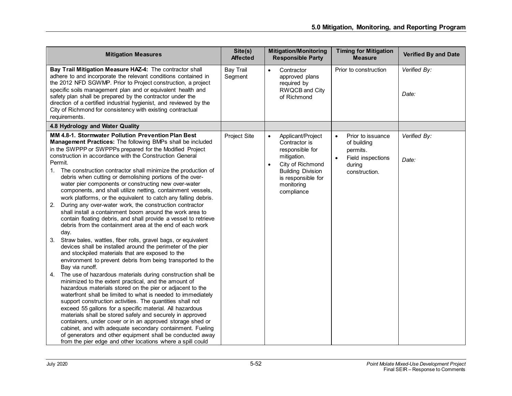| <b>Mitigation Measures</b>                                                                                                                                                                                                                                                                                                                                                                                                                                                                                                                                                                                                                                                                                                                                                                                                                                                                                                                                                                                                                                                                                                                                                                                                                                                                                                                                                                                                                                                                                                                                                                                                                                                                                                                                                                                                        | Site(s)<br><b>Affected</b>  | <b>Mitigation/Monitoring</b><br><b>Responsible Party</b>                                                                                                                                         | <b>Timing for Mitigation</b><br><b>Measure</b>                                                            | <b>Verified By and Date</b> |
|-----------------------------------------------------------------------------------------------------------------------------------------------------------------------------------------------------------------------------------------------------------------------------------------------------------------------------------------------------------------------------------------------------------------------------------------------------------------------------------------------------------------------------------------------------------------------------------------------------------------------------------------------------------------------------------------------------------------------------------------------------------------------------------------------------------------------------------------------------------------------------------------------------------------------------------------------------------------------------------------------------------------------------------------------------------------------------------------------------------------------------------------------------------------------------------------------------------------------------------------------------------------------------------------------------------------------------------------------------------------------------------------------------------------------------------------------------------------------------------------------------------------------------------------------------------------------------------------------------------------------------------------------------------------------------------------------------------------------------------------------------------------------------------------------------------------------------------|-----------------------------|--------------------------------------------------------------------------------------------------------------------------------------------------------------------------------------------------|-----------------------------------------------------------------------------------------------------------|-----------------------------|
| Bay Trail Mitigation Measure HAZ-4: The contractor shall<br>adhere to and incorporate the relevant conditions contained in<br>the 2012 NFD SGWMP. Prior to Project construction, a project<br>specific soils management plan and or equivalent health and<br>safety plan shall be prepared by the contractor under the<br>direction of a certified industrial hygienist, and reviewed by the<br>City of Richmond for consistency with existing contractual<br>requirements.                                                                                                                                                                                                                                                                                                                                                                                                                                                                                                                                                                                                                                                                                                                                                                                                                                                                                                                                                                                                                                                                                                                                                                                                                                                                                                                                                       | <b>Bay Trail</b><br>Segment | Contractor<br>approved plans<br>required by<br><b>RWQCB</b> and City<br>of Richmond                                                                                                              | Prior to construction                                                                                     | Verified By:<br>Date:       |
| 4.8 Hydrology and Water Quality                                                                                                                                                                                                                                                                                                                                                                                                                                                                                                                                                                                                                                                                                                                                                                                                                                                                                                                                                                                                                                                                                                                                                                                                                                                                                                                                                                                                                                                                                                                                                                                                                                                                                                                                                                                                   |                             |                                                                                                                                                                                                  |                                                                                                           |                             |
| MM 4.8-1. Stormwater Pollution Prevention Plan Best<br>Management Practices: The following BMPs shall be included<br>in the SWPPP or SWPPPs prepared for the Modified Project<br>construction in accordance with the Construction General<br>Permit.<br>1. The construction contractor shall minimize the production of<br>debris when cutting or demolishing portions of the over-<br>water pier components or constructing new over-water<br>components, and shall utilize netting, containment vessels,<br>work platforms, or the equivalent to catch any falling debris.<br>During any over-water work, the construction contractor<br>2.<br>shall install a containment boom around the work area to<br>contain floating debris, and shall provide a vessel to retrieve<br>debris from the containment area at the end of each work<br>day.<br>Straw bales, wattles, fiber rolls, gravel bags, or equivalent<br>3.<br>devices shall be installed around the perimeter of the pier<br>and stockpiled materials that are exposed to the<br>environment to prevent debris from being transported to the<br>Bay via runoff.<br>The use of hazardous materials during construction shall be<br>4.<br>minimized to the extent practical, and the amount of<br>hazardous materials stored on the pier or adjacent to the<br>waterfront shall be limited to what is needed to immediately<br>support construction activities. The quantities shall not<br>exceed 55 gallons for a specific material. All hazardous<br>materials shall be stored safely and securely in approved<br>containers, under cover or in an approved storage shed or<br>cabinet, and with adequate secondary containment. Fueling<br>of generators and other equipment shall be conducted away<br>from the pier edge and other locations where a spill could | Project Site                | Applicant/Project<br>$\bullet$<br>Contractor is<br>responsible for<br>mitigation.<br>City of Richmond<br>$\bullet$<br><b>Building Division</b><br>is responsible for<br>monitoring<br>compliance | Prior to issuance<br>$\bullet$<br>of building<br>permits.<br>Field inspections<br>during<br>construction. | Verified By:<br>Date:       |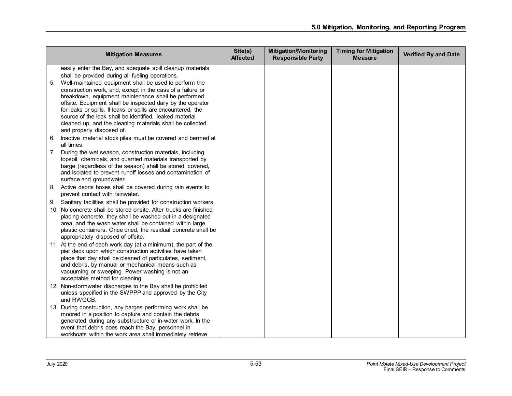|    | <b>Mitigation Measures</b>                                                                                           | Site(s)<br><b>Affected</b> | <b>Mitigation/Monitoring</b><br><b>Responsible Party</b> | <b>Timing for Mitigation</b><br><b>Measure</b> | <b>Verified By and Date</b> |
|----|----------------------------------------------------------------------------------------------------------------------|----------------------------|----------------------------------------------------------|------------------------------------------------|-----------------------------|
|    | easily enter the Bay, and adequate spill cleanup materials                                                           |                            |                                                          |                                                |                             |
|    | shall be provided during all fueling operations.                                                                     |                            |                                                          |                                                |                             |
| 5. | Well-maintained equipment shall be used to perform the                                                               |                            |                                                          |                                                |                             |
|    | construction work, and, except in the case of a failure or                                                           |                            |                                                          |                                                |                             |
|    | breakdown, equipment maintenance shall be performed                                                                  |                            |                                                          |                                                |                             |
|    | offsite. Equipment shall be inspected daily by the operator                                                          |                            |                                                          |                                                |                             |
|    | for leaks or spills. If leaks or spills are encountered, the                                                         |                            |                                                          |                                                |                             |
|    | source of the leak shall be identified, leaked material<br>cleaned up, and the cleaning materials shall be collected |                            |                                                          |                                                |                             |
|    | and properly disposed of.                                                                                            |                            |                                                          |                                                |                             |
| 6. | Inactive material stock piles must be covered and bermed at                                                          |                            |                                                          |                                                |                             |
|    | all times.                                                                                                           |                            |                                                          |                                                |                             |
|    | 7. During the wet season, construction materials, including                                                          |                            |                                                          |                                                |                             |
|    | topsoil, chemicals, and quarried materials transported by                                                            |                            |                                                          |                                                |                             |
|    | barge (regardless of the season) shall be stored, covered,                                                           |                            |                                                          |                                                |                             |
|    | and isolated to prevent runoff losses and contamination of                                                           |                            |                                                          |                                                |                             |
|    | surface and groundwater.                                                                                             |                            |                                                          |                                                |                             |
| 8. | Active debris boxes shall be covered during rain events to<br>prevent contact with rainwater.                        |                            |                                                          |                                                |                             |
|    | Sanitary facilities shall be provided for construction workers.                                                      |                            |                                                          |                                                |                             |
| 9. | 10. No concrete shall be stored onsite. After trucks are finished                                                    |                            |                                                          |                                                |                             |
|    | placing concrete, they shall be washed out in a designated                                                           |                            |                                                          |                                                |                             |
|    | area, and the wash water shall be contained within large                                                             |                            |                                                          |                                                |                             |
|    | plastic containers. Once dried, the residual concrete shall be                                                       |                            |                                                          |                                                |                             |
|    | appropriately disposed of offsite.                                                                                   |                            |                                                          |                                                |                             |
|    | 11. At the end of each work day (at a minimum), the part of the                                                      |                            |                                                          |                                                |                             |
|    | pier deck upon which construction activities have taken                                                              |                            |                                                          |                                                |                             |
|    | place that day shall be cleaned of particulates, sediment,                                                           |                            |                                                          |                                                |                             |
|    | and debris, by manual or mechanical means such as                                                                    |                            |                                                          |                                                |                             |
|    | vacuuming or sweeping. Power washing is not an<br>acceptable method for cleaning.                                    |                            |                                                          |                                                |                             |
|    | 12. Non-stormwater discharges to the Bay shall be prohibited                                                         |                            |                                                          |                                                |                             |
|    | unless specified in the SWPPP and approved by the City                                                               |                            |                                                          |                                                |                             |
|    | and RWQCB.                                                                                                           |                            |                                                          |                                                |                             |
|    | 13. During construction, any barges performing work shall be                                                         |                            |                                                          |                                                |                             |
|    | moored in a position to capture and contain the debris                                                               |                            |                                                          |                                                |                             |
|    | generated during any substructure or in-water work. In the                                                           |                            |                                                          |                                                |                             |
|    | event that debris does reach the Bay, personnel in                                                                   |                            |                                                          |                                                |                             |
|    | workboats within the work area shall immediately retrieve                                                            |                            |                                                          |                                                |                             |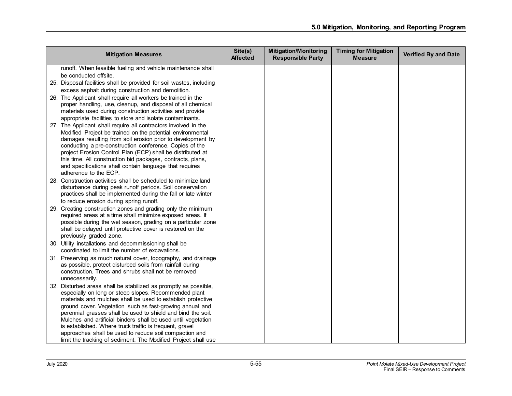| runoff. When feasible fueling and vehicle maintenance shall                                                               |  |
|---------------------------------------------------------------------------------------------------------------------------|--|
| be conducted offsite.                                                                                                     |  |
| 25. Disposal facilities shall be provided for soil wastes, including                                                      |  |
| excess asphalt during construction and demolition.                                                                        |  |
| 26. The Applicant shall require all workers be trained in the                                                             |  |
| proper handling, use, cleanup, and disposal of all chemical                                                               |  |
| materials used during construction activities and provide                                                                 |  |
| appropriate facilities to store and isolate contaminants.                                                                 |  |
| 27. The Applicant shall require all contractors involved in the                                                           |  |
| Modified Project be trained on the potential environmental<br>damages resulting from soil erosion prior to development by |  |
| conducting a pre-construction conference. Copies of the                                                                   |  |
| project Erosion Control Plan (ECP) shall be distributed at                                                                |  |
| this time. All construction bid packages, contracts, plans,                                                               |  |
| and specifications shall contain language that requires                                                                   |  |
| adherence to the ECP.                                                                                                     |  |
| 28. Construction activities shall be scheduled to minimize land                                                           |  |
| disturbance during peak runoff periods. Soil conservation                                                                 |  |
| practices shall be implemented during the fall or late winter                                                             |  |
| to reduce erosion during spring runoff.                                                                                   |  |
| 29. Creating construction zones and grading only the minimum<br>required areas at a time shall minimize exposed areas. If |  |
| possible during the wet season, grading on a particular zone                                                              |  |
| shall be delayed until protective cover is restored on the                                                                |  |
| previously graded zone.                                                                                                   |  |
| 30. Utility installations and decommissioning shall be                                                                    |  |
| coordinated to limit the number of excavations.                                                                           |  |
| 31. Preserving as much natural cover, topography, and drainage                                                            |  |
| as possible, protect disturbed soils from rainfall during<br>construction. Trees and shrubs shall not be removed          |  |
| unnecessarily.                                                                                                            |  |
| 32. Disturbed areas shall be stabilized as promptly as possible,                                                          |  |
| especially on long or steep slopes. Recommended plant                                                                     |  |
| materials and mulches shall be used to establish protective                                                               |  |
| ground cover. Vegetation such as fast-growing annual and                                                                  |  |
| perennial grasses shall be used to shield and bind the soil.                                                              |  |
| Mulches and artificial binders shall be used until vegetation                                                             |  |
| is established. Where truck traffic is frequent, gravel                                                                   |  |
| approaches shall be used to reduce soil compaction and<br>limit the tracking of sediment. The Modified Project shall use  |  |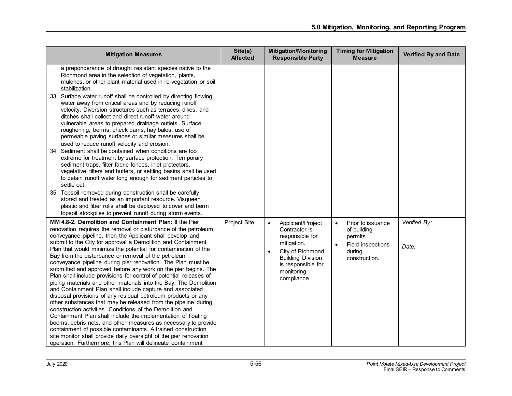| <b>Mitigation Measures</b>                                                                                                                                                                                                                                                                                                                                                                                                                                                                                                                                                                                                                                                                                                                                                                                                                                                                                                                                                                                                                                                                                                                                                                                                                                                | Site(s)<br><b>Affected</b> | <b>Mitigation/Monitoring</b><br><b>Responsible Party</b>                                                                                                                            | <b>Timing for Mitigation</b><br><b>Measure</b>                                                            | <b>Verified By and Date</b> |
|---------------------------------------------------------------------------------------------------------------------------------------------------------------------------------------------------------------------------------------------------------------------------------------------------------------------------------------------------------------------------------------------------------------------------------------------------------------------------------------------------------------------------------------------------------------------------------------------------------------------------------------------------------------------------------------------------------------------------------------------------------------------------------------------------------------------------------------------------------------------------------------------------------------------------------------------------------------------------------------------------------------------------------------------------------------------------------------------------------------------------------------------------------------------------------------------------------------------------------------------------------------------------|----------------------------|-------------------------------------------------------------------------------------------------------------------------------------------------------------------------------------|-----------------------------------------------------------------------------------------------------------|-----------------------------|
| a preponderance of drought resistant species native to the<br>Richmond area in the selection of vegetation, plants,<br>mulches, or other plant material used in re-vegetation or soil<br>stabilization.<br>33. Surface water runoff shall be controlled by directing flowing<br>water away from critical areas and by reducing runoff<br>velocity. Diversion structures such as terraces, dikes, and<br>ditches shall collect and direct runoff water around<br>vulnerable areas to prepared drainage outlets. Surface<br>roughening, berms, check dams, hay bales, use of<br>permeable paving surfaces or similar measures shall be<br>used to reduce runoff velocity and erosion.<br>34. Sediment shall be contained when conditions are too<br>extreme for treatment by surface protection. Temporary<br>sediment traps, filter fabric fences, inlet protectors,<br>vegetative filters and buffers, or settling basins shall be used<br>to detain runoff water long enough for sediment particles to<br>settle out.<br>35. Topsoil removed during construction shall be carefully<br>stored and treated as an important resource. Visqueen<br>plastic and fiber rolls shall be deployed to cover and berm<br>topsoil stockpiles to prevent runoff during storm events. |                            |                                                                                                                                                                                     |                                                                                                           |                             |
| MM 4.8-2. Demolition and Containment Plan: If the Pier<br>renovation requires the removal or disturbance of the petroleum<br>conveyance pipeline, then the Applicant shall develop and<br>submit to the City for approval a Demolition and Containment<br>Plan that would minimize the potential for contamination of the<br>Bay from the disturbance or removal of the petroleum<br>conveyance pipeline during pier renovation. The Plan must be<br>submitted and approved before any work on the pier begins. The<br>Plan shall include provisions for control of potential releases of<br>piping materials and other materials into the Bay. The Demolition<br>and Containment Plan shall include capture and associated<br>disposal provisions of any residual petroleum products or any<br>other substances that may be released from the pipeline during<br>construction activities. Conditions of the Demolition and<br>Containment Plan shall include the implementation of floating<br>booms, debris nets, and other measures as necessary to provide<br>containment of possible contaminants. A trained construction<br>site monitor shall provide daily oversight of the pier renovation<br>operation. Furthermore, this Plan will delineate containment       | Project Site               | Applicant/Project<br>$\bullet$<br>Contractor is<br>responsible for<br>mitigation.<br>City of Richmond<br><b>Building Division</b><br>is responsible for<br>monitoring<br>compliance | Prior to issuance<br>of building<br>permits.<br>Field inspections<br>$\bullet$<br>during<br>construction. | Verified By:<br>Date:       |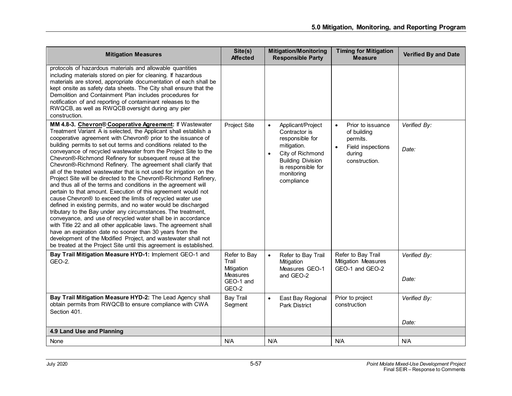| <b>Mitigation Measures</b>                                                                                                                                                                                                                                                                                                                                                                                                                                                                                                                                                                                                                                                                                                                                                                                                                                                                                                                                                                                                                                                                                                                                                                                                                                                      | Site(s)<br><b>Affected</b>                                                   | <b>Mitigation/Monitoring</b><br><b>Responsible Party</b>                                                                                                                                         | <b>Timing for Mitigation</b><br><b>Measure</b>                                                            | <b>Verified By and Date</b> |
|---------------------------------------------------------------------------------------------------------------------------------------------------------------------------------------------------------------------------------------------------------------------------------------------------------------------------------------------------------------------------------------------------------------------------------------------------------------------------------------------------------------------------------------------------------------------------------------------------------------------------------------------------------------------------------------------------------------------------------------------------------------------------------------------------------------------------------------------------------------------------------------------------------------------------------------------------------------------------------------------------------------------------------------------------------------------------------------------------------------------------------------------------------------------------------------------------------------------------------------------------------------------------------|------------------------------------------------------------------------------|--------------------------------------------------------------------------------------------------------------------------------------------------------------------------------------------------|-----------------------------------------------------------------------------------------------------------|-----------------------------|
| protocols of hazardous materials and allowable quantities<br>including materials stored on pier for cleaning. If hazardous<br>materials are stored, appropriate documentation of each shall be<br>kept onsite as safety data sheets. The City shall ensure that the<br>Demolition and Containment Plan includes procedures for<br>notification of and reporting of contaminant releases to the<br>RWQCB, as well as RWQCB oversight during any pier<br>construction.                                                                                                                                                                                                                                                                                                                                                                                                                                                                                                                                                                                                                                                                                                                                                                                                            |                                                                              |                                                                                                                                                                                                  |                                                                                                           |                             |
| MM 4.8-3. Chevron® Cooperative Agreement: If Wastewater<br>Treatment Variant A is selected, the Applicant shall establish a<br>cooperative agreement with Chevron® prior to the issuance of<br>building permits to set out terms and conditions related to the<br>conveyance of recycled wastewater from the Project Site to the<br>Chevron®-Richmond Refinery for subsequent reuse at the<br>Chevron®-Richmond Refinery. The agreement shall clarify that<br>all of the treated wastewater that is not used for irrigation on the<br>Project Site will be directed to the Chevron®-Richmond Refinery,<br>and thus all of the terms and conditions in the agreement will<br>pertain to that amount. Execution of this agreement would not<br>cause Chevron® to exceed the limits of recycled water use<br>defined in existing permits, and no water would be discharged<br>tributary to the Bay under any circumstances. The treatment,<br>conveyance, and use of recycled water shall be in accordance<br>with Title 22 and all other applicable laws. The agreement shall<br>have an expiration date no sooner than 30 years from the<br>development of the Modified Project, and wastewater shall not<br>be treated at the Project Site until this agreement is established. | Project Site                                                                 | $\bullet$<br>Applicant/Project<br>Contractor is<br>responsible for<br>mitigation.<br>City of Richmond<br>$\bullet$<br><b>Building Division</b><br>is responsible for<br>monitoring<br>compliance | Prior to issuance<br>$\bullet$<br>of building<br>permits.<br>Field inspections<br>during<br>construction. | Verified By:<br>Date:       |
| Bay Trail Mitigation Measure HYD-1: Implement GEO-1 and<br>GEO-2.                                                                                                                                                                                                                                                                                                                                                                                                                                                                                                                                                                                                                                                                                                                                                                                                                                                                                                                                                                                                                                                                                                                                                                                                               | Refer to Bay<br>Trail<br>Mitigation<br><b>Measures</b><br>GEO-1 and<br>GEO-2 | Refer to Bay Trail<br>$\bullet$<br>Mitigation<br>Measures GEO-1<br>and GEO-2                                                                                                                     | Refer to Bay Trail<br>Mitigation Measures<br>GEO-1 and GEO-2                                              | Verified By:<br>Date:       |
| Bay Trail Mitigation Measure HYD-2: The Lead Agency shall<br>obtain permits from RWQCB to ensure compliance with CWA<br>Section 401.                                                                                                                                                                                                                                                                                                                                                                                                                                                                                                                                                                                                                                                                                                                                                                                                                                                                                                                                                                                                                                                                                                                                            | <b>Bay Trail</b><br>Segment                                                  | East Bay Regional<br>$\bullet$<br><b>Park District</b>                                                                                                                                           | Prior to project<br>construction                                                                          | Verified By:<br>Date:       |
| 4.9 Land Use and Planning                                                                                                                                                                                                                                                                                                                                                                                                                                                                                                                                                                                                                                                                                                                                                                                                                                                                                                                                                                                                                                                                                                                                                                                                                                                       |                                                                              |                                                                                                                                                                                                  |                                                                                                           |                             |
| None                                                                                                                                                                                                                                                                                                                                                                                                                                                                                                                                                                                                                                                                                                                                                                                                                                                                                                                                                                                                                                                                                                                                                                                                                                                                            | N/A                                                                          | N/A                                                                                                                                                                                              | N/A                                                                                                       | N/A                         |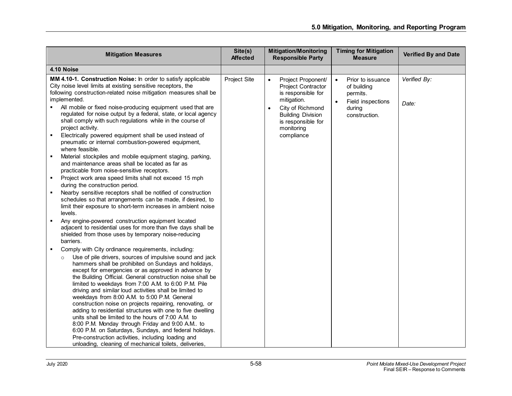| <b>Mitigation Measures</b>                                                                                                                                                                                                                                                                                                                                                                                                                                                                                                                                                                                                                                                                                                                                                                                                                                                                                                                                                                                                                                                                                                           | Site(s)<br><b>Affected</b> | <b>Mitigation/Monitoring</b><br><b>Responsible Party</b>                                                                                                                                                         | <b>Timing for Mitigation</b><br><b>Measure</b>                                                                         | <b>Verified By and Date</b> |
|--------------------------------------------------------------------------------------------------------------------------------------------------------------------------------------------------------------------------------------------------------------------------------------------------------------------------------------------------------------------------------------------------------------------------------------------------------------------------------------------------------------------------------------------------------------------------------------------------------------------------------------------------------------------------------------------------------------------------------------------------------------------------------------------------------------------------------------------------------------------------------------------------------------------------------------------------------------------------------------------------------------------------------------------------------------------------------------------------------------------------------------|----------------------------|------------------------------------------------------------------------------------------------------------------------------------------------------------------------------------------------------------------|------------------------------------------------------------------------------------------------------------------------|-----------------------------|
| 4.10 Noise                                                                                                                                                                                                                                                                                                                                                                                                                                                                                                                                                                                                                                                                                                                                                                                                                                                                                                                                                                                                                                                                                                                           |                            |                                                                                                                                                                                                                  |                                                                                                                        |                             |
| MM 4.10-1. Construction Noise: In order to satisfy applicable<br>City noise level limits at existing sensitive receptors, the<br>following construction-related noise mitigation measures shall be<br>implemented.<br>All mobile or fixed noise-producing equipment used that are<br>regulated for noise output by a federal, state, or local agency<br>shall comply with such regulations while in the course of<br>project activity.<br>Electrically powered equipment shall be used instead of<br>pneumatic or internal combustion-powered equipment,<br>where feasible.<br>Material stockpiles and mobile equipment staging, parking,<br>٠<br>and maintenance areas shall be located as far as<br>practicable from noise-sensitive receptors.<br>Project work area speed limits shall not exceed 15 mph<br>during the construction period.<br>Nearby sensitive receptors shall be notified of construction<br>٠<br>schedules so that arrangements can be made, if desired, to<br>limit their exposure to short-term increases in ambient noise<br>levels.<br>Any engine-powered construction equipment located<br>$\blacksquare$ | Project Site               | Project Proponent/<br>$\bullet$<br><b>Project Contractor</b><br>is responsible for<br>mitigation.<br>City of Richmond<br>$\bullet$<br><b>Building Division</b><br>is responsible for<br>monitoring<br>compliance | Prior to issuance<br>$\bullet$<br>of building<br>permits.<br>$\bullet$<br>Field inspections<br>during<br>construction. | Verified By:<br>Date:       |
| adjacent to residential uses for more than five days shall be<br>shielded from those uses by temporary noise-reducing<br>barriers.                                                                                                                                                                                                                                                                                                                                                                                                                                                                                                                                                                                                                                                                                                                                                                                                                                                                                                                                                                                                   |                            |                                                                                                                                                                                                                  |                                                                                                                        |                             |
| Comply with City ordinance requirements, including:<br>Use of pile drivers, sources of impulsive sound and jack<br>$\circ$<br>hammers shall be prohibited on Sundays and holidays,<br>except for emergencies or as approved in advance by<br>the Building Official. General construction noise shall be<br>limited to weekdays from 7:00 A.M. to 6:00 P.M. Pile<br>driving and similar loud activities shall be limited to<br>weekdays from 8:00 A.M. to 5:00 P.M. General<br>construction noise on projects repairing, renovating, or<br>adding to residential structures with one to five dwelling<br>units shall be limited to the hours of 7:00 A.M. to<br>8:00 P.M. Monday through Friday and 9:00 A.M to<br>6:00 P.M. on Saturdays, Sundays, and federal holidays.<br>Pre-construction activities, including loading and<br>unloading, cleaning of mechanical toilets, deliveries,                                                                                                                                                                                                                                             |                            |                                                                                                                                                                                                                  |                                                                                                                        |                             |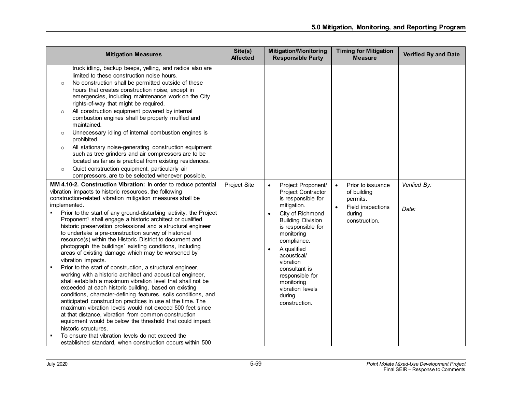| <b>Mitigation Measures</b>                                                                                                                                                                                                                                                                                                                                                                                                                                                                                                                                                                                                                                                                                                                                                                                                                                                                                                                                                                                                                                                                                                                                                                                                                                                                                                                                                                           | Site(s)<br><b>Affected</b> | <b>Mitigation/Monitoring</b><br><b>Responsible Party</b>                                                                                                                                                                                                                                                                                                      | <b>Timing for Mitigation</b><br><b>Measure</b>                                                            | <b>Verified By and Date</b> |
|------------------------------------------------------------------------------------------------------------------------------------------------------------------------------------------------------------------------------------------------------------------------------------------------------------------------------------------------------------------------------------------------------------------------------------------------------------------------------------------------------------------------------------------------------------------------------------------------------------------------------------------------------------------------------------------------------------------------------------------------------------------------------------------------------------------------------------------------------------------------------------------------------------------------------------------------------------------------------------------------------------------------------------------------------------------------------------------------------------------------------------------------------------------------------------------------------------------------------------------------------------------------------------------------------------------------------------------------------------------------------------------------------|----------------------------|---------------------------------------------------------------------------------------------------------------------------------------------------------------------------------------------------------------------------------------------------------------------------------------------------------------------------------------------------------------|-----------------------------------------------------------------------------------------------------------|-----------------------------|
| truck idling, backup beeps, yelling, and radios also are<br>limited to these construction noise hours.<br>No construction shall be permitted outside of these<br>$\circ$<br>hours that creates construction noise, except in<br>emergencies, including maintenance work on the City<br>rights-of-way that might be required.<br>All construction equipment powered by internal<br>$\circ$<br>combustion engines shall be properly muffled and<br>maintained.<br>Unnecessary idling of internal combustion engines is<br>$\circ$<br>prohibited.<br>All stationary noise-generating construction equipment<br>$\circ$<br>such as tree grinders and air compressors are to be<br>located as far as is practical from existing residences.<br>Quiet construction equipment, particularly air<br>$\circ$<br>compressors, are to be selected whenever possible.                                                                                                                                                                                                                                                                                                                                                                                                                                                                                                                                            |                            |                                                                                                                                                                                                                                                                                                                                                               |                                                                                                           |                             |
| MM 4.10-2. Construction Vibration: In order to reduce potential<br>vibration impacts to historic resources, the following<br>construction-related vibration mitigation measures shall be<br>implemented.<br>Prior to the start of any ground-disturbing activity, the Project<br>Proponent <sup>1</sup> shall engage a historic architect or qualified<br>historic preservation professional and a structural engineer<br>to undertake a pre-construction survey of historical<br>resource(s) within the Historic District to document and<br>photograph the buildings' existing conditions, including<br>areas of existing damage which may be worsened by<br>vibration impacts.<br>Prior to the start of construction, a structural engineer,<br>٠<br>working with a historic architect and acoustical engineer,<br>shall establish a maximum vibration level that shall not be<br>exceeded at each historic building, based on existing<br>conditions, character-defining features, soils conditions, and<br>anticipated construction practices in use at the time. The<br>maximum vibration levels would not exceed 500 feet since<br>at that distance, vibration from common construction<br>equipment would be below the threshold that could impact<br>historic structures.<br>To ensure that vibration levels do not exceed the<br>established standard, when construction occurs within 500 | Project Site               | Project Proponent/<br>$\bullet$<br><b>Project Contractor</b><br>is responsible for<br>mitigation.<br>City of Richmond<br><b>Building Division</b><br>is responsible for<br>monitoring<br>compliance.<br>A qualified<br>$\bullet$<br>acoustical/<br>vibration<br>consultant is<br>responsible for<br>monitoring<br>vibration levels<br>during<br>construction. | Prior to issuance<br>$\bullet$<br>of building<br>permits.<br>Field inspections<br>during<br>construction. | Verified By:<br>Date:       |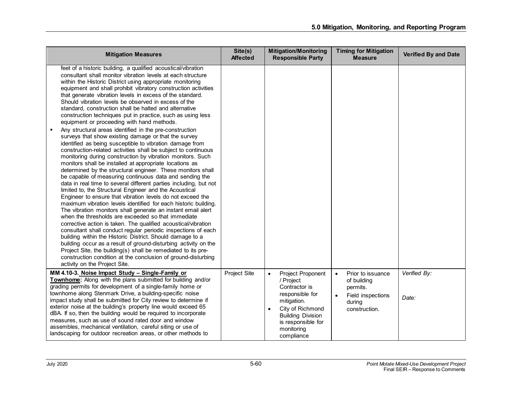| <b>Mitigation Measures</b>                                                                                                                                                                                                                                                                                                                                                                                                                                                                                                                                                                                                                                                                                                                                                                                                                                                                                                                                                                                                                                                                                                                                                                                                                                                                                                                                                                                                                                                                                                                                                                                                                                                                                                                                                                                                                                                                   | Site(s)<br><b>Affected</b> | <b>Mitigation/Monitoring</b><br><b>Responsible Party</b>                                                                                                                                                | <b>Timing for Mitigation</b><br><b>Measure</b>                                                                         | <b>Verified By and Date</b> |
|----------------------------------------------------------------------------------------------------------------------------------------------------------------------------------------------------------------------------------------------------------------------------------------------------------------------------------------------------------------------------------------------------------------------------------------------------------------------------------------------------------------------------------------------------------------------------------------------------------------------------------------------------------------------------------------------------------------------------------------------------------------------------------------------------------------------------------------------------------------------------------------------------------------------------------------------------------------------------------------------------------------------------------------------------------------------------------------------------------------------------------------------------------------------------------------------------------------------------------------------------------------------------------------------------------------------------------------------------------------------------------------------------------------------------------------------------------------------------------------------------------------------------------------------------------------------------------------------------------------------------------------------------------------------------------------------------------------------------------------------------------------------------------------------------------------------------------------------------------------------------------------------|----------------------------|---------------------------------------------------------------------------------------------------------------------------------------------------------------------------------------------------------|------------------------------------------------------------------------------------------------------------------------|-----------------------------|
| feet of a historic building, a qualified acoustical/vibration<br>consultant shall monitor vibration levels at each structure<br>within the Historic District using appropriate monitoring<br>equipment and shall prohibit vibratory construction activities<br>that generate vibration levels in excess of the standard.<br>Should vibration levels be observed in excess of the<br>standard, construction shall be halted and alternative<br>construction techniques put in practice, such as using less<br>equipment or proceeding with hand methods.<br>Any structural areas identified in the pre-construction<br>٠<br>surveys that show existing damage or that the survey<br>identified as being susceptible to vibration damage from<br>construction-related activities shall be subject to continuous<br>monitoring during construction by vibration monitors. Such<br>monitors shall be installed at appropriate locations as<br>determined by the structural engineer. These monitors shall<br>be capable of measuring continuous data and sending the<br>data in real time to several different parties including, but not<br>limited to, the Structural Engineer and the Acoustical<br>Engineer to ensure that vibration levels do not exceed the<br>maximum vibration levels identified for each historic building.<br>The vibration monitors shall generate an instant email alert<br>when the thresholds are exceeded so that immediate<br>corrective action is taken. The qualified acoustical/vibration<br>consultant shall conduct regular periodic inspections of each<br>building within the Historic District. Should damage to a<br>building occur as a result of ground-disturbing activity on the<br>Project Site, the building(s) shall be remediated to its pre-<br>construction condition at the conclusion of ground-disturbing<br>activity on the Project Site. |                            |                                                                                                                                                                                                         |                                                                                                                        |                             |
| MM 4.10-3. Noise Impact Study - Single-Family or<br>Townhome: Along with the plans submitted for building and/or<br>grading permits for development of a single-family home or<br>townhome along Stenmark Drive, a building-specific noise<br>impact study shall be submitted for City review to determine if<br>exterior noise at the building's property line would exceed 65<br>dBA. If so, then the building would be required to incorporate<br>measures, such as use of sound rated door and window<br>assembles, mechanical ventilation, careful siting or use of<br>landscaping for outdoor recreation areas, or other methods to                                                                                                                                                                                                                                                                                                                                                                                                                                                                                                                                                                                                                                                                                                                                                                                                                                                                                                                                                                                                                                                                                                                                                                                                                                                    | Project Site               | <b>Project Proponent</b><br>$\bullet$<br>/ Project<br>Contractor is<br>responsible for<br>mitigation.<br>City of Richmond<br><b>Building Division</b><br>is responsible for<br>monitoring<br>compliance | Prior to issuance<br>$\bullet$<br>of building<br>permits.<br>$\bullet$<br>Field inspections<br>during<br>construction. | Verified By:<br>Date:       |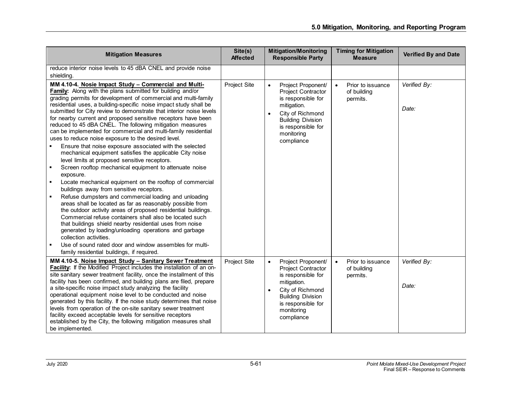| <b>Mitigation Measures</b>                                                                                                                                                                                                                                                                                                                                                                                                                                                                                                                                                                                                                                                                                                                                                                                                                                                                                                                                                                                                                                                                                                                                                                                                                                                                                                                                                                                                                                                              | Site(s)<br><b>Affected</b> | <b>Mitigation/Monitoring</b><br><b>Responsible Party</b>                                                                                                                                                         | <b>Timing for Mitigation</b><br><b>Measure</b>            | <b>Verified By and Date</b> |
|-----------------------------------------------------------------------------------------------------------------------------------------------------------------------------------------------------------------------------------------------------------------------------------------------------------------------------------------------------------------------------------------------------------------------------------------------------------------------------------------------------------------------------------------------------------------------------------------------------------------------------------------------------------------------------------------------------------------------------------------------------------------------------------------------------------------------------------------------------------------------------------------------------------------------------------------------------------------------------------------------------------------------------------------------------------------------------------------------------------------------------------------------------------------------------------------------------------------------------------------------------------------------------------------------------------------------------------------------------------------------------------------------------------------------------------------------------------------------------------------|----------------------------|------------------------------------------------------------------------------------------------------------------------------------------------------------------------------------------------------------------|-----------------------------------------------------------|-----------------------------|
| reduce interior noise levels to 45 dBA CNEL and provide noise<br>shielding.                                                                                                                                                                                                                                                                                                                                                                                                                                                                                                                                                                                                                                                                                                                                                                                                                                                                                                                                                                                                                                                                                                                                                                                                                                                                                                                                                                                                             |                            |                                                                                                                                                                                                                  |                                                           |                             |
| MM 4.10-4. Nosie Impact Study - Commercial and Multi-<br><b>Family:</b> Along with the plans submitted for building and/or<br>grading permits for development of commercial and multi-family<br>residential uses, a building-specific noise impact study shall be<br>submitted for City review to demonstrate that interior noise levels<br>for nearby current and proposed sensitive receptors have been<br>reduced to 45 dBA CNEL. The following mitigation measures<br>can be implemented for commercial and multi-family residential<br>uses to reduce noise exposure to the desired level.<br>Ensure that noise exposure associated with the selected<br>mechanical equipment satisfies the applicable City noise<br>level limits at proposed sensitive receptors.<br>Screen rooftop mechanical equipment to attenuate noise<br>٠<br>exposure.<br>Locate mechanical equipment on the rooftop of commercial<br>buildings away from sensitive receptors.<br>Refuse dumpsters and commercial loading and unloading<br>$\blacksquare$<br>areas shall be located as far as reasonably possible from<br>the outdoor activity areas of proposed residential buildings.<br>Commercial refuse containers shall also be located such<br>that buildings shield nearby residential uses from noise<br>generated by loading/unloading operations and garbage<br>collection activities.<br>Use of sound rated door and window assembles for multi-<br>family residential buildings, if required. | Project Site               | Project Proponent/<br>$\bullet$<br><b>Project Contractor</b><br>is responsible for<br>mitigation.<br>City of Richmond<br>$\bullet$<br><b>Building Division</b><br>is responsible for<br>monitoring<br>compliance | Prior to issuance<br>$\bullet$<br>of building<br>permits. | Verified By:<br>Date:       |
| MM 4.10-5. Noise Impact Study - Sanitary Sewer Treatment<br>Facility: If the Modified Project includes the installation of an on-<br>site sanitary sewer treatment facility, once the installment of this<br>facility has been confirmed, and building plans are filed, prepare<br>a site-specific noise impact study analyzing the facility<br>operational equipment noise level to be conducted and noise<br>generated by this facility. If the noise study determines that noise<br>levels from operation of the on-site sanitary sewer treatment<br>facility exceed acceptable levels for sensitive receptors<br>established by the City, the following mitigation measures shall<br>be implemented.                                                                                                                                                                                                                                                                                                                                                                                                                                                                                                                                                                                                                                                                                                                                                                                | Project Site               | Project Proponent/<br>$\bullet$<br>Project Contractor<br>is responsible for<br>mitigation.<br>City of Richmond<br>$\bullet$<br><b>Building Division</b><br>is responsible for<br>monitoring<br>compliance        | Prior to issuance<br>$\bullet$<br>of building<br>permits. | Verified By:<br>Date:       |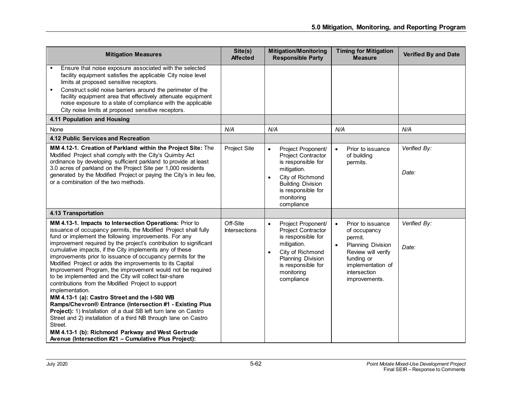| <b>Mitigation Measures</b>                                                                                                                                                                                                                                                                                                                                                                                                                                                                                                                                                                                                                                                                                                                                                                                                                                                                                                                                                                                                 | Site(s)<br><b>Affected</b>       | <b>Mitigation/Monitoring</b><br><b>Responsible Party</b>                                                                                                                                     | <b>Timing for Mitigation</b><br><b>Measure</b>                                                                                                                                               | <b>Verified By and Date</b> |
|----------------------------------------------------------------------------------------------------------------------------------------------------------------------------------------------------------------------------------------------------------------------------------------------------------------------------------------------------------------------------------------------------------------------------------------------------------------------------------------------------------------------------------------------------------------------------------------------------------------------------------------------------------------------------------------------------------------------------------------------------------------------------------------------------------------------------------------------------------------------------------------------------------------------------------------------------------------------------------------------------------------------------|----------------------------------|----------------------------------------------------------------------------------------------------------------------------------------------------------------------------------------------|----------------------------------------------------------------------------------------------------------------------------------------------------------------------------------------------|-----------------------------|
| Ensure that noise exposure associated with the selected<br>facility equipment satisfies the applicable City noise level<br>limits at proposed sensitive receptors.<br>Construct solid noise barriers around the perimeter of the<br>facility equipment area that effectively attenuate equipment<br>noise exposure to a state of compliance with the applicable<br>City noise limits at proposed sensitive receptors.                                                                                                                                                                                                                                                                                                                                                                                                                                                                                                                                                                                                      |                                  |                                                                                                                                                                                              |                                                                                                                                                                                              |                             |
| 4.11 Population and Housing                                                                                                                                                                                                                                                                                                                                                                                                                                                                                                                                                                                                                                                                                                                                                                                                                                                                                                                                                                                                |                                  |                                                                                                                                                                                              |                                                                                                                                                                                              |                             |
| None                                                                                                                                                                                                                                                                                                                                                                                                                                                                                                                                                                                                                                                                                                                                                                                                                                                                                                                                                                                                                       | N/A                              | N/A                                                                                                                                                                                          | N/A                                                                                                                                                                                          | N/A                         |
| 4.12 Public Services and Recreation                                                                                                                                                                                                                                                                                                                                                                                                                                                                                                                                                                                                                                                                                                                                                                                                                                                                                                                                                                                        |                                  |                                                                                                                                                                                              |                                                                                                                                                                                              |                             |
| MM 4.12-1. Creation of Parkland within the Project Site: The<br>Modified Project shall comply with the City's Quimby Act<br>ordinance by developing sufficient parkland to provide at least<br>3.0 acres of parkland on the Project Site per 1,000 residents<br>generated by the Modified Project or paying the City's in lieu fee,<br>or a combination of the two methods.                                                                                                                                                                                                                                                                                                                                                                                                                                                                                                                                                                                                                                                | Project Site                     | Project Proponent/<br>$\bullet$<br>Project Contractor<br>is responsible for<br>mitigation.<br>City of Richmond<br><b>Building Division</b><br>is responsible for<br>monitoring<br>compliance | Prior to issuance<br>$\bullet$<br>of building<br>permits.                                                                                                                                    | Verified By:<br>Date:       |
| <b>4.13 Transportation</b>                                                                                                                                                                                                                                                                                                                                                                                                                                                                                                                                                                                                                                                                                                                                                                                                                                                                                                                                                                                                 |                                  |                                                                                                                                                                                              |                                                                                                                                                                                              |                             |
| MM 4.13-1. Impacts to Intersection Operations: Prior to<br>issuance of occupancy permits, the Modified Project shall fully<br>fund or implement the following improvements. For any<br>improvement required by the project's contribution to significant<br>cumulative impacts, if the City implements any of these<br>improvements prior to issuance of occupancy permits for the<br>Modified Project or adds the improvements to its Capital<br>Improvement Program, the improvement would not be required<br>to be implemented and the City will collect fair-share<br>contributions from the Modified Project to support<br>implementation.<br>MM 4.13-1 (a): Castro Street and the I-580 WB<br>Ramps/Chevron® Entrance (Intersection #1 - Existing Plus<br>Project): 1) Installation of a dual SB left turn lane on Castro<br>Street and 2) installation of a third NB through lane on Castro<br>Street.<br>MM 4.13-1 (b): Richmond Parkway and West Gertrude<br>Avenue (Intersection #21 - Cumulative Plus Project): | Off-Site<br><b>Intersections</b> | Project Proponent/<br>$\bullet$<br>Project Contractor<br>is responsible for<br>mitigation.<br>City of Richmond<br>Planning Division<br>is responsible for<br>monitoring<br>compliance        | $\bullet$<br>Prior to issuance<br>of occupancy<br>permit.<br><b>Planning Division</b><br>$\bullet$<br>Review will verify<br>funding or<br>implementation of<br>intersection<br>improvements. | Verified By:<br>Date:       |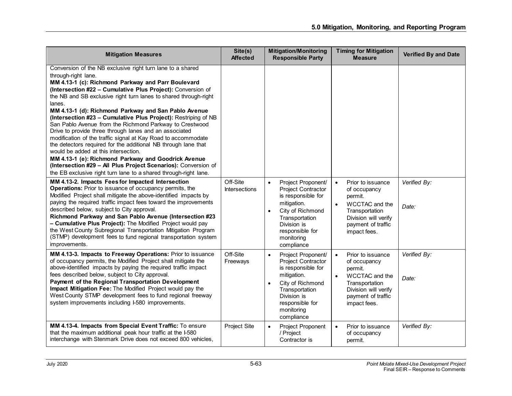| <b>Mitigation Measures</b>                                                                                                                                                                                                                                                                                                                                                                                                                                                                                                                                                                                                                                                                                                                                                                                                                                                                                                                                                                                                                                                                                                                                                                                                                                                 | Site(s)<br><b>Affected</b> | <b>Mitigation/Monitoring</b><br><b>Responsible Party</b>                                                                                                                                                    | <b>Timing for Mitigation</b><br><b>Measure</b>                                                                                                                           | <b>Verified By and Date</b> |
|----------------------------------------------------------------------------------------------------------------------------------------------------------------------------------------------------------------------------------------------------------------------------------------------------------------------------------------------------------------------------------------------------------------------------------------------------------------------------------------------------------------------------------------------------------------------------------------------------------------------------------------------------------------------------------------------------------------------------------------------------------------------------------------------------------------------------------------------------------------------------------------------------------------------------------------------------------------------------------------------------------------------------------------------------------------------------------------------------------------------------------------------------------------------------------------------------------------------------------------------------------------------------|----------------------------|-------------------------------------------------------------------------------------------------------------------------------------------------------------------------------------------------------------|--------------------------------------------------------------------------------------------------------------------------------------------------------------------------|-----------------------------|
| Conversion of the NB exclusive right turn lane to a shared<br>through-right lane.<br>MM 4.13-1 (c): Richmond Parkway and Parr Boulevard<br>(Intersection #22 - Cumulative Plus Project): Conversion of<br>the NB and SB exclusive right turn lanes to shared through-right<br>lanes.<br>MM 4.13-1 (d): Richmond Parkway and San Pablo Avenue<br>(Intersection #23 - Cumulative Plus Project): Restriping of NB<br>San Pablo Avenue from the Richmond Parkway to Crestwood<br>Drive to provide three through lanes and an associated<br>modification of the traffic signal at Kay Road to accommodate<br>the detectors required for the additional NB through lane that<br>would be added at this intersection.<br>MM 4.13-1 (e): Richmond Parkway and Goodrick Avenue<br>(Intersection #29 - All Plus Project Scenarios): Conversion of<br>the EB exclusive right turn lane to a shared through-right lane.<br>MM 4.13-2. Impacts Fees for Impacted Intersection<br>Operations: Prior to issuance of occupancy permits, the<br>Modified Project shall mitigate the above-identified impacts by<br>paying the required traffic impact fees toward the improvements<br>described below, subject to City approval.<br>Richmond Parkway and San Pablo Avenue (Intersection #23 | Off-Site<br>Intersections  | Project Proponent/<br>$\bullet$<br>Project Contractor<br>is responsible for<br>mitigation.<br>City of Richmond<br>$\bullet$<br>Transportation                                                               | Prior to issuance<br>$\bullet$<br>of occupancy<br>permit.<br>WCCTAC and the<br>$\bullet$<br>Transportation<br>Division will verify                                       | Verified By:<br>Date:       |
| - Cumulative Plus Project): The Modified Project would pay<br>the West County Subregional Transportation Mitigation Program<br>(STMP) development fees to fund regional transportation system<br>improvements.                                                                                                                                                                                                                                                                                                                                                                                                                                                                                                                                                                                                                                                                                                                                                                                                                                                                                                                                                                                                                                                             |                            | Division is<br>responsible for<br>monitoring<br>compliance                                                                                                                                                  | payment of traffic<br>impact fees.                                                                                                                                       |                             |
| MM 4.13-3. Impacts to Freeway Operations: Prior to issuance<br>of occupancy permits, the Modified Project shall mitigate the<br>above-identified impacts by paying the required traffic impact<br>fees described below, subject to City approval.<br>Payment of the Regional Transportation Development<br>Impact Mitigation Fee: The Modified Project would pay the<br>West County STMP development fees to fund regional freeway<br>system improvements including I-580 improvements.                                                                                                                                                                                                                                                                                                                                                                                                                                                                                                                                                                                                                                                                                                                                                                                    | Off-Site<br>Freeways       | Project Proponent/<br>$\bullet$<br>Project Contractor<br>is responsible for<br>mitigation.<br>City of Richmond<br>$\bullet$<br>Transportation<br>Division is<br>responsible for<br>monitoring<br>compliance | Prior to issuance<br>$\bullet$<br>of occupancy<br>permit.<br>WCCTAC and the<br>$\bullet$<br>Transportation<br>Division will verify<br>payment of traffic<br>impact fees. | Verified By:<br>Date:       |
| MM 4.13-4. Impacts from Special Event Traffic: To ensure<br>that the maximum additional peak hour traffic at the I-580<br>interchange with Stenmark Drive does not exceed 800 vehicles,                                                                                                                                                                                                                                                                                                                                                                                                                                                                                                                                                                                                                                                                                                                                                                                                                                                                                                                                                                                                                                                                                    | Project Site               | Project Proponent<br>$\bullet$<br>/ Project<br>Contractor is                                                                                                                                                | Prior to issuance<br>$\bullet$<br>of occupancy<br>permit.                                                                                                                | Verified By:                |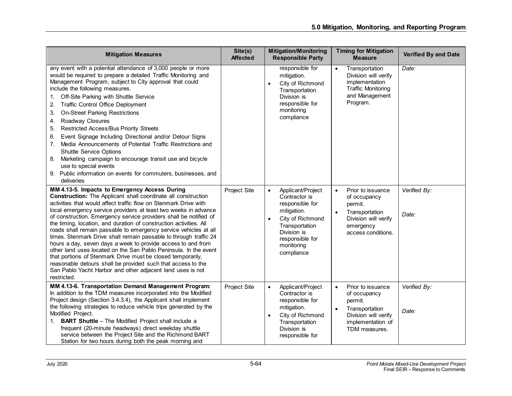| <b>Mitigation Measures</b>                                                                                                                                                                                                                                                                                                                                                                                                                                                                                                                                                                                                                                                                                                                                                                                                                                                                                                                 | Site(s)<br><b>Affected</b> | <b>Mitigation/Monitoring</b><br><b>Responsible Party</b>                                                                                                                                           | <b>Timing for Mitigation</b><br><b>Measure</b>                                                                                                                                     | <b>Verified By and Date</b> |
|--------------------------------------------------------------------------------------------------------------------------------------------------------------------------------------------------------------------------------------------------------------------------------------------------------------------------------------------------------------------------------------------------------------------------------------------------------------------------------------------------------------------------------------------------------------------------------------------------------------------------------------------------------------------------------------------------------------------------------------------------------------------------------------------------------------------------------------------------------------------------------------------------------------------------------------------|----------------------------|----------------------------------------------------------------------------------------------------------------------------------------------------------------------------------------------------|------------------------------------------------------------------------------------------------------------------------------------------------------------------------------------|-----------------------------|
| any event with a potential attendance of 3,000 people or more<br>would be required to prepare a detailed Traffic Monitoring and<br>Management Program, subject to City approval that could<br>include the following measures.<br>Off-Site Parking with Shuttle Service<br>1.<br>2.<br><b>Traffic Control Office Deployment</b><br>3.<br><b>On-Street Parking Restrictions</b><br>Roadway Closures<br>4.<br><b>Restricted Access/Bus Priority Streets</b><br>5.<br>Event Signage Including Directional and/or Detour Signs<br>6.<br>Media Announcements of Potential Traffic Restrictions and<br>7.<br><b>Shuttle Service Options</b><br>Marketing campaign to encourage transit use and bicycle<br>8.<br>use to special events<br>Public information on events for commuters, businesses, and<br>9.<br>deliveries<br>MM 4.13-5. Impacts to Emergency Access During<br><b>Construction:</b> The Applicant shall coordinate all construction | Project Site               | responsible for<br>mitigation.<br>City of Richmond<br>$\bullet$<br>Transportation<br>Division is<br>responsible for<br>monitoring<br>compliance<br>Applicant/Project<br>$\bullet$<br>Contractor is | $\bullet$<br>Transportation<br>Division will verify<br>implementation<br><b>Traffic Monitoring</b><br>and Management<br>Program.<br>Prior to issuance<br>$\bullet$<br>of occupancy | Date:<br>Verified By:       |
| activities that would affect traffic flow on Stenmark Drive with<br>local emergency service providers at least two weeks in advance<br>of construction. Emergency service providers shall be notified of<br>the timing, location, and duration of construction activities. All<br>roads shall remain passable to emergency service vehicles at all<br>times. Stenmark Drive shall remain passable to through traffic 24<br>hours a day, seven days a week to provide access to and from<br>other land uses located on the San Pablo Peninsula. In the event<br>that portions of Stenmark Drive must be closed temporarily,<br>reasonable detours shall be provided such that access to the<br>San Pablo Yacht Harbor and other adjacent land uses is not<br>restricted.                                                                                                                                                                    |                            | responsible for<br>mitigation.<br>City of Richmond<br>$\bullet$<br>Transportation<br>Division is<br>responsible for<br>monitoring<br>compliance                                                    | permit.<br>$\bullet$<br>Transportation<br>Division will verify<br>emergency<br>access conditions.                                                                                  | Date:                       |
| MM 4.13-6. Transportation Demand Management Program:<br>In addition to the TDM measures incorporated into the Modified<br>Project design (Section 3.4.3.4), the Applicant shall implement<br>the following strategies to reduce vehicle trips generated by the<br>Modified Project.<br><b>BART Shuttle</b> - The Modified Project shall include a<br>1.<br>frequent (20-minute headways) direct weekday shuttle<br>service between the Project Site and the Richmond BART<br>Station for two hours during both the peak morning and                                                                                                                                                                                                                                                                                                                                                                                                        | Project Site               | Applicant/Project<br>$\bullet$<br>Contractor is<br>responsible for<br>mitigation.<br>City of Richmond<br>$\bullet$<br>Transportation<br>Division is<br>responsible for                             | Prior to issuance<br>$\bullet$<br>of occupancy<br>permit.<br>$\bullet$<br>Transportation<br>Division will verify<br>implementation of<br>TDM measures.                             | Verified By:<br>Date:       |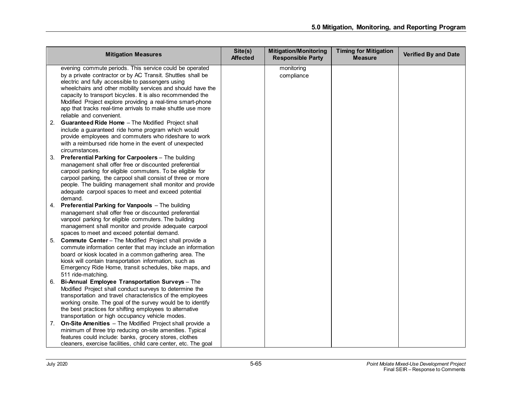| <b>Mitigation Measures</b>                                                                                                                                                                                                                                                                                                                                                                                                            | Site(s)<br><b>Affected</b> | <b>Mitigation/Monitoring</b><br><b>Responsible Party</b> | <b>Timing for Mitigation</b><br><b>Measure</b> | <b>Verified By and Date</b> |
|---------------------------------------------------------------------------------------------------------------------------------------------------------------------------------------------------------------------------------------------------------------------------------------------------------------------------------------------------------------------------------------------------------------------------------------|----------------------------|----------------------------------------------------------|------------------------------------------------|-----------------------------|
| evening commute periods. This service could be operated<br>by a private contractor or by AC Transit. Shuttles shall be<br>electric and fully accessible to passengers using<br>wheelchairs and other mobility services and should have the<br>capacity to transport bicycles. It is also recommended the<br>Modified Project explore providing a real-time smart-phone<br>app that tracks real-time arrivals to make shuttle use more |                            | monitoring<br>compliance                                 |                                                |                             |
| reliable and convenient.<br>2. Guaranteed Ride Home - The Modified Project shall<br>include a guaranteed ride home program which would<br>provide employees and commuters who rideshare to work<br>with a reimbursed ride home in the event of unexpected<br>circumstances.                                                                                                                                                           |                            |                                                          |                                                |                             |
| 3. Preferential Parking for Carpoolers - The building<br>management shall offer free or discounted preferential<br>carpool parking for eligible commuters. To be eligible for<br>carpool parking, the carpool shall consist of three or more<br>people. The building management shall monitor and provide<br>adequate carpool spaces to meet and exceed potential<br>demand.                                                          |                            |                                                          |                                                |                             |
| 4. Preferential Parking for Vanpools - The building<br>management shall offer free or discounted preferential<br>vanpool parking for eligible commuters. The building<br>management shall monitor and provide adequate carpool<br>spaces to meet and exceed potential demand.                                                                                                                                                         |                            |                                                          |                                                |                             |
| 5. Commute Center - The Modified Project shall provide a<br>commute information center that may include an information<br>board or kiosk located in a common gathering area. The<br>kiosk will contain transportation information, such as<br>Emergency Ride Home, transit schedules, bike maps, and<br>511 ride-matching.                                                                                                            |                            |                                                          |                                                |                             |
| Bi-Annual Employee Transportation Surveys - The<br>6.<br>Modified Project shall conduct surveys to determine the<br>transportation and travel characteristics of the employees<br>working onsite. The goal of the survey would be to identify<br>the best practices for shifting employees to alternative<br>transportation or high occupancy vehicle modes.                                                                          |                            |                                                          |                                                |                             |
| On-Site Amenities - The Modified Project shall provide a<br>7.<br>minimum of three trip reducing on-site amenities. Typical<br>features could include: banks, grocery stores, clothes<br>cleaners, exercise facilities, child care center, etc. The goal                                                                                                                                                                              |                            |                                                          |                                                |                             |